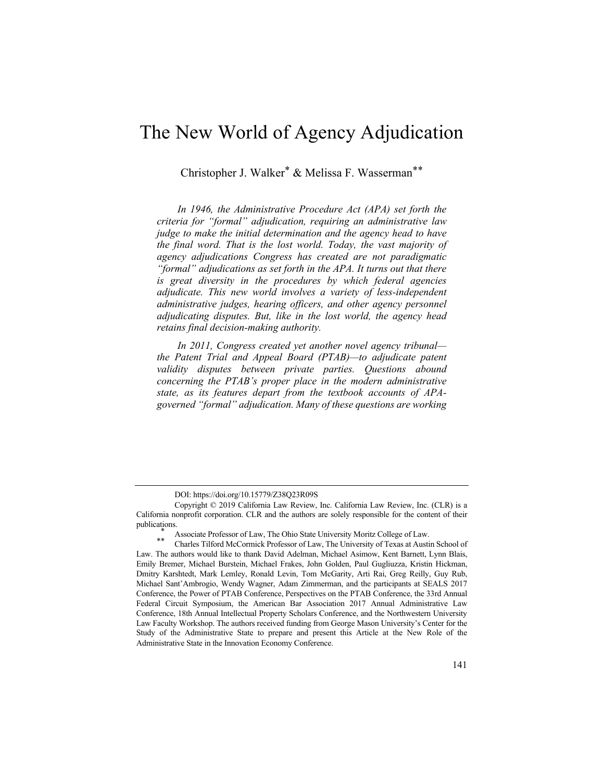# The New World of Agency Adjudication

Christopher J. Walker\* & Melissa F. Wasserman\*\*

*In 1946, the Administrative Procedure Act (APA) set forth the criteria for "formal" adjudication, requiring an administrative law judge to make the initial determination and the agency head to have the final word. That is the lost world. Today, the vast majority of agency adjudications Congress has created are not paradigmatic "formal" adjudications as set forth in the APA. It turns out that there is great diversity in the procedures by which federal agencies adjudicate. This new world involves a variety of less-independent administrative judges, hearing officers, and other agency personnel adjudicating disputes. But, like in the lost world, the agency head retains final decision-making authority.*

*In 2011, Congress created yet another novel agency tribunal the Patent Trial and Appeal Board (PTAB)—to adjudicate patent validity disputes between private parties. Questions abound concerning the PTAB's proper place in the modern administrative state, as its features depart from the textbook accounts of APAgoverned "formal" adjudication. Many of these questions are working* 

DOI: https://doi.org/10.15779/Z38Q23R09S

Copyright © 2019 California Law Review, Inc. California Law Review, Inc. (CLR) is a California nonprofit corporation. CLR and the authors are solely responsible for the content of their publications.<br>
\* Associate Professor of Law, The Ohio State University Moritz College of Law.<br>
\* \* Charles Tilford McCormick Professor of Law, The University of Texas at Austin School of

Law. The authors would like to thank David Adelman, Michael Asimow, Kent Barnett, Lynn Blais, Emily Bremer, Michael Burstein, Michael Frakes, John Golden, Paul Gugliuzza, Kristin Hickman, Dmitry Karshtedt, Mark Lemley, Ronald Levin, Tom McGarity, Arti Rai, Greg Reilly, Guy Rub, Michael Sant'Ambrogio, Wendy Wagner, Adam Zimmerman, and the participants at SEALS 2017 Conference, the Power of PTAB Conference, Perspectives on the PTAB Conference, the 33rd Annual Federal Circuit Symposium, the American Bar Association 2017 Annual Administrative Law Conference, 18th Annual Intellectual Property Scholars Conference, and the Northwestern University Law Faculty Workshop. The authors received funding from George Mason University's Center for the Study of the Administrative State to prepare and present this Article at the New Role of the Administrative State in the Innovation Economy Conference.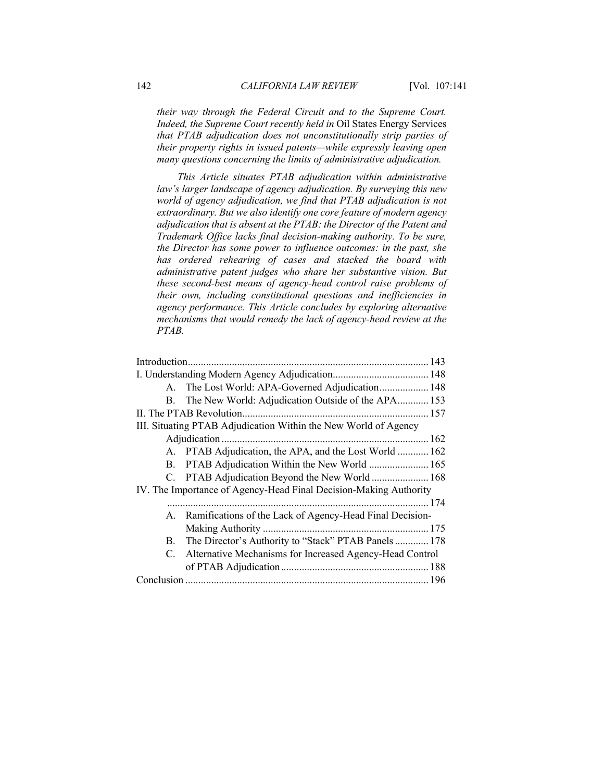*their way through the Federal Circuit and to the Supreme Court. Indeed, the Supreme Court recently held in* Oil States Energy Services *that PTAB adjudication does not unconstitutionally strip parties of their property rights in issued patents—while expressly leaving open many questions concerning the limits of administrative adjudication.*

*This Article situates PTAB adjudication within administrative law's larger landscape of agency adjudication. By surveying this new world of agency adjudication, we find that PTAB adjudication is not extraordinary. But we also identify one core feature of modern agency adjudication that is absent at the PTAB: the Director of the Patent and Trademark Office lacks final decision-making authority. To be sure, the Director has some power to influence outcomes: in the past, she has ordered rehearing of cases and stacked the board with administrative patent judges who share her substantive vision. But these second-best means of agency-head control raise problems of their own, including constitutional questions and inefficiencies in agency performance. This Article concludes by exploring alternative mechanisms that would remedy the lack of agency-head review at the PTAB.*

|    | A. The Lost World: APA-Governed Adjudication 148                  |  |
|----|-------------------------------------------------------------------|--|
| B. | The New World: Adjudication Outside of the APA 153                |  |
|    | II. The PTAB Revolution                                           |  |
|    | III. Situating PTAB Adjudication Within the New World of Agency   |  |
|    |                                                                   |  |
|    | A. PTAB Adjudication, the APA, and the Lost World  162            |  |
|    | B. PTAB Adjudication Within the New World  165                    |  |
|    | C. PTAB Adjudication Beyond the New World 168                     |  |
|    | IV. The Importance of Agency-Head Final Decision-Making Authority |  |
|    |                                                                   |  |
|    | A. Ramifications of the Lack of Agency-Head Final Decision-       |  |
|    |                                                                   |  |
| B. | The Director's Authority to "Stack" PTAB Panels 178               |  |
| C. | Alternative Mechanisms for Increased Agency-Head Control          |  |
|    |                                                                   |  |
|    |                                                                   |  |
|    |                                                                   |  |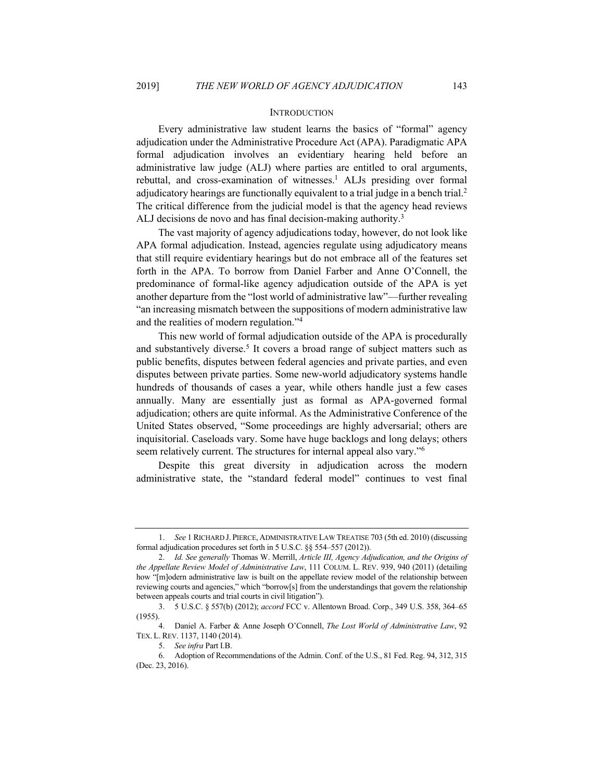#### **INTRODUCTION**

Every administrative law student learns the basics of "formal" agency adjudication under the Administrative Procedure Act (APA). Paradigmatic APA formal adjudication involves an evidentiary hearing held before an administrative law judge (ALJ) where parties are entitled to oral arguments, rebuttal, and cross-examination of witnesses.<sup>1</sup> ALJs presiding over formal adjudicatory hearings are functionally equivalent to a trial judge in a bench trial.<sup>2</sup> The critical difference from the judicial model is that the agency head reviews ALJ decisions de novo and has final decision-making authority.<sup>3</sup>

The vast majority of agency adjudications today, however, do not look like APA formal adjudication. Instead, agencies regulate using adjudicatory means that still require evidentiary hearings but do not embrace all of the features set forth in the APA. To borrow from Daniel Farber and Anne O'Connell, the predominance of formal-like agency adjudication outside of the APA is yet another departure from the "lost world of administrative law"—further revealing "an increasing mismatch between the suppositions of modern administrative law and the realities of modern regulation."4

This new world of formal adjudication outside of the APA is procedurally and substantively diverse.<sup>5</sup> It covers a broad range of subject matters such as public benefits, disputes between federal agencies and private parties, and even disputes between private parties. Some new-world adjudicatory systems handle hundreds of thousands of cases a year, while others handle just a few cases annually. Many are essentially just as formal as APA-governed formal adjudication; others are quite informal. As the Administrative Conference of the United States observed, "Some proceedings are highly adversarial; others are inquisitorial. Caseloads vary. Some have huge backlogs and long delays; others seem relatively current. The structures for internal appeal also vary."6

Despite this great diversity in adjudication across the modern administrative state, the "standard federal model" continues to vest final

<sup>1.</sup> *See* 1 RICHARD J. PIERCE, ADMINISTRATIVE LAW TREATISE 703 (5th ed. 2010) (discussing formal adjudication procedures set forth in 5 U.S.C. §§ 554–557 (2012)).

<sup>2.</sup> *Id. See generally* Thomas W. Merrill, *Article III, Agency Adjudication, and the Origins of the Appellate Review Model of Administrative Law*, 111 COLUM. L. REV. 939, 940 (2011) (detailing how "[m]odern administrative law is built on the appellate review model of the relationship between reviewing courts and agencies," which "borrow[s] from the understandings that govern the relationship between appeals courts and trial courts in civil litigation").

<sup>3.</sup> 5 U.S.C. § 557(b) (2012); *accord* FCC v. Allentown Broad. Corp., 349 U.S. 358, 364–65 (1955).

<sup>4.</sup> Daniel A. Farber & Anne Joseph O'Connell, *The Lost World of Administrative Law*, 92 TEX. L. REV. 1137, 1140 (2014).

<sup>5.</sup> *See infra* Part I.B.

<sup>6.</sup> Adoption of Recommendations of the Admin. Conf. of the U.S., 81 Fed. Reg. 94, 312, 315 (Dec. 23, 2016).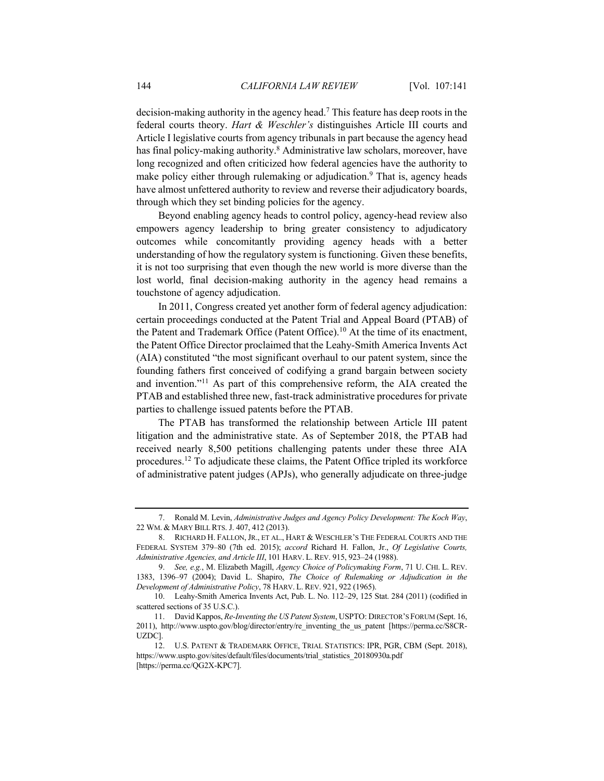decision-making authority in the agency head.7 This feature has deep roots in the federal courts theory. *Hart & Weschler's* distinguishes Article III courts and Article I legislative courts from agency tribunals in part because the agency head has final policy-making authority.<sup>8</sup> Administrative law scholars, moreover, have long recognized and often criticized how federal agencies have the authority to make policy either through rulemaking or adjudication.<sup>9</sup> That is, agency heads have almost unfettered authority to review and reverse their adjudicatory boards, through which they set binding policies for the agency.

Beyond enabling agency heads to control policy, agency-head review also empowers agency leadership to bring greater consistency to adjudicatory outcomes while concomitantly providing agency heads with a better understanding of how the regulatory system is functioning. Given these benefits, it is not too surprising that even though the new world is more diverse than the lost world, final decision-making authority in the agency head remains a touchstone of agency adjudication.

In 2011, Congress created yet another form of federal agency adjudication: certain proceedings conducted at the Patent Trial and Appeal Board (PTAB) of the Patent and Trademark Office (Patent Office).<sup>10</sup> At the time of its enactment, the Patent Office Director proclaimed that the Leahy-Smith America Invents Act (AIA) constituted "the most significant overhaul to our patent system, since the founding fathers first conceived of codifying a grand bargain between society and invention."11 As part of this comprehensive reform, the AIA created the PTAB and established three new, fast-track administrative procedures for private parties to challenge issued patents before the PTAB.

The PTAB has transformed the relationship between Article III patent litigation and the administrative state. As of September 2018, the PTAB had received nearly 8,500 petitions challenging patents under these three AIA procedures.12 To adjudicate these claims, the Patent Office tripled its workforce of administrative patent judges (APJs), who generally adjudicate on three-judge

<sup>7.</sup> Ronald M. Levin, *Administrative Judges and Agency Policy Development: The Koch Way*, 22 WM. & MARY BILL RTS. J. 407, 412 (2013).

<sup>8.</sup> RICHARD H. FALLON, JR., ET AL., HART & WESCHLER'S THE FEDERAL COURTS AND THE FEDERAL SYSTEM 379–80 (7th ed. 2015); *accord* Richard H. Fallon, Jr., *Of Legislative Courts, Administrative Agencies, and Article III*, 101 HARV. L. REV. 915, 923–24 (1988).

<sup>9.</sup> *See, e.g.*, M. Elizabeth Magill, *Agency Choice of Policymaking Form*, 71 U. CHI. L. REV. 1383, 1396–97 (2004); David L. Shapiro, *The Choice of Rulemaking or Adjudication in the Development of Administrative Policy*, 78 HARV. L. REV. 921, 922 (1965).

<sup>10.</sup> Leahy-Smith America Invents Act, Pub. L. No. 112–29, 125 Stat. 284 (2011) (codified in scattered sections of 35 U.S.C.).

<sup>11.</sup> David Kappos, *Re-Inventing the US Patent System*, USPTO: DIRECTOR'S FORUM (Sept. 16, 2011), http://www.uspto.gov/blog/director/entry/re\_inventing\_the\_us\_patent [https://perma.cc/S8CR-UZDC].

<sup>12.</sup> U.S. PATENT & TRADEMARK OFFICE, TRIAL STATISTICS: IPR, PGR, CBM (Sept. 2018), https://www.uspto.gov/sites/default/files/documents/trial\_statistics\_20180930a.pdf [https://perma.cc/QG2X-KPC7].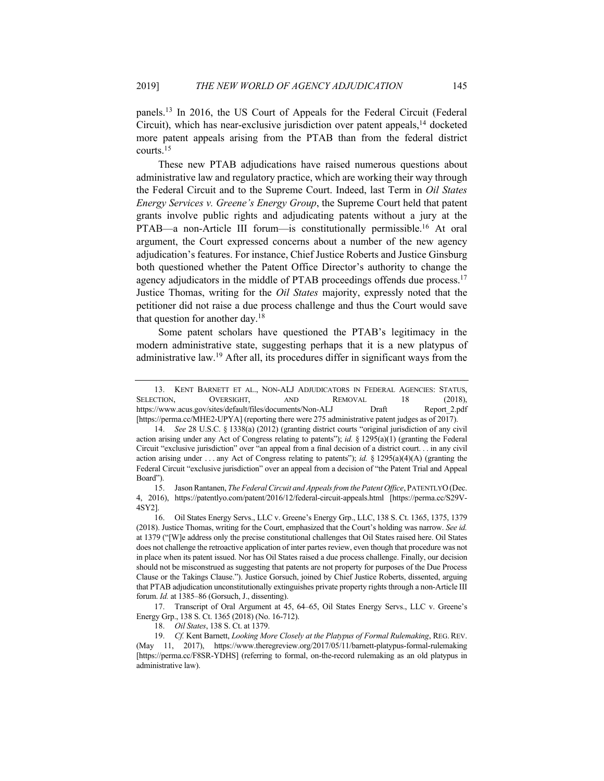panels.13 In 2016, the US Court of Appeals for the Federal Circuit (Federal Circuit), which has near-exclusive jurisdiction over patent appeals,<sup>14</sup> docketed more patent appeals arising from the PTAB than from the federal district courts.15

These new PTAB adjudications have raised numerous questions about administrative law and regulatory practice, which are working their way through the Federal Circuit and to the Supreme Court. Indeed, last Term in *Oil States Energy Services v. Greene's Energy Group*, the Supreme Court held that patent grants involve public rights and adjudicating patents without a jury at the PTAB—a non-Article III forum—is constitutionally permissible.<sup>16</sup> At oral argument, the Court expressed concerns about a number of the new agency adjudication's features. For instance, Chief Justice Roberts and Justice Ginsburg both questioned whether the Patent Office Director's authority to change the agency adjudicators in the middle of PTAB proceedings offends due process.<sup>17</sup> Justice Thomas, writing for the *Oil States* majority, expressly noted that the petitioner did not raise a due process challenge and thus the Court would save that question for another day.18

Some patent scholars have questioned the PTAB's legitimacy in the modern administrative state, suggesting perhaps that it is a new platypus of administrative law.19 After all, its procedures differ in significant ways from the

<sup>13.</sup> KENT BARNETT ET AL., NON-ALJ ADJUDICATORS IN FEDERAL AGENCIES: STATUS, SELECTION, OVERSIGHT, AND REMOVAL 18 (2018), https://www.acus.gov/sites/default/files/documents/Non-ALJ Draft Report\_2.pdf [https://perma.cc/MHE2-UPYA] (reporting there were 275 administrative patent judges as of 2017).

<sup>14.</sup> *See* 28 U.S.C. § 1338(a) (2012) (granting district courts "original jurisdiction of any civil action arising under any Act of Congress relating to patents"); *id.* § 1295(a)(1) (granting the Federal Circuit "exclusive jurisdiction" over "an appeal from a final decision of a district court. . . in any civil action arising under . . . any Act of Congress relating to patents"); *id.* § 1295(a)(4)(A) (granting the Federal Circuit "exclusive jurisdiction" over an appeal from a decision of "the Patent Trial and Appeal Board").

<sup>15.</sup> Jason Rantanen, *The Federal Circuit and Appeals from the Patent Office*, PATENTLYO(Dec. 4, 2016), https://patentlyo.com/patent/2016/12/federal-circuit-appeals.html [https://perma.cc/S29V-4SY2].

<sup>16.</sup> Oil States Energy Servs., LLC v. Greene's Energy Grp., LLC, 138 S. Ct. 1365, 1375, 1379 (2018). Justice Thomas, writing for the Court, emphasized that the Court's holding was narrow. *See id.*  at 1379 ("[W]e address only the precise constitutional challenges that Oil States raised here. Oil States does not challenge the retroactive application of inter partes review, even though that procedure was not in place when its patent issued. Nor has Oil States raised a due process challenge. Finally, our decision should not be misconstrued as suggesting that patents are not property for purposes of the Due Process Clause or the Takings Clause."). Justice Gorsuch, joined by Chief Justice Roberts, dissented, arguing that PTAB adjudication unconstitutionally extinguishes private property rights through a non-Article III forum. *Id.* at 1385–86 (Gorsuch, J., dissenting).

<sup>17.</sup> Transcript of Oral Argument at 45, 64–65, Oil States Energy Servs., LLC v. Greene's Energy Grp., 138 S. Ct. 1365 (2018) (No. 16-712).

<sup>18.</sup> *Oil States*, 138 S. Ct. at 1379.

<sup>19.</sup> *Cf.* Kent Barnett, *Looking More Closely at the Platypus of Formal Rulemaking*, REG. REV. (May 11, 2017), https://www.theregreview.org/2017/05/11/barnett-platypus-formal-rulemaking [https://perma.cc/F8SR-YDHS] (referring to formal, on-the-record rulemaking as an old platypus in administrative law).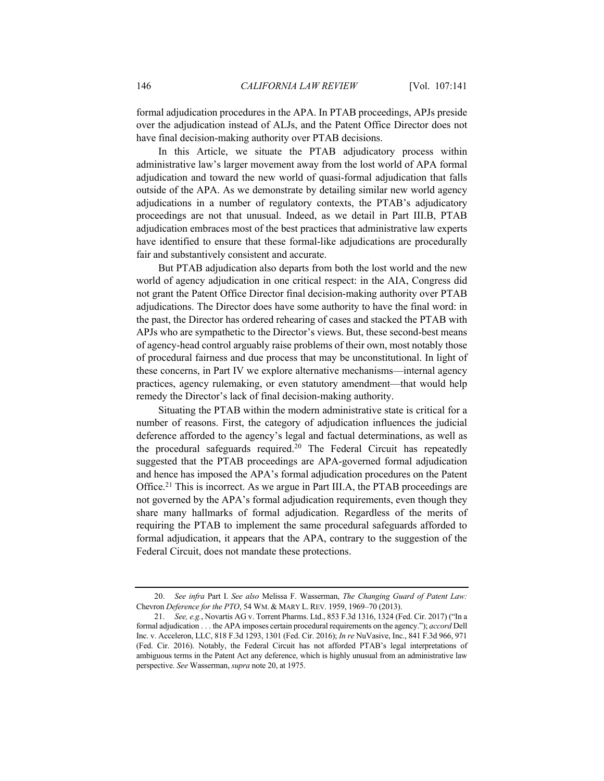formal adjudication procedures in the APA. In PTAB proceedings, APJs preside over the adjudication instead of ALJs, and the Patent Office Director does not have final decision-making authority over PTAB decisions.

In this Article, we situate the PTAB adjudicatory process within administrative law's larger movement away from the lost world of APA formal adjudication and toward the new world of quasi-formal adjudication that falls outside of the APA. As we demonstrate by detailing similar new world agency adjudications in a number of regulatory contexts, the PTAB's adjudicatory proceedings are not that unusual. Indeed, as we detail in Part III.B, PTAB adjudication embraces most of the best practices that administrative law experts have identified to ensure that these formal-like adjudications are procedurally fair and substantively consistent and accurate.

But PTAB adjudication also departs from both the lost world and the new world of agency adjudication in one critical respect: in the AIA, Congress did not grant the Patent Office Director final decision-making authority over PTAB adjudications. The Director does have some authority to have the final word: in the past, the Director has ordered rehearing of cases and stacked the PTAB with APJs who are sympathetic to the Director's views. But, these second-best means of agency-head control arguably raise problems of their own, most notably those of procedural fairness and due process that may be unconstitutional. In light of these concerns, in Part IV we explore alternative mechanisms—internal agency practices, agency rulemaking, or even statutory amendment—that would help remedy the Director's lack of final decision-making authority.

Situating the PTAB within the modern administrative state is critical for a number of reasons. First, the category of adjudication influences the judicial deference afforded to the agency's legal and factual determinations, as well as the procedural safeguards required.20 The Federal Circuit has repeatedly suggested that the PTAB proceedings are APA-governed formal adjudication and hence has imposed the APA's formal adjudication procedures on the Patent Office.21 This is incorrect. As we argue in Part III.A, the PTAB proceedings are not governed by the APA's formal adjudication requirements, even though they share many hallmarks of formal adjudication. Regardless of the merits of requiring the PTAB to implement the same procedural safeguards afforded to formal adjudication, it appears that the APA, contrary to the suggestion of the Federal Circuit, does not mandate these protections.

<sup>20.</sup> *See infra* Part I. *See also* Melissa F. Wasserman, *The Changing Guard of Patent Law:*  Chevron *Deference for the PTO*, 54 WM. & MARY L. REV. 1959, 1969–70 (2013).

<sup>21.</sup> *See, e.g.*, Novartis AG v. Torrent Pharms. Ltd., 853 F.3d 1316, 1324 (Fed. Cir. 2017) ("In a formal adjudication . . . the APA imposes certain procedural requirements on the agency."); *accord* Dell Inc. v. Acceleron, LLC, 818 F.3d 1293, 1301 (Fed. Cir. 2016); *In re* NuVasive, Inc., 841 F.3d 966, 971 (Fed. Cir. 2016). Notably, the Federal Circuit has not afforded PTAB's legal interpretations of ambiguous terms in the Patent Act any deference, which is highly unusual from an administrative law perspective. *See* Wasserman, *supra* note 20, at 1975.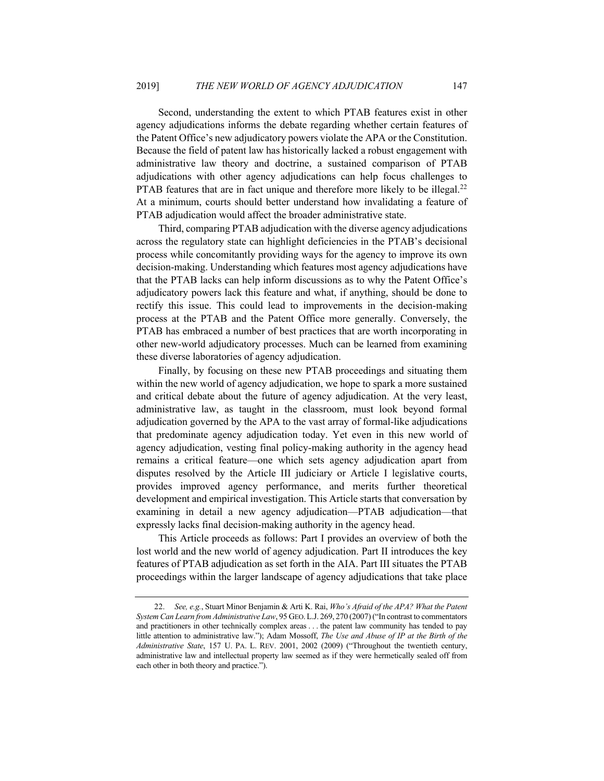Second, understanding the extent to which PTAB features exist in other agency adjudications informs the debate regarding whether certain features of the Patent Office's new adjudicatory powers violate the APA or the Constitution. Because the field of patent law has historically lacked a robust engagement with administrative law theory and doctrine, a sustained comparison of PTAB adjudications with other agency adjudications can help focus challenges to PTAB features that are in fact unique and therefore more likely to be illegal.<sup>22</sup> At a minimum, courts should better understand how invalidating a feature of PTAB adjudication would affect the broader administrative state.

Third, comparing PTAB adjudication with the diverse agency adjudications across the regulatory state can highlight deficiencies in the PTAB's decisional process while concomitantly providing ways for the agency to improve its own decision-making. Understanding which features most agency adjudications have that the PTAB lacks can help inform discussions as to why the Patent Office's adjudicatory powers lack this feature and what, if anything, should be done to rectify this issue. This could lead to improvements in the decision-making process at the PTAB and the Patent Office more generally. Conversely, the PTAB has embraced a number of best practices that are worth incorporating in other new-world adjudicatory processes. Much can be learned from examining these diverse laboratories of agency adjudication.

Finally, by focusing on these new PTAB proceedings and situating them within the new world of agency adjudication, we hope to spark a more sustained and critical debate about the future of agency adjudication. At the very least, administrative law, as taught in the classroom, must look beyond formal adjudication governed by the APA to the vast array of formal-like adjudications that predominate agency adjudication today. Yet even in this new world of agency adjudication, vesting final policy-making authority in the agency head remains a critical feature—one which sets agency adjudication apart from disputes resolved by the Article III judiciary or Article I legislative courts, provides improved agency performance, and merits further theoretical development and empirical investigation. This Article starts that conversation by examining in detail a new agency adjudication—PTAB adjudication—that expressly lacks final decision-making authority in the agency head.

This Article proceeds as follows: Part I provides an overview of both the lost world and the new world of agency adjudication. Part II introduces the key features of PTAB adjudication as set forth in the AIA. Part III situates the PTAB proceedings within the larger landscape of agency adjudications that take place

<sup>22.</sup> *See, e.g.*, Stuart Minor Benjamin & Arti K. Rai, *Who's Afraid of the APA? What the Patent System Can Learn from Administrative Law*, 95 GEO.L.J. 269, 270 (2007) ("In contrast to commentators and practitioners in other technically complex areas . . . the patent law community has tended to pay little attention to administrative law."); Adam Mossoff, *The Use and Abuse of IP at the Birth of the Administrative State*, 157 U. PA. L. REV. 2001, 2002 (2009) ("Throughout the twentieth century, administrative law and intellectual property law seemed as if they were hermetically sealed off from each other in both theory and practice.").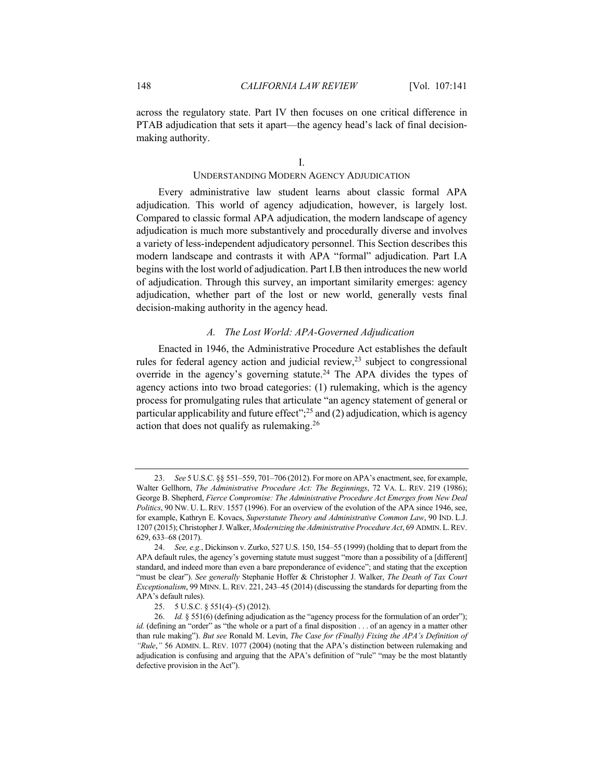across the regulatory state. Part IV then focuses on one critical difference in PTAB adjudication that sets it apart—the agency head's lack of final decisionmaking authority.

#### I.

#### UNDERSTANDING MODERN AGENCY ADJUDICATION

Every administrative law student learns about classic formal APA adjudication. This world of agency adjudication, however, is largely lost. Compared to classic formal APA adjudication, the modern landscape of agency adjudication is much more substantively and procedurally diverse and involves a variety of less-independent adjudicatory personnel. This Section describes this modern landscape and contrasts it with APA "formal" adjudication. Part I.A begins with the lost world of adjudication. Part I.B then introduces the new world of adjudication. Through this survey, an important similarity emerges: agency adjudication, whether part of the lost or new world, generally vests final decision-making authority in the agency head.

#### *A. The Lost World: APA-Governed Adjudication*

Enacted in 1946, the Administrative Procedure Act establishes the default rules for federal agency action and judicial review, $^{23}$  subject to congressional override in the agency's governing statute.<sup>24</sup> The APA divides the types of agency actions into two broad categories: (1) rulemaking, which is the agency process for promulgating rules that articulate "an agency statement of general or particular applicability and future effect";<sup>25</sup> and (2) adjudication, which is agency action that does not qualify as rulemaking.26

<sup>23.</sup> *See* 5 U.S.C. §§ 551–559, 701–706 (2012). For more on APA's enactment, see, for example, Walter Gellhorn, *The Administrative Procedure Act: The Beginnings*, 72 VA. L. REV. 219 (1986); George B. Shepherd, *Fierce Compromise: The Administrative Procedure Act Emerges from New Deal Politics*, 90 NW. U. L. REV. 1557 (1996). For an overview of the evolution of the APA since 1946, see, for example, Kathryn E. Kovacs, *Superstatute Theory and Administrative Common Law*, 90 IND. L.J. 1207 (2015); Christopher J. Walker, *Modernizing the Administrative Procedure Act*, 69 ADMIN.L.REV. 629, 633–68 (2017).

<sup>24.</sup> *See, e.g.*, Dickinson v. Zurko, 527 U.S. 150, 154–55 (1999) (holding that to depart from the APA default rules, the agency's governing statute must suggest "more than a possibility of a [different] standard, and indeed more than even a bare preponderance of evidence"; and stating that the exception "must be clear"). *See generally* Stephanie Hoffer & Christopher J. Walker, *The Death of Tax Court Exceptionalism*, 99 MINN. L. REV. 221, 243–45 (2014) (discussing the standards for departing from the APA's default rules).

<sup>25.</sup> 5 U.S.C. § 551(4)–(5) (2012).

<sup>26.</sup> *Id.* § 551(6) (defining adjudication as the "agency process for the formulation of an order"); *id.* (defining an "order" as "the whole or a part of a final disposition . . . of an agency in a matter other than rule making"). *But see* Ronald M. Levin, *The Case for (Finally) Fixing the APA's Definition of "Rule*,*"* 56 ADMIN. L. REV. 1077 (2004) (noting that the APA's distinction between rulemaking and adjudication is confusing and arguing that the APA's definition of "rule" "may be the most blatantly defective provision in the Act").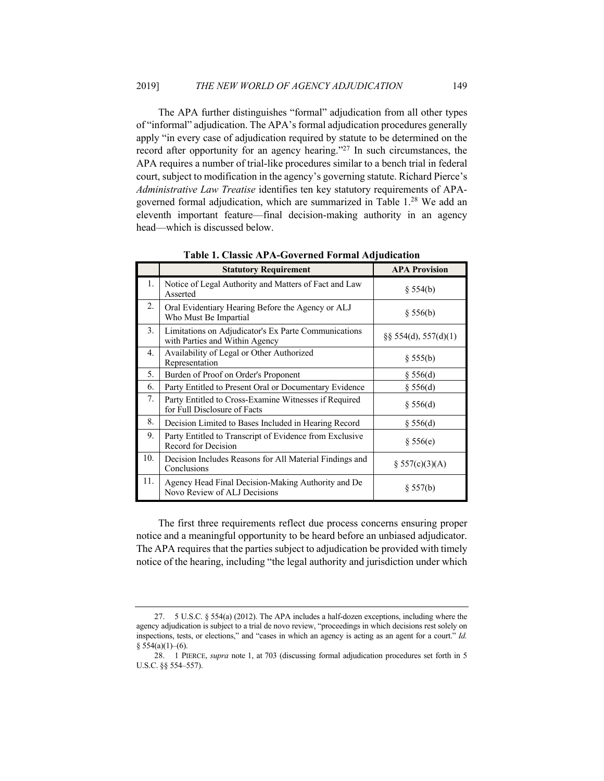The APA further distinguishes "formal" adjudication from all other types of "informal" adjudication. The APA's formal adjudication procedures generally apply "in every case of adjudication required by statute to be determined on the record after opportunity for an agency hearing."27 In such circumstances, the APA requires a number of trial-like procedures similar to a bench trial in federal court, subject to modification in the agency's governing statute. Richard Pierce's *Administrative Law Treatise* identifies ten key statutory requirements of APAgoverned formal adjudication, which are summarized in Table 1.28 We add an eleventh important feature—final decision-making authority in an agency head—which is discussed below.

|     | <b>Statutory Requirement</b>                                                           | <b>APA Provision</b>     |
|-----|----------------------------------------------------------------------------------------|--------------------------|
| 1.  | Notice of Legal Authority and Matters of Fact and Law<br>Asserted                      | § 554(b)                 |
| 2.  | Oral Evidentiary Hearing Before the Agency or ALJ<br>Who Must Be Impartial             | § 556(b)                 |
| 3.  | Limitations on Adjudicator's Ex Parte Communications<br>with Parties and Within Agency | $\S$ § 554(d), 557(d)(1) |
| 4.  | Availability of Legal or Other Authorized<br>Representation                            | § 555(b)                 |
| 5.  | Burden of Proof on Order's Proponent                                                   | § 556(d)                 |
| 6.  | Party Entitled to Present Oral or Documentary Evidence                                 | § 556(d)                 |
| 7.  | Party Entitled to Cross-Examine Witnesses if Required<br>for Full Disclosure of Facts  | § 556(d)                 |
| 8.  | Decision Limited to Bases Included in Hearing Record                                   | § 556(d)                 |
| 9.  | Party Entitled to Transcript of Evidence from Exclusive<br>Record for Decision         | § 556(e)                 |
| 10. | Decision Includes Reasons for All Material Findings and<br>Conclusions                 | $\S 557(c)(3)(A)$        |
| 11. | Agency Head Final Decision-Making Authority and De<br>Novo Review of ALJ Decisions     | § 557(b)                 |

**Table 1. Classic APA-Governed Formal Adjudication**

The first three requirements reflect due process concerns ensuring proper notice and a meaningful opportunity to be heard before an unbiased adjudicator. The APA requires that the parties subject to adjudication be provided with timely notice of the hearing, including "the legal authority and jurisdiction under which

<sup>27.</sup> 5 U.S.C. § 554(a) (2012). The APA includes a half-dozen exceptions, including where the agency adjudication is subject to a trial de novo review, "proceedings in which decisions rest solely on inspections, tests, or elections," and "cases in which an agency is acting as an agent for a court." *Id.*  $§ 554(a)(1)–(6).$ 

<sup>28.</sup> 1 PIERCE, *supra* note 1, at 703 (discussing formal adjudication procedures set forth in 5 U.S.C. §§ 554–557).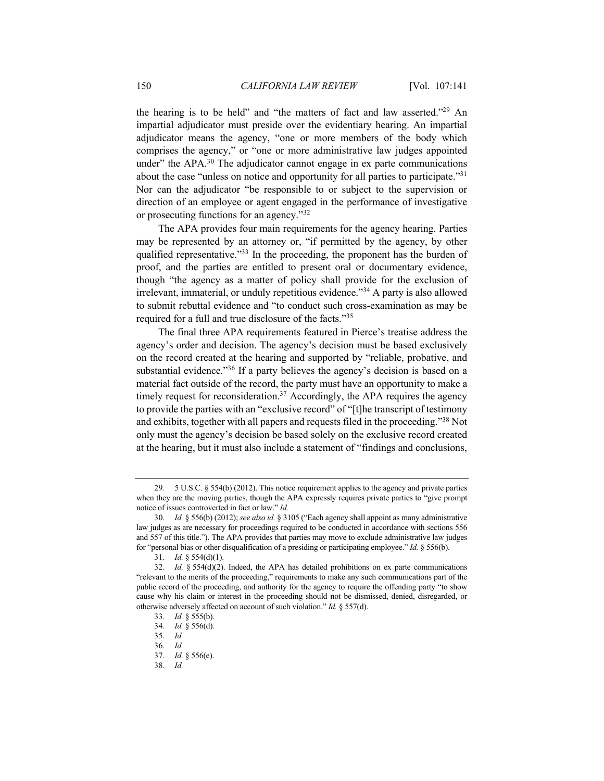the hearing is to be held" and "the matters of fact and law asserted."29 An impartial adjudicator must preside over the evidentiary hearing. An impartial adjudicator means the agency, "one or more members of the body which comprises the agency," or "one or more administrative law judges appointed under" the APA. $30$  The adjudicator cannot engage in ex parte communications about the case "unless on notice and opportunity for all parties to participate."31 Nor can the adjudicator "be responsible to or subject to the supervision or direction of an employee or agent engaged in the performance of investigative or prosecuting functions for an agency."32

The APA provides four main requirements for the agency hearing. Parties may be represented by an attorney or, "if permitted by the agency, by other qualified representative."<sup>33</sup> In the proceeding, the proponent has the burden of proof, and the parties are entitled to present oral or documentary evidence, though "the agency as a matter of policy shall provide for the exclusion of irrelevant, immaterial, or unduly repetitious evidence."34 A party is also allowed to submit rebuttal evidence and "to conduct such cross-examination as may be required for a full and true disclosure of the facts."35

The final three APA requirements featured in Pierce's treatise address the agency's order and decision. The agency's decision must be based exclusively on the record created at the hearing and supported by "reliable, probative, and substantial evidence."<sup>36</sup> If a party believes the agency's decision is based on a material fact outside of the record, the party must have an opportunity to make a timely request for reconsideration.<sup>37</sup> Accordingly, the APA requires the agency to provide the parties with an "exclusive record" of "[t]he transcript of testimony and exhibits, together with all papers and requests filed in the proceeding."38 Not only must the agency's decision be based solely on the exclusive record created at the hearing, but it must also include a statement of "findings and conclusions,

<sup>29.</sup> 5 U.S.C. § 554(b) (2012). This notice requirement applies to the agency and private parties when they are the moving parties, though the APA expressly requires private parties to "give prompt notice of issues controverted in fact or law." *Id.*

<sup>30.</sup> *Id.* § 556(b) (2012); *see also id.* § 3105 ("Each agency shall appoint as many administrative law judges as are necessary for proceedings required to be conducted in accordance with sections 556 and 557 of this title."). The APA provides that parties may move to exclude administrative law judges for "personal bias or other disqualification of a presiding or participating employee." *Id.* § 556(b).

<sup>31.</sup> *Id.* § 554(d)(1).

<sup>32.</sup> *Id.*  $\S 554(d)(2)$ . Indeed, the APA has detailed prohibitions on ex parte communications "relevant to the merits of the proceeding," requirements to make any such communications part of the public record of the proceeding, and authority for the agency to require the offending party "to show cause why his claim or interest in the proceeding should not be dismissed, denied, disregarded, or otherwise adversely affected on account of such violation." *Id.* § 557(d).

<sup>33.</sup> *Id.* § 555(b).

<sup>34.</sup> *Id.* § 556(d).

<sup>35.</sup> *Id.*

<sup>36.</sup> *Id.*

<sup>37.</sup> *Id.* § 556(e).

<sup>38.</sup> *Id.*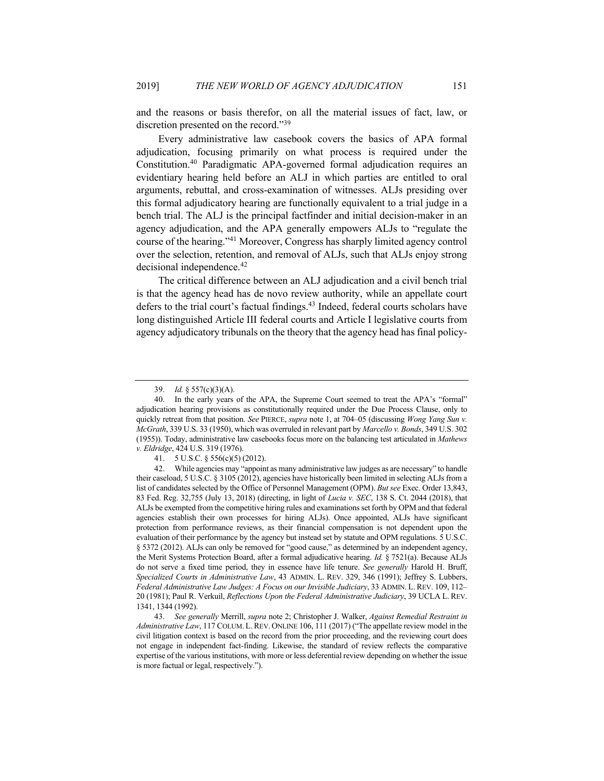and the reasons or basis therefor, on all the material issues of fact, law, or discretion presented on the record."39

Every administrative law casebook covers the basics of APA formal adjudication, focusing primarily on what process is required under the Constitution.40 Paradigmatic APA-governed formal adjudication requires an evidentiary hearing held before an ALJ in which parties are entitled to oral arguments, rebuttal, and cross-examination of witnesses. ALJs presiding over this formal adjudicatory hearing are functionally equivalent to a trial judge in a bench trial. The ALJ is the principal factfinder and initial decision-maker in an agency adjudication, and the APA generally empowers ALJs to "regulate the course of the hearing."41 Moreover, Congress has sharply limited agency control over the selection, retention, and removal of ALJs, such that ALJs enjoy strong decisional independence.42

The critical difference between an ALJ adjudication and a civil bench trial is that the agency head has de novo review authority, while an appellate court defers to the trial court's factual findings.<sup>43</sup> Indeed, federal courts scholars have long distinguished Article III federal courts and Article I legislative courts from agency adjudicatory tribunals on the theory that the agency head has final policy-

<sup>39.</sup> *Id.* § 557(c)(3)(A).

<sup>40.</sup> In the early years of the APA, the Supreme Court seemed to treat the APA's "formal" adjudication hearing provisions as constitutionally required under the Due Process Clause, only to quickly retreat from that position. *See* PIERCE, *supra* note 1, at 704–05 (discussing *Wong Yang Sun v. McGrath*, 339 U.S. 33 (1950), which was overruled in relevant part by *Marcello v. Bonds*, 349 U.S. 302 (1955)). Today, administrative law casebooks focus more on the balancing test articulated in *Mathews v. Eldridge*, 424 U.S. 319 (1976).

<sup>41.</sup> 5 U.S.C. § 556(c)(5) (2012).

<sup>42.</sup> While agencies may "appoint as many administrative law judges as are necessary" to handle their caseload, 5 U.S.C. § 3105 (2012), agencies have historically been limited in selecting ALJs from a list of candidates selected by the Office of Personnel Management (OPM). *But see* Exec. Order 13,843, 83 Fed. Reg. 32,755 (July 13, 2018) (directing, in light of *Lucia v. SEC*, 138 S. Ct. 2044 (2018), that ALJs be exempted from the competitive hiring rules and examinations set forth by OPM and that federal agencies establish their own processes for hiring ALJs). Once appointed, ALJs have significant protection from performance reviews, as their financial compensation is not dependent upon the evaluation of their performance by the agency but instead set by statute and OPM regulations. 5 U.S.C. § 5372 (2012). ALJs can only be removed for "good cause," as determined by an independent agency, the Merit Systems Protection Board, after a formal adjudicative hearing. *Id.* § 7521(a). Because ALJs do not serve a fixed time period, they in essence have life tenure. *See generally* Harold H. Bruff, *Specialized Courts in Administrative Law*, 43 ADMIN. L. REV. 329, 346 (1991); Jeffrey S. Lubbers, *Federal Administrative Law Judges: A Focus on our Invisible Judiciary*, 33 ADMIN. L. REV. 109, 112– 20 (1981); Paul R. Verkuil, *Reflections Upon the Federal Administrative Judiciary*, 39 UCLA L. REV. 1341, 1344 (1992).

<sup>43.</sup> *See generally* Merrill, *supra* note 2; Christopher J. Walker, *Against Remedial Restraint in Administrative Law*, 117 COLUM. L.REV. ONLINE 106, 111 (2017) ("The appellate review model in the civil litigation context is based on the record from the prior proceeding, and the reviewing court does not engage in independent fact-finding. Likewise, the standard of review reflects the comparative expertise of the various institutions, with more or less deferential review depending on whether the issue is more factual or legal, respectively.").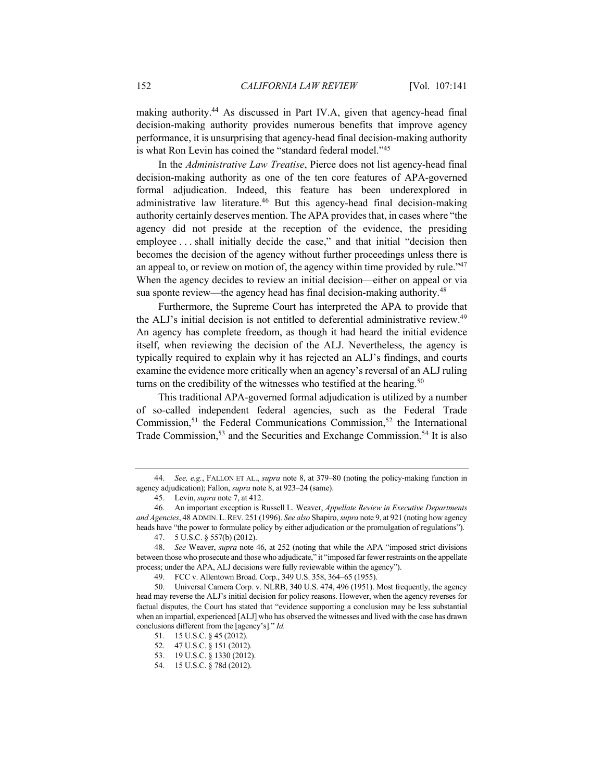making authority.<sup>44</sup> As discussed in Part IV.A, given that agency-head final decision-making authority provides numerous benefits that improve agency performance, it is unsurprising that agency-head final decision-making authority is what Ron Levin has coined the "standard federal model."45

In the *Administrative Law Treatise*, Pierce does not list agency-head final decision-making authority as one of the ten core features of APA-governed formal adjudication. Indeed, this feature has been underexplored in administrative law literature.46 But this agency-head final decision-making authority certainly deserves mention. The APA provides that, in cases where "the agency did not preside at the reception of the evidence, the presiding employee . . . shall initially decide the case," and that initial "decision then becomes the decision of the agency without further proceedings unless there is an appeal to, or review on motion of, the agency within time provided by rule."<sup>47</sup> When the agency decides to review an initial decision—either on appeal or via sua sponte review—the agency head has final decision-making authority.<sup>48</sup>

Furthermore, the Supreme Court has interpreted the APA to provide that the ALJ's initial decision is not entitled to deferential administrative review.<sup>49</sup> An agency has complete freedom, as though it had heard the initial evidence itself, when reviewing the decision of the ALJ. Nevertheless, the agency is typically required to explain why it has rejected an ALJ's findings, and courts examine the evidence more critically when an agency's reversal of an ALJ ruling turns on the credibility of the witnesses who testified at the hearing.<sup>50</sup>

This traditional APA-governed formal adjudication is utilized by a number of so-called independent federal agencies, such as the Federal Trade Commission,<sup>51</sup> the Federal Communications Commission,<sup>52</sup> the International Trade Commission,<sup>53</sup> and the Securities and Exchange Commission.<sup>54</sup> It is also

<sup>44.</sup> *See, e.g.*, FALLON ET AL., *supra* note 8, at 379–80 (noting the policy-making function in agency adjudication); Fallon, *supra* note 8, at 923–24 (same).

<sup>45.</sup> Levin, *supra* note 7, at 412.

<sup>46.</sup> An important exception is Russell L. Weaver, *Appellate Review in Executive Departments and Agencies*, 48 ADMIN.L.REV. 251 (1996). *See also* Shapiro, *supra* note 9, at 921 (noting how agency heads have "the power to formulate policy by either adjudication or the promulgation of regulations").

<sup>47.</sup> 5 U.S.C. § 557(b) (2012).

<sup>48.</sup> *See* Weaver, *supra* note 46, at 252 (noting that while the APA "imposed strict divisions between those who prosecute and those who adjudicate," it "imposed far fewer restraints on the appellate process; under the APA, ALJ decisions were fully reviewable within the agency").

<sup>49.</sup> FCC v. Allentown Broad. Corp., 349 U.S. 358, 364–65 (1955).

<sup>50.</sup> Universal Camera Corp. v. NLRB, 340 U.S. 474, 496 (1951). Most frequently, the agency head may reverse the ALJ's initial decision for policy reasons. However, when the agency reverses for factual disputes, the Court has stated that "evidence supporting a conclusion may be less substantial when an impartial, experienced [ALJ] who has observed the witnesses and lived with the case has drawn conclusions different from the [agency's]." *Id.*

<sup>51.</sup> 15 U.S.C. § 45 (2012).

<sup>52.</sup> 47 U.S.C. § 151 (2012).

<sup>53.</sup> 19 U.S.C. § 1330 (2012).

<sup>54.</sup> 15 U.S.C. § 78d (2012).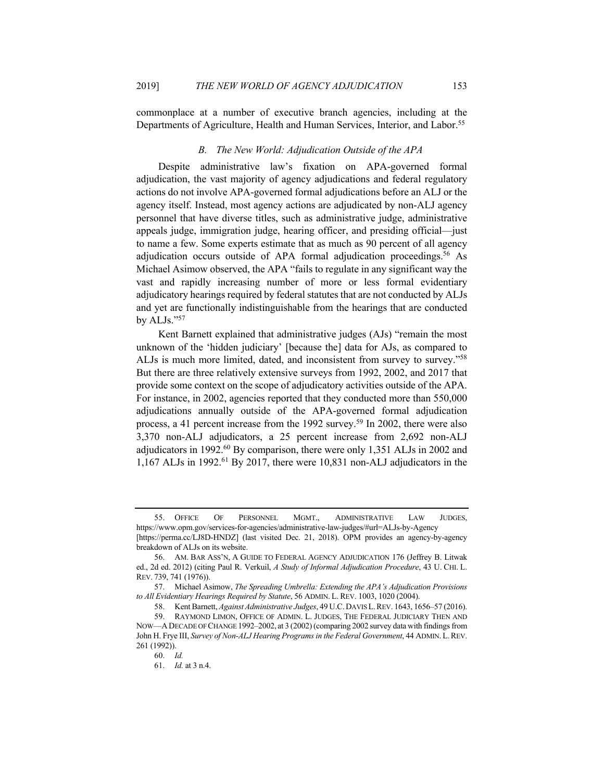commonplace at a number of executive branch agencies, including at the Departments of Agriculture, Health and Human Services, Interior, and Labor.<sup>55</sup>

### *B. The New World: Adjudication Outside of the APA*

Despite administrative law's fixation on APA-governed formal adjudication, the vast majority of agency adjudications and federal regulatory actions do not involve APA-governed formal adjudications before an ALJ or the agency itself. Instead, most agency actions are adjudicated by non-ALJ agency personnel that have diverse titles, such as administrative judge, administrative appeals judge, immigration judge, hearing officer, and presiding official—just to name a few. Some experts estimate that as much as 90 percent of all agency adjudication occurs outside of APA formal adjudication proceedings.<sup>56</sup> As Michael Asimow observed, the APA "fails to regulate in any significant way the vast and rapidly increasing number of more or less formal evidentiary adjudicatory hearings required by federal statutes that are not conducted by ALJs and yet are functionally indistinguishable from the hearings that are conducted by ALJs."57

Kent Barnett explained that administrative judges (AJs) "remain the most unknown of the 'hidden judiciary' [because the] data for AJs, as compared to ALJs is much more limited, dated, and inconsistent from survey to survey."58 But there are three relatively extensive surveys from 1992, 2002, and 2017 that provide some context on the scope of adjudicatory activities outside of the APA. For instance, in 2002, agencies reported that they conducted more than 550,000 adjudications annually outside of the APA-governed formal adjudication process, a 41 percent increase from the 1992 survey.59 In 2002, there were also 3,370 non-ALJ adjudicators, a 25 percent increase from 2,692 non-ALJ adjudicators in 1992.60 By comparison, there were only 1,351 ALJs in 2002 and 1,167 ALJs in 1992.<sup>61</sup> By 2017, there were 10,831 non-ALJ adjudicators in the

<sup>55.</sup> OFFICE OF PERSONNEL MGMT., ADMINISTRATIVE LAW JUDGES, https://www.opm.gov/services-for-agencies/administrative-law-judges/#url=ALJs-by-Agency [https://perma.cc/LJ8D-HNDZ] (last visited Dec. 21, 2018). OPM provides an agency-by-agency

breakdown of ALJs on its website.

<sup>56.</sup> AM. BAR ASS'N, A GUIDE TO FEDERAL AGENCY ADJUDICATION 176 (Jeffrey B. Litwak ed., 2d ed. 2012) (citing Paul R. Verkuil, *A Study of Informal Adjudication Procedure*, 43 U. CHI. L. REV. 739, 741 (1976)).

<sup>57.</sup> Michael Asimow, *The Spreading Umbrella: Extending the APA's Adjudication Provisions to All Evidentiary Hearings Required by Statute*, 56 ADMIN. L. REV. 1003, 1020 (2004).

<sup>58.</sup> Kent Barnett, *Against Administrative Judges*, 49 U.C.DAVIS L.REV. 1643, 1656–57 (2016).

<sup>59.</sup> RAYMOND LIMON, OFFICE OF ADMIN. L. JUDGES, THE FEDERAL JUDICIARY THEN AND NOW—ADECADE OF CHANGE 1992–2002, at 3 (2002) (comparing 2002 survey data with findings from John H. Frye III, *Survey of Non-ALJ Hearing Programs in the Federal Government*, 44 ADMIN. L. REV. 261 (1992)).

<sup>60.</sup> *Id.*

<sup>61.</sup> *Id.* at 3 n.4.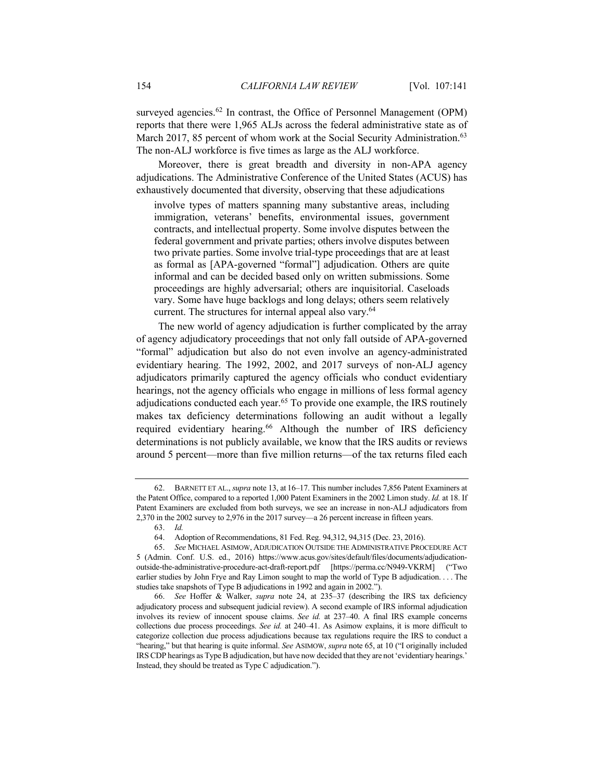surveyed agencies.<sup>62</sup> In contrast, the Office of Personnel Management (OPM) reports that there were 1,965 ALJs across the federal administrative state as of March 2017, 85 percent of whom work at the Social Security Administration.<sup>63</sup> The non-ALJ workforce is five times as large as the ALJ workforce.

Moreover, there is great breadth and diversity in non-APA agency adjudications. The Administrative Conference of the United States (ACUS) has exhaustively documented that diversity, observing that these adjudications

involve types of matters spanning many substantive areas, including immigration, veterans' benefits, environmental issues, government contracts, and intellectual property. Some involve disputes between the federal government and private parties; others involve disputes between two private parties. Some involve trial-type proceedings that are at least as formal as [APA-governed "formal"] adjudication. Others are quite informal and can be decided based only on written submissions. Some proceedings are highly adversarial; others are inquisitorial. Caseloads vary. Some have huge backlogs and long delays; others seem relatively current. The structures for internal appeal also vary.<sup>64</sup>

The new world of agency adjudication is further complicated by the array of agency adjudicatory proceedings that not only fall outside of APA-governed "formal" adjudication but also do not even involve an agency-administrated evidentiary hearing. The 1992, 2002, and 2017 surveys of non-ALJ agency adjudicators primarily captured the agency officials who conduct evidentiary hearings, not the agency officials who engage in millions of less formal agency adjudications conducted each year.<sup>65</sup> To provide one example, the IRS routinely makes tax deficiency determinations following an audit without a legally required evidentiary hearing.<sup>66</sup> Although the number of IRS deficiency determinations is not publicly available, we know that the IRS audits or reviews around 5 percent—more than five million returns—of the tax returns filed each

<sup>62.</sup> BARNETT ET AL., *supra* note 13, at 16–17. This number includes 7,856 Patent Examiners at the Patent Office, compared to a reported 1,000 Patent Examiners in the 2002 Limon study. *Id.* at 18. If Patent Examiners are excluded from both surveys, we see an increase in non-ALJ adjudicators from 2,370 in the 2002 survey to 2,976 in the 2017 survey—a 26 percent increase in fifteen years.

<sup>63.</sup> *Id.*

<sup>64.</sup> Adoption of Recommendations, 81 Fed. Reg. 94,312, 94,315 (Dec. 23, 2016).

<sup>65.</sup> *See* MICHAEL ASIMOW, ADJUDICATION OUTSIDE THE ADMINISTRATIVE PROCEDURE ACT 5 (Admin. Conf. U.S. ed., 2016) https://www.acus.gov/sites/default/files/documents/adjudicationoutside-the-administrative-procedure-act-draft-report.pdf [https://perma.cc/N949-VKRM] ("Two earlier studies by John Frye and Ray Limon sought to map the world of Type B adjudication. . . . The studies take snapshots of Type B adjudications in 1992 and again in 2002.").

<sup>66.</sup> *See* Hoffer & Walker, *supra* note 24, at 235–37 (describing the IRS tax deficiency adjudicatory process and subsequent judicial review). A second example of IRS informal adjudication involves its review of innocent spouse claims. *See id.* at 237–40. A final IRS example concerns collections due process proceedings. *See id.* at 240–41. As Asimow explains, it is more difficult to categorize collection due process adjudications because tax regulations require the IRS to conduct a "hearing," but that hearing is quite informal. *See* ASIMOW, *supra* note 65, at 10 ("I originally included IRS CDP hearings as Type B adjudication, but have now decided that they are not 'evidentiary hearings.' Instead, they should be treated as Type C adjudication.").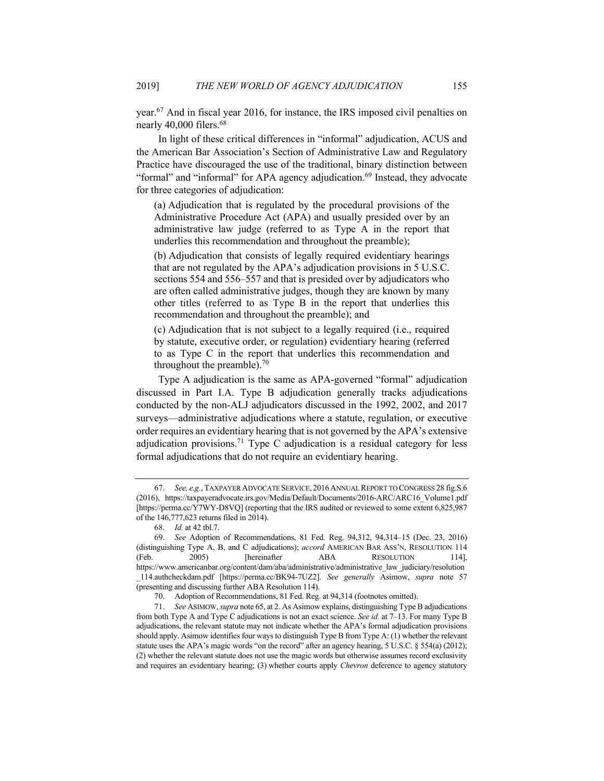year.67 And in fiscal year 2016, for instance, the IRS imposed civil penalties on nearly 40,000 filers.<sup>68</sup>

In light of these critical differences in "informal" adjudication, ACUS and the American Bar Association's Section of Administrative Law and Regulatory Practice have discouraged the use of the traditional, binary distinction between "formal" and "informal" for APA agency adjudication.<sup>69</sup> Instead, they advocate for three categories of adjudication:

(a) Adjudication that is regulated by the procedural provisions of the Administrative Procedure Act (APA) and usually presided over by an administrative law judge (referred to as Type A in the report that underlies this recommendation and throughout the preamble);

(b) Adjudication that consists of legally required evidentiary hearings that are not regulated by the APA's adjudication provisions in 5 U.S.C. sections 554 and 556–557 and that is presided over by adjudicators who are often called administrative judges, though they are known by many other titles (referred to as Type B in the report that underlies this recommendation and throughout the preamble); and

(c) Adjudication that is not subject to a legally required (i.e., required by statute, executive order, or regulation) evidentiary hearing (referred to as Type C in the report that underlies this recommendation and throughout the preamble).<sup>70</sup>

Type A adjudication is the same as APA-governed "formal" adjudication discussed in Part I.A. Type B adjudication generally tracks adjudications conducted by the non-ALJ adjudicators discussed in the 1992, 2002, and 2017 surveys—administrative adjudications where a statute, regulation, or executive order requires an evidentiary hearing that is not governed by the APA's extensive adjudication provisions.<sup>71</sup> Type C adjudication is a residual category for less formal adjudications that do not require an evidentiary hearing.

<sup>67.</sup> *See, e.g.*, TAXPAYER ADVOCATE SERVICE, 2016ANNUAL REPORT TO CONGRESS 28 fig.S.6 (2016), https://taxpayeradvocate.irs.gov/Media/Default/Documents/2016-ARC/ARC16\_Volume1.pdf [https://perma.cc/Y7WY-D8VQ] (reporting that the IRS audited or reviewed to some extent 6,825,987 of the 146,777,623 returns filed in 2014).

<sup>68.</sup> *Id.* at 42 tbl.7.

<sup>69.</sup> *See* Adoption of Recommendations, 81 Fed. Reg. 94,312, 94,314–15 (Dec. 23, 2016) (distinguishing Type A, B, and C adjudications); *accord* AMERICAN BAR ASS'N, RESOLUTION 114 (Feb. 2005) [hereinafter ABA RESOLUTION 114], https://www.americanbar.org/content/dam/aba/administrative/administrative\_law\_judiciary/resolution \_114.authcheckdam.pdf [https://perma.cc/BK94-7UZ2]. *See generally* Asimow, *supra* note 57 (presenting and discussing further ABA Resolution 114).

<sup>70.</sup> Adoption of Recommendations, 81 Fed. Reg. at 94,314 (footnotes omitted).

<sup>71.</sup> *See* ASIMOW, *supra* note 65, at 2. As Asimow explains, distinguishing Type B adjudications from both Type A and Type C adjudications is not an exact science. *See id.* at 7–13. For many Type B adjudications, the relevant statute may not indicate whether the APA's formal adjudication provisions should apply. Asimow identifies four ways to distinguish Type B from Type A: (1) whether the relevant statute uses the APA's magic words "on the record" after an agency hearing, 5 U.S.C. § 554(a) (2012); (2) whether the relevant statute does not use the magic words but otherwise assumes record exclusivity and requires an evidentiary hearing; (3) whether courts apply *Chevron* deference to agency statutory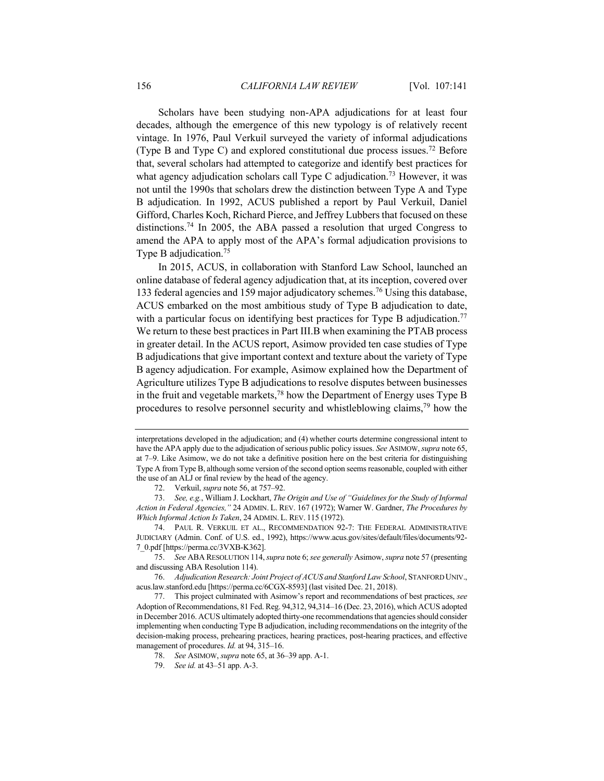Scholars have been studying non-APA adjudications for at least four decades, although the emergence of this new typology is of relatively recent vintage. In 1976, Paul Verkuil surveyed the variety of informal adjudications (Type B and Type C) and explored constitutional due process issues.<sup>72</sup> Before that, several scholars had attempted to categorize and identify best practices for what agency adjudication scholars call Type C adjudication.<sup>73</sup> However, it was not until the 1990s that scholars drew the distinction between Type A and Type B adjudication. In 1992, ACUS published a report by Paul Verkuil, Daniel Gifford, Charles Koch, Richard Pierce, and Jeffrey Lubbers that focused on these distinctions.74 In 2005, the ABA passed a resolution that urged Congress to amend the APA to apply most of the APA's formal adjudication provisions to Type B adjudication.<sup>75</sup>

In 2015, ACUS, in collaboration with Stanford Law School, launched an online database of federal agency adjudication that, at its inception, covered over 133 federal agencies and 159 major adjudicatory schemes.<sup>76</sup> Using this database, ACUS embarked on the most ambitious study of Type B adjudication to date, with a particular focus on identifying best practices for Type B adjudication.<sup>77</sup> We return to these best practices in Part III.B when examining the PTAB process in greater detail. In the ACUS report, Asimow provided ten case studies of Type B adjudications that give important context and texture about the variety of Type B agency adjudication. For example, Asimow explained how the Department of Agriculture utilizes Type B adjudications to resolve disputes between businesses in the fruit and vegetable markets, $78$  how the Department of Energy uses Type B procedures to resolve personnel security and whistleblowing claims,79 how the

interpretations developed in the adjudication; and (4) whether courts determine congressional intent to have the APA apply due to the adjudication of serious public policy issues. *See* ASIMOW, *supra* note 65, at 7–9. Like Asimow, we do not take a definitive position here on the best criteria for distinguishing Type A from Type B, although some version of the second option seems reasonable, coupled with either the use of an ALJ or final review by the head of the agency.

<sup>72.</sup> Verkuil, *supra* note 56, at 757–92.

<sup>73.</sup> *See, e.g.*, William J. Lockhart, *The Origin and Use of "Guidelines for the Study of Informal Action in Federal Agencies,"* 24 ADMIN. L. REV. 167 (1972); Warner W. Gardner, *The Procedures by Which Informal Action Is Taken*, 24 ADMIN. L. REV. 115 (1972).

<sup>74.</sup> PAUL R. VERKUIL ET AL., RECOMMENDATION 92-7: THE FEDERAL ADMINISTRATIVE JUDICIARY (Admin. Conf. of U.S. ed., 1992), https://www.acus.gov/sites/default/files/documents/92- 7\_0.pdf [https://perma.cc/3VXB-K362].

<sup>75.</sup> *See* ABA RESOLUTION 114, *supra* note 6; *see generally* Asimow, *supra* note 57 (presenting and discussing ABA Resolution 114).

<sup>76.</sup> *Adjudication Research: Joint Project of ACUS and Stanford Law School*, STANFORD UNIV., acus.law.stanford.edu [https://perma.cc/6CGX-8593] (last visited Dec. 21, 2018).

<sup>77.</sup> This project culminated with Asimow's report and recommendations of best practices, *see* Adoption of Recommendations, 81 Fed. Reg. 94,312, 94,314–16 (Dec. 23, 2016), which ACUS adopted in December 2016. ACUS ultimately adopted thirty-one recommendations that agencies should consider implementing when conducting Type B adjudication, including recommendations on the integrity of the decision-making process, prehearing practices, hearing practices, post-hearing practices, and effective management of procedures. *Id.* at 94, 315–16.

<sup>78.</sup> *See* ASIMOW, *supra* note 65, at 36–39 app. A-1.

<sup>79.</sup> *See id.* at 43–51 app. A-3.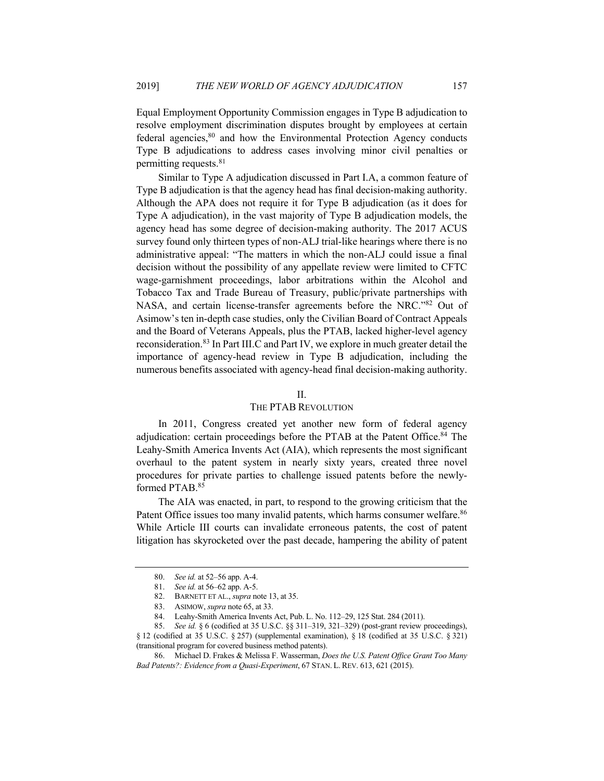Equal Employment Opportunity Commission engages in Type B adjudication to resolve employment discrimination disputes brought by employees at certain federal agencies,<sup>80</sup> and how the Environmental Protection Agency conducts Type B adjudications to address cases involving minor civil penalties or permitting requests.81

Similar to Type A adjudication discussed in Part I.A, a common feature of Type B adjudication is that the agency head has final decision-making authority. Although the APA does not require it for Type B adjudication (as it does for Type A adjudication), in the vast majority of Type B adjudication models, the agency head has some degree of decision-making authority. The 2017 ACUS survey found only thirteen types of non-ALJ trial-like hearings where there is no administrative appeal: "The matters in which the non-ALJ could issue a final decision without the possibility of any appellate review were limited to CFTC wage-garnishment proceedings, labor arbitrations within the Alcohol and Tobacco Tax and Trade Bureau of Treasury, public/private partnerships with NASA, and certain license-transfer agreements before the NRC."82 Out of Asimow's ten in-depth case studies, only the Civilian Board of Contract Appeals and the Board of Veterans Appeals, plus the PTAB, lacked higher-level agency reconsideration.83 In Part III.C and Part IV, we explore in much greater detail the importance of agency-head review in Type B adjudication, including the numerous benefits associated with agency-head final decision-making authority.

#### II.

# THE PTAB REVOLUTION

In 2011, Congress created yet another new form of federal agency adjudication: certain proceedings before the PTAB at the Patent Office.<sup>84</sup> The Leahy-Smith America Invents Act (AIA), which represents the most significant overhaul to the patent system in nearly sixty years, created three novel procedures for private parties to challenge issued patents before the newlyformed PTAB. 85

The AIA was enacted, in part, to respond to the growing criticism that the Patent Office issues too many invalid patents, which harms consumer welfare.<sup>86</sup> While Article III courts can invalidate erroneous patents, the cost of patent litigation has skyrocketed over the past decade, hampering the ability of patent

<sup>80.</sup> *See id.* at 52–56 app. A-4.

<sup>81.</sup> *See id.* at 56–62 app. A-5.

<sup>82.</sup> BARNETT ET AL., *supra* note 13, at 35.

<sup>83.</sup> ASIMOW, *supra* note 65, at 33.

<sup>84.</sup> Leahy-Smith America Invents Act, Pub. L. No. 112–29, 125 Stat. 284 (2011).

<sup>85.</sup> *See id.* § 6 (codified at 35 U.S.C. §§ 311–319, 321–329) (post-grant review proceedings), § 12 (codified at 35 U.S.C. § 257) (supplemental examination), § 18 (codified at 35 U.S.C. § 321) (transitional program for covered business method patents).

<sup>86.</sup> Michael D. Frakes & Melissa F. Wasserman, *Does the U.S. Patent Office Grant Too Many Bad Patents?: Evidence from a Quasi-Experiment*, 67 STAN. L. REV. 613, 621 (2015).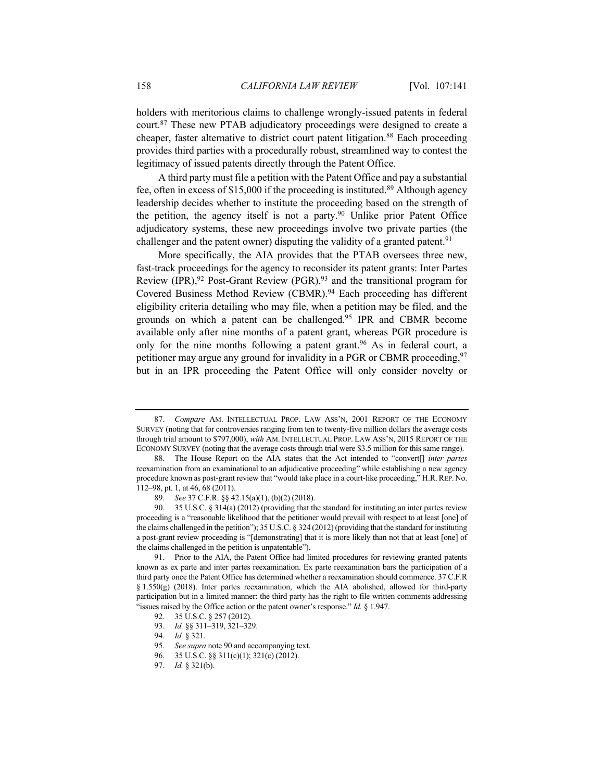holders with meritorious claims to challenge wrongly-issued patents in federal court.87 These new PTAB adjudicatory proceedings were designed to create a cheaper, faster alternative to district court patent litigation.<sup>88</sup> Each proceeding provides third parties with a procedurally robust, streamlined way to contest the legitimacy of issued patents directly through the Patent Office.

A third party must file a petition with the Patent Office and pay a substantial fee, often in excess of \$15,000 if the proceeding is instituted.<sup>89</sup> Although agency leadership decides whether to institute the proceeding based on the strength of the petition, the agency itself is not a party.<sup>90</sup> Unlike prior Patent Office adjudicatory systems, these new proceedings involve two private parties (the challenger and the patent owner) disputing the validity of a granted patent.<sup>91</sup>

More specifically, the AIA provides that the PTAB oversees three new, fast-track proceedings for the agency to reconsider its patent grants: Inter Partes Review (IPR), <sup>92</sup> Post-Grant Review (PGR), <sup>93</sup> and the transitional program for Covered Business Method Review (CBMR).<sup>94</sup> Each proceeding has different eligibility criteria detailing who may file, when a petition may be filed, and the grounds on which a patent can be challenged.95 IPR and CBMR become available only after nine months of a patent grant, whereas PGR procedure is only for the nine months following a patent grant.<sup>96</sup> As in federal court, a petitioner may argue any ground for invalidity in a PGR or CBMR proceeding,  $97$ but in an IPR proceeding the Patent Office will only consider novelty or

<sup>87.</sup> *Compare* AM. INTELLECTUAL PROP. LAW ASS'N, 2001 REPORT OF THE ECONOMY SURVEY (noting that for controversies ranging from ten to twenty-five million dollars the average costs through trial amount to \$797,000), *with* AM. INTELLECTUAL PROP. LAW ASS'N, 2015 REPORT OF THE ECONOMY SURVEY (noting that the average costs through trial were \$3.5 million for this same range).

<sup>88.</sup> The House Report on the AIA states that the Act intended to "convert[] *inter partes* reexamination from an examinational to an adjudicative proceeding" while establishing a new agency procedure known as post-grant review that "would take place in a court-like proceeding," H.R.REP. No. 112–98, pt. 1, at 46, 68 (2011).

<sup>89.</sup> *See* 37 C.F.R. §§ 42.15(a)(1), (b)(2) (2018).

<sup>90.</sup> 35 U.S.C. § 314(a) (2012) (providing that the standard for instituting an inter partes review proceeding is a "reasonable likelihood that the petitioner would prevail with respect to at least [one] of the claims challenged in the petition"); 35 U.S.C. § 324 (2012) (providing that the standard for instituting a post-grant review proceeding is "[demonstrating] that it is more likely than not that at least [one] of the claims challenged in the petition is unpatentable").

<sup>91.</sup> Prior to the AIA, the Patent Office had limited procedures for reviewing granted patents known as ex parte and inter partes reexamination. Ex parte reexamination bars the participation of a third party once the Patent Office has determined whether a reexamination should commence. 37 C.F.R § 1.550(g) (2018). Inter partes reexamination, which the AIA abolished, allowed for third-party participation but in a limited manner: the third party has the right to file written comments addressing "issues raised by the Office action or the patent owner's response." *Id.* § 1.947.

<sup>92.</sup> 35 U.S.C. § 257 (2012).

<sup>93.</sup> *Id.* §§ 311–319, 321–329.

<sup>94.</sup> *Id.* § 321.

<sup>95.</sup> *See supra* note 90 and accompanying text.

<sup>96.</sup> 35 U.S.C. §§ 311(c)(1); 321(c) (2012).

<sup>97.</sup> *Id.* § 321(b).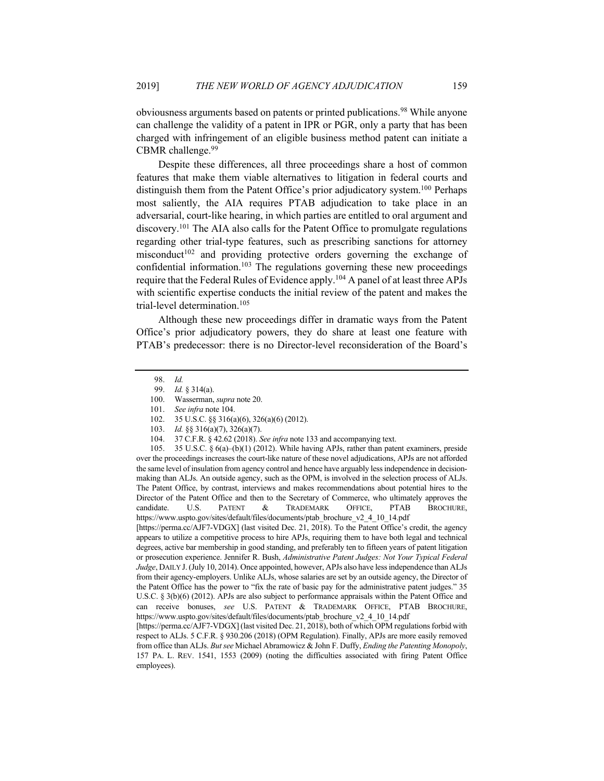obviousness arguments based on patents or printed publications.98 While anyone can challenge the validity of a patent in IPR or PGR, only a party that has been charged with infringement of an eligible business method patent can initiate a CBMR challenge. $99$ 

Despite these differences, all three proceedings share a host of common features that make them viable alternatives to litigation in federal courts and distinguish them from the Patent Office's prior adjudicatory system.<sup>100</sup> Perhaps most saliently, the AIA requires PTAB adjudication to take place in an adversarial, court-like hearing, in which parties are entitled to oral argument and discovery.<sup>101</sup> The AIA also calls for the Patent Office to promulgate regulations regarding other trial-type features, such as prescribing sanctions for attorney misconduct<sup>102</sup> and providing protective orders governing the exchange of confidential information.<sup>103</sup> The regulations governing these new proceedings require that the Federal Rules of Evidence apply.<sup>104</sup> A panel of at least three APJs with scientific expertise conducts the initial review of the patent and makes the trial-level determination.105

Although these new proceedings differ in dramatic ways from the Patent Office's prior adjudicatory powers, they do share at least one feature with PTAB's predecessor: there is no Director-level reconsideration of the Board's

105. 35 U.S.C. § 6(a)–(b)(1) (2012). While having APJs, rather than patent examiners, preside over the proceedings increases the court-like nature of these novel adjudications, APJs are not afforded the same level of insulation from agency control and hence have arguably less independence in decisionmaking than ALJs. An outside agency, such as the OPM, is involved in the selection process of ALJs. The Patent Office, by contrast, interviews and makes recommendations about potential hires to the Director of the Patent Office and then to the Secretary of Commerce, who ultimately approves the candidate. U.S. PATENT & TRADEMARK OFFICE, PTAB BROCHURE, https://www.uspto.gov/sites/default/files/documents/ptab\_brochure\_v2\_4\_10\_14.pdf [https://perma.cc/AJF7-VDGX] (last visited Dec. 21, 2018). To the Patent Office's credit, the agency appears to utilize a competitive process to hire APJs, requiring them to have both legal and technical degrees, active bar membership in good standing, and preferably ten to fifteen years of patent litigation or prosecution experience. Jennifer R. Bush, *Administrative Patent Judges: Not Your Typical Federal Judge*, DAILY J. (July 10, 2014). Once appointed, however, APJs also have less independence than ALJs from their agency-employers. Unlike ALJs, whose salaries are set by an outside agency, the Director of the Patent Office has the power to "fix the rate of basic pay for the administrative patent judges." 35 U.S.C. § 3(b)(6) (2012). APJs are also subject to performance appraisals within the Patent Office and can receive bonuses, *see* U.S. PATENT & TRADEMARK OFFICE, PTAB BROCHURE, https://www.uspto.gov/sites/default/files/documents/ptab\_brochure\_v2\_4\_10\_14.pdf [https://perma.cc/AJF7-VDGX] (last visited Dec. 21, 2018), both of which OPM regulations forbid with

respect to ALJs. 5 C.F.R. § 930.206 (2018) (OPM Regulation). Finally, APJs are more easily removed from office than ALJs. *But see* Michael Abramowicz & John F. Duffy, *Ending the Patenting Monopoly*, 157 PA. L. REV. 1541, 1553 (2009) (noting the difficulties associated with firing Patent Office employees).

<sup>98.</sup> *Id.*

<sup>99.</sup> *Id.* § 314(a).

<sup>100.</sup> Wasserman, *supra* note 20.

<sup>101.</sup> *See infra* note 104.

<sup>102.</sup> 35 U.S.C. §§ 316(a)(6), 326(a)(6) (2012).

<sup>103.</sup> *Id.* §§ 316(a)(7), 326(a)(7).

<sup>104.</sup> 37 C.F.R. § 42.62 (2018). *See infra* note 133 and accompanying text.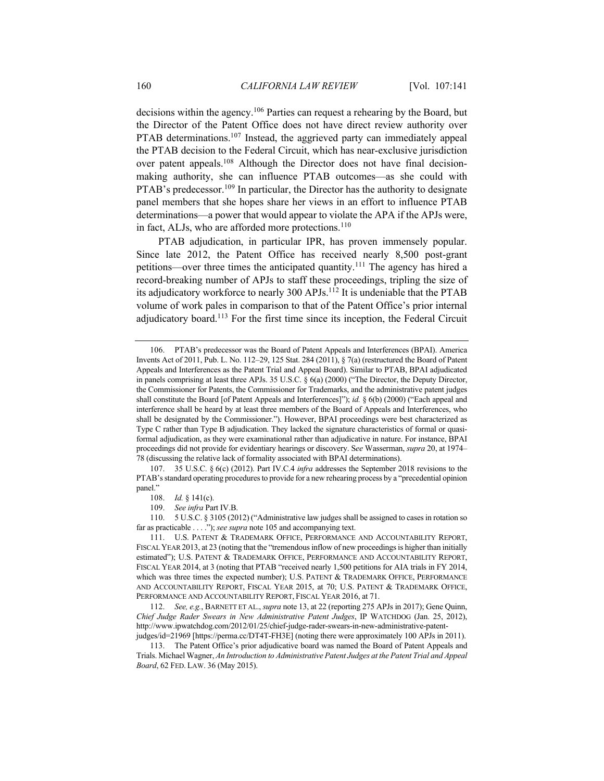decisions within the agency.106 Parties can request a rehearing by the Board, but the Director of the Patent Office does not have direct review authority over PTAB determinations.<sup>107</sup> Instead, the aggrieved party can immediately appeal the PTAB decision to the Federal Circuit, which has near-exclusive jurisdiction over patent appeals.<sup>108</sup> Although the Director does not have final decisionmaking authority, she can influence PTAB outcomes—as she could with PTAB's predecessor.<sup>109</sup> In particular, the Director has the authority to designate panel members that she hopes share her views in an effort to influence PTAB determinations—a power that would appear to violate the APA if the APJs were, in fact, ALJs, who are afforded more protections.<sup>110</sup>

PTAB adjudication, in particular IPR, has proven immensely popular. Since late 2012, the Patent Office has received nearly 8,500 post-grant petitions—over three times the anticipated quantity.111 The agency has hired a record-breaking number of APJs to staff these proceedings, tripling the size of its adjudicatory workforce to nearly 300 APJs.112 It is undeniable that the PTAB volume of work pales in comparison to that of the Patent Office's prior internal adjudicatory board.113 For the first time since its inception, the Federal Circuit

107. 35 U.S.C. § 6(c) (2012). Part IV.C.4 *infra* addresses the September 2018 revisions to the PTAB's standard operating procedures to provide for a new rehearing process by a "precedential opinion panel."

110. 5 U.S.C. § 3105 (2012) ("Administrative law judges shall be assigned to cases in rotation so far as practicable . . . ."); *see supra* note 105 and accompanying text.

111. U.S. PATENT & TRADEMARK OFFICE, PERFORMANCE AND ACCOUNTABILITY REPORT, FISCAL YEAR 2013, at 23 (noting that the "tremendous inflow of new proceedings is higher than initially estimated"); U.S. PATENT & TRADEMARK OFFICE, PERFORMANCE AND ACCOUNTABILITY REPORT, FISCAL YEAR 2014, at 3 (noting that PTAB "received nearly 1,500 petitions for AIA trials in FY 2014, which was three times the expected number); U.S. PATENT & TRADEMARK OFFICE, PERFORMANCE AND ACCOUNTABILITY REPORT, FISCAL YEAR 2015, at 70; U.S. PATENT & TRADEMARK OFFICE, PERFORMANCE AND ACCOUNTABILITY REPORT, FISCAL YEAR 2016, at 71.

112. *See, e.g.*, BARNETT ET AL., *supra* note 13, at 22 (reporting 275 APJs in 2017); Gene Quinn, *Chief Judge Rader Swears in New Administrative Patent Judges*, IP WATCHDOG (Jan. 25, 2012), http://www.ipwatchdog.com/2012/01/25/chief-judge-rader-swears-in-new-administrative-patentjudges/id=21969 [https://perma.cc/DT4T-FH3E] (noting there were approximately 100 APJs in 2011).

113. The Patent Office's prior adjudicative board was named the Board of Patent Appeals and Trials. Michael Wagner, *An Introduction to Administrative Patent Judges at the Patent Trial and Appeal Board*, 62 FED. LAW. 36 (May 2015).

<sup>106.</sup> PTAB's predecessor was the Board of Patent Appeals and Interferences (BPAI). America Invents Act of 2011, Pub. L. No. 112–29, 125 Stat. 284 (2011), § 7(a) (restructured the Board of Patent Appeals and Interferences as the Patent Trial and Appeal Board). Similar to PTAB, BPAI adjudicated in panels comprising at least three APJs. 35 U.S.C. § 6(a) (2000) ("The Director, the Deputy Director, the Commissioner for Patents, the Commissioner for Trademarks, and the administrative patent judges shall constitute the Board [of Patent Appeals and Interferences]"); *id.* § 6(b) (2000) ("Each appeal and interference shall be heard by at least three members of the Board of Appeals and Interferences, who shall be designated by the Commissioner."). However, BPAI proceedings were best characterized as Type C rather than Type B adjudication. They lacked the signature characteristics of formal or quasiformal adjudication, as they were examinational rather than adjudicative in nature. For instance, BPAI proceedings did not provide for evidentiary hearings or discovery. S*ee* Wasserman, *supra* 20, at 1974– 78 (discussing the relative lack of formality associated with BPAI determinations).

<sup>108.</sup> *Id.* § 141(c).

<sup>109.</sup> *See infra* Part IV.B.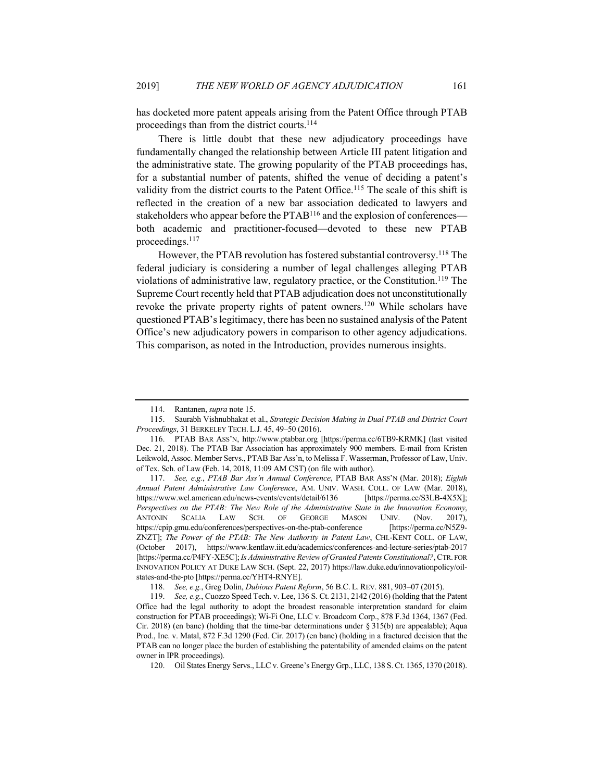has docketed more patent appeals arising from the Patent Office through PTAB proceedings than from the district courts.<sup>114</sup>

There is little doubt that these new adjudicatory proceedings have fundamentally changed the relationship between Article III patent litigation and the administrative state. The growing popularity of the PTAB proceedings has, for a substantial number of patents, shifted the venue of deciding a patent's validity from the district courts to the Patent Office.<sup>115</sup> The scale of this shift is reflected in the creation of a new bar association dedicated to lawyers and stakeholders who appear before the PTAB<sup>116</sup> and the explosion of conferences both academic and practitioner-focused—devoted to these new PTAB proceedings.117

However, the PTAB revolution has fostered substantial controversy.<sup>118</sup> The federal judiciary is considering a number of legal challenges alleging PTAB violations of administrative law, regulatory practice, or the Constitution.<sup>119</sup> The Supreme Court recently held that PTAB adjudication does not unconstitutionally revoke the private property rights of patent owners.120 While scholars have questioned PTAB's legitimacy, there has been no sustained analysis of the Patent Office's new adjudicatory powers in comparison to other agency adjudications. This comparison, as noted in the Introduction, provides numerous insights.

<sup>114.</sup> Rantanen, *supra* note 15.

<sup>115.</sup> Saurabh Vishnubhakat et al., *Strategic Decision Making in Dual PTAB and District Court Proceedings*, 31 BERKELEY TECH. L.J. 45, 49–50 (2016).

<sup>116.</sup> PTAB BAR ASS'N, http://www.ptabbar.org [https://perma.cc/6TB9-KRMK] (last visited Dec. 21, 2018). The PTAB Bar Association has approximately 900 members. E-mail from Kristen Leikwold, Assoc. Member Servs., PTAB Bar Ass'n, to Melissa F. Wasserman, Professor of Law, Univ. of Tex. Sch. of Law (Feb. 14, 2018, 11:09 AM CST) (on file with author).

<sup>117.</sup> *See, e.g.*, *PTAB Bar Ass'n Annual Conference*, PTAB BAR ASS'N (Mar. 2018); *Eighth Annual Patent Administrative Law Conference*, AM. UNIV. WASH. COLL. OF LAW (Mar. 2018), https://www.wcl.american.edu/news-events/events/detail/6136 [https://perma.cc/S3LB-4X5X]; *Perspectives on the PTAB: The New Role of the Administrative State in the Innovation Economy*, ANTONIN SCALIA LAW SCH. OF GEORGE MASON UNIV. (Nov. 2017), https://cpip.gmu.edu/conferences/perspectives-on-the-ptab-conference [https://perma.cc/N5Z9- ZNZT]; *The Power of the PTAB: The New Authority in Patent Law*, CHI.-KENT COLL. OF LAW, (October 2017), https://www.kentlaw.iit.edu/academics/conferences-and-lecture-series/ptab-2017 [https://perma.cc/P4FY-XE5C]; *Is Administrative Review of Granted Patents Constitutional?*, CTR. FOR INNOVATION POLICY AT DUKE LAW SCH. (Sept. 22, 2017) https://law.duke.edu/innovationpolicy/oilstates-and-the-pto [https://perma.cc/YHT4-RNYE].

<sup>118.</sup> *See, e.g.*, Greg Dolin, *Dubious Patent Reform*, 56 B.C. L. REV. 881, 903–07 (2015).

<sup>119.</sup> *See, e.g.*, Cuozzo Speed Tech. v. Lee, 136 S. Ct. 2131, 2142 (2016) (holding that the Patent Office had the legal authority to adopt the broadest reasonable interpretation standard for claim construction for PTAB proceedings); Wi-Fi One, LLC v. Broadcom Corp., 878 F.3d 1364, 1367 (Fed. Cir. 2018) (en banc) (holding that the time-bar determinations under § 315(b) are appealable); Aqua Prod., Inc. v. Matal, 872 F.3d 1290 (Fed. Cir. 2017) (en banc) (holding in a fractured decision that the PTAB can no longer place the burden of establishing the patentability of amended claims on the patent owner in IPR proceedings).

<sup>120.</sup> Oil States Energy Servs., LLC v. Greene's Energy Grp., LLC, 138 S. Ct. 1365, 1370 (2018).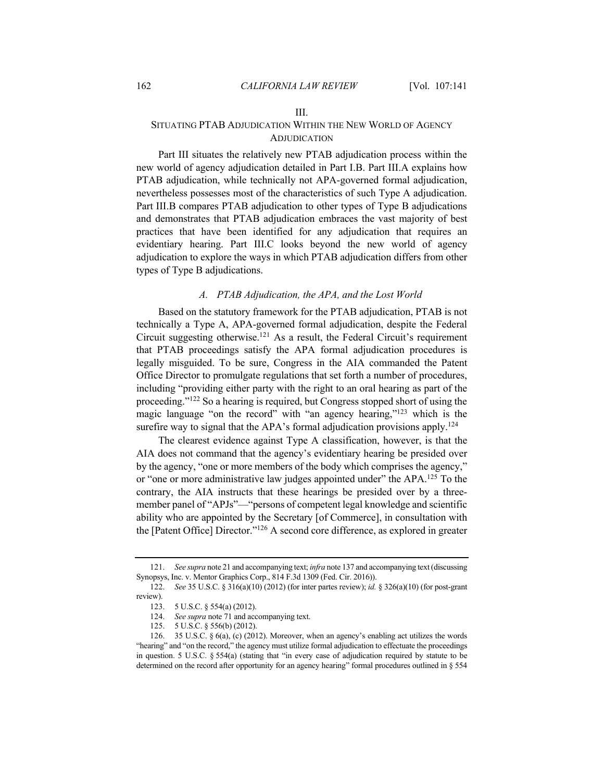#### III.

# SITUATING PTAB ADJUDICATION WITHIN THE NEW WORLD OF AGENCY **ADJUDICATION**

Part III situates the relatively new PTAB adjudication process within the new world of agency adjudication detailed in Part I.B. Part III.A explains how PTAB adjudication, while technically not APA-governed formal adjudication, nevertheless possesses most of the characteristics of such Type A adjudication. Part III.B compares PTAB adjudication to other types of Type B adjudications and demonstrates that PTAB adjudication embraces the vast majority of best practices that have been identified for any adjudication that requires an evidentiary hearing. Part III.C looks beyond the new world of agency adjudication to explore the ways in which PTAB adjudication differs from other types of Type B adjudications.

## *A. PTAB Adjudication, the APA, and the Lost World*

Based on the statutory framework for the PTAB adjudication, PTAB is not technically a Type A, APA-governed formal adjudication, despite the Federal Circuit suggesting otherwise.121 As a result, the Federal Circuit's requirement that PTAB proceedings satisfy the APA formal adjudication procedures is legally misguided. To be sure, Congress in the AIA commanded the Patent Office Director to promulgate regulations that set forth a number of procedures, including "providing either party with the right to an oral hearing as part of the proceeding."122 So a hearing is required, but Congress stopped short of using the magic language "on the record" with "an agency hearing,"<sup>123</sup> which is the surefire way to signal that the APA's formal adjudication provisions apply.<sup>124</sup>

The clearest evidence against Type A classification, however, is that the AIA does not command that the agency's evidentiary hearing be presided over by the agency, "one or more members of the body which comprises the agency," or "one or more administrative law judges appointed under" the APA.125 To the contrary, the AIA instructs that these hearings be presided over by a threemember panel of "APJs"—"persons of competent legal knowledge and scientific ability who are appointed by the Secretary [of Commerce], in consultation with the [Patent Office] Director."126 A second core difference, as explored in greater

<sup>121.</sup> *See supra* note 21 and accompanying text; *infra* note 137 and accompanying text (discussing Synopsys, Inc. v. Mentor Graphics Corp., 814 F.3d 1309 (Fed. Cir. 2016)).

<sup>122.</sup> *See* 35 U.S.C. § 316(a)(10) (2012) (for inter partes review); *id.* § 326(a)(10) (for post-grant review).

<sup>123.</sup> 5 U.S.C. § 554(a) (2012).

<sup>124.</sup> *See supra* note 71 and accompanying text.

<sup>125.</sup> 5 U.S.C. § 556(b) (2012).

<sup>126. 35</sup> U.S.C.  $\S 6(a)$ , (c) (2012). Moreover, when an agency's enabling act utilizes the words "hearing" and "on the record," the agency must utilize formal adjudication to effectuate the proceedings in question. 5 U.S.C. § 554(a) (stating that "in every case of adjudication required by statute to be determined on the record after opportunity for an agency hearing" formal procedures outlined in § 554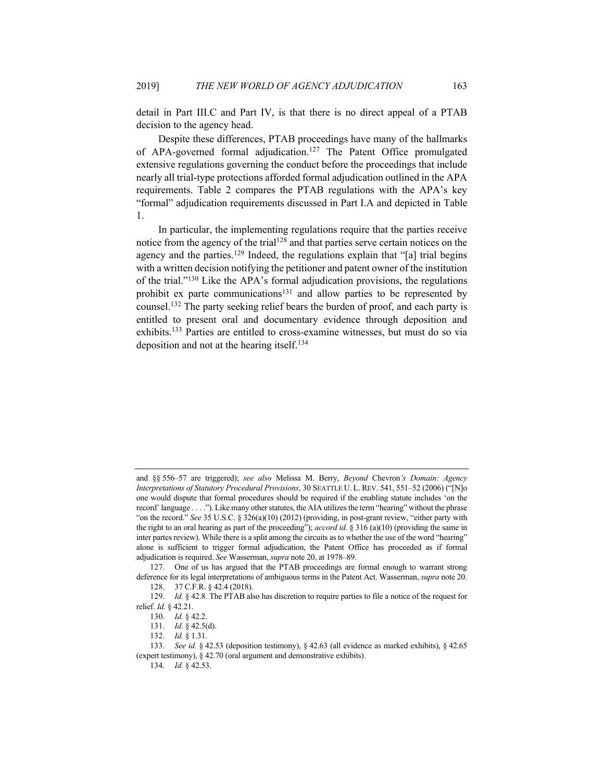detail in Part III.C and Part IV, is that there is no direct appeal of a PTAB decision to the agency head.

Despite these differences, PTAB proceedings have many of the hallmarks of APA-governed formal adjudication.<sup>127</sup> The Patent Office promulgated extensive regulations governing the conduct before the proceedings that include nearly all trial-type protections afforded formal adjudication outlined in the APA requirements. Table 2 compares the PTAB regulations with the APA's key "formal" adjudication requirements discussed in Part I.A and depicted in Table 1.

In particular, the implementing regulations require that the parties receive notice from the agency of the trial<sup>128</sup> and that parties serve certain notices on the agency and the parties.<sup>129</sup> Indeed, the regulations explain that "[a] trial begins with a written decision notifying the petitioner and patent owner of the institution of the trial."130 Like the APA's formal adjudication provisions, the regulations prohibit ex parte communications<sup>131</sup> and allow parties to be represented by counsel.132 The party seeking relief bears the burden of proof, and each party is entitled to present oral and documentary evidence through deposition and exhibits.133 Parties are entitled to cross-examine witnesses, but must do so via deposition and not at the hearing itself.<sup>134</sup>

and §§ 556–57 are triggered); *see also* Melissa M. Berry, *Beyond* Chevron*'s Domain: Agency Interpretations of Statutory Procedural Provisions*, 30 SEATTLE U. L. REV. 541, 551–52 (2006) ("[N]o one would dispute that formal procedures should be required if the enabling statute includes 'on the record' language . . . ."). Like many other statutes, the AIA utilizes the term "hearing" without the phrase "on the record." *See* 35 U.S.C. § 326(a)(10) (2012) (providing, in post-grant review, "either party with the right to an oral hearing as part of the proceeding"); *accord id.* § 316 (a)(10) (providing the same in inter partes review). While there is a split among the circuits as to whether the use of the word "hearing" alone is sufficient to trigger formal adjudication, the Patent Office has proceeded as if formal adjudication is required. *See* Wasserman, *supra* note 20, at 1978–89.

<sup>127.</sup> One of us has argued that the PTAB proceedings are formal enough to warrant strong deference for its legal interpretations of ambiguous terms in the Patent Act. Wasserman, *supra* note 20. 128. 37 C.F.R. § 42.4 (2018).

<sup>129.</sup> *Id.* § 42.8. The PTAB also has discretion to require parties to file a notice of the request for relief. *Id.* § 42.21.

<sup>130.</sup> *Id.* § 42.2.

<sup>131.</sup> *Id.* § 42.5(d).

<sup>132.</sup> *Id.* § 1.31.

<sup>133.</sup> *See id.* § 42.53 (deposition testimony), § 42.63 (all evidence as marked exhibits), § 42.65 (expert testimony), § 42.70 (oral argument and demonstrative exhibits).

<sup>134.</sup> *Id.* § 42.53.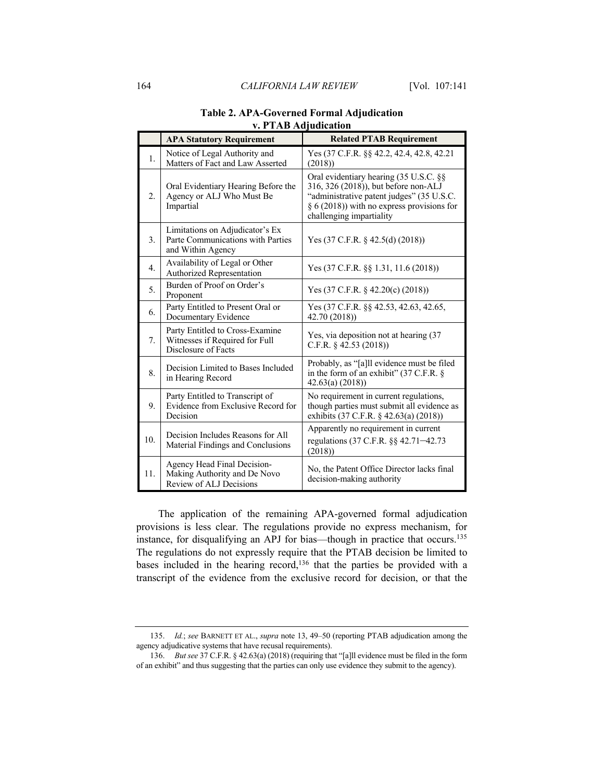|                  | <b>APA Statutory Requirement</b>                                                          | <b>Related PTAB Requirement</b>                                                                                                                                                                          |
|------------------|-------------------------------------------------------------------------------------------|----------------------------------------------------------------------------------------------------------------------------------------------------------------------------------------------------------|
| 1.               | Notice of Legal Authority and<br>Matters of Fact and Law Asserted                         | Yes (37 C.F.R. §§ 42.2, 42.4, 42.8, 42.21<br>(2018)                                                                                                                                                      |
| 2.               | Oral Evidentiary Hearing Before the<br>Agency or ALJ Who Must Be<br>Impartial             | Oral evidentiary hearing (35 U.S.C. §§<br>316, 326 (2018)), but before non-ALJ<br>"administrative patent judges" (35 U.S.C.<br>$\S 6(2018)$ ) with no express provisions for<br>challenging impartiality |
| 3.               | Limitations on Adjudicator's Ex<br>Parte Communications with Parties<br>and Within Agency | Yes $(37 \text{ C.F.R. } § 42.5(d) (2018))$                                                                                                                                                              |
| $\overline{4}$ . | Availability of Legal or Other<br>Authorized Representation                               | Yes (37 C.F.R. §§ 1.31, 11.6 (2018))                                                                                                                                                                     |
| 5.               | Burden of Proof on Order's<br>Proponent                                                   | Yes $(37 \text{ C.F.R. } § 42.20(c) (2018))$                                                                                                                                                             |
| 6.               | Party Entitled to Present Oral or<br>Documentary Evidence                                 | Yes (37 C.F.R. §§ 42.53, 42.63, 42.65,<br>42.70 (2018))                                                                                                                                                  |
| 7.               | Party Entitled to Cross-Examine<br>Witnesses if Required for Full<br>Disclosure of Facts  | Yes, via deposition not at hearing (37<br>C.F.R. $§$ 42.53 (2018))                                                                                                                                       |
| 8.               | Decision Limited to Bases Included<br>in Hearing Record                                   | Probably, as "[a]ll evidence must be filed<br>in the form of an exhibit" (37 C.F.R. §<br>42.63(a) (2018)                                                                                                 |
| 9.               | Party Entitled to Transcript of<br>Evidence from Exclusive Record for<br>Decision         | No requirement in current regulations,<br>though parties must submit all evidence as<br>exhibits (37 C.F.R. § 42.63(a) (2018))                                                                           |
| 10.              | Decision Includes Reasons for All<br>Material Findings and Conclusions                    | Apparently no requirement in current<br>regulations (37 C.F.R. §§ 42.71-42.73<br>(2018)                                                                                                                  |
| 11.              | Agency Head Final Decision-<br>Making Authority and De Novo<br>Review of ALJ Decisions    | No, the Patent Office Director lacks final<br>decision-making authority                                                                                                                                  |

# **Table 2. APA-Governed Formal Adjudication v. PTAB Adjudication**

The application of the remaining APA-governed formal adjudication provisions is less clear. The regulations provide no express mechanism, for instance, for disqualifying an APJ for bias—though in practice that occurs.135 The regulations do not expressly require that the PTAB decision be limited to bases included in the hearing record,<sup>136</sup> that the parties be provided with a transcript of the evidence from the exclusive record for decision, or that the

<sup>135.</sup> *Id.*; *see* BARNETT ET AL., *supra* note 13, 49–50 (reporting PTAB adjudication among the agency adjudicative systems that have recusal requirements).

<sup>136.</sup> *But see* 37 C.F.R. § 42.63(a) (2018) (requiring that "[a]ll evidence must be filed in the form of an exhibit" and thus suggesting that the parties can only use evidence they submit to the agency).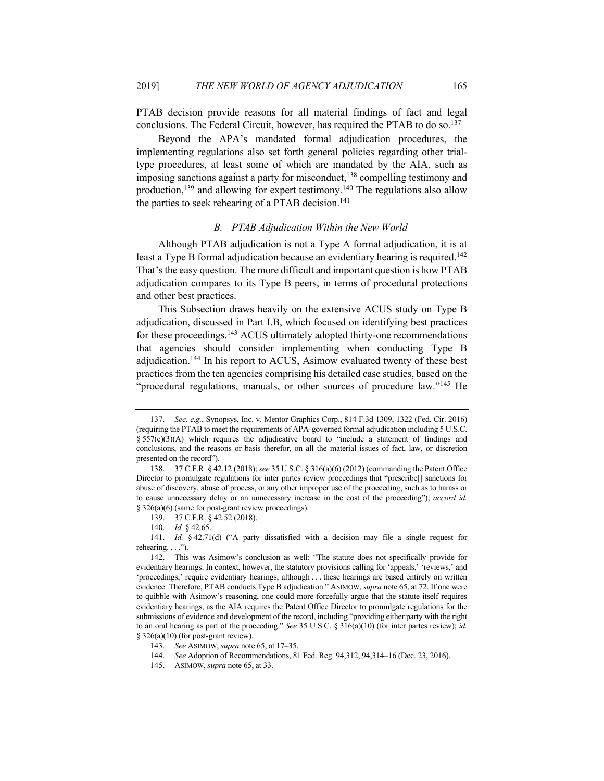PTAB decision provide reasons for all material findings of fact and legal conclusions. The Federal Circuit, however, has required the PTAB to do so.<sup>137</sup>

Beyond the APA's mandated formal adjudication procedures, the implementing regulations also set forth general policies regarding other trialtype procedures, at least some of which are mandated by the AIA, such as imposing sanctions against a party for misconduct,  $138$  compelling testimony and production,<sup>139</sup> and allowing for expert testimony.<sup>140</sup> The regulations also allow the parties to seek rehearing of a PTAB decision.<sup>141</sup>

### *B. PTAB Adjudication Within the New World*

Although PTAB adjudication is not a Type A formal adjudication, it is at least a Type B formal adjudication because an evidentiary hearing is required.<sup>142</sup> That's the easy question. The more difficult and important question is how PTAB adjudication compares to its Type B peers, in terms of procedural protections and other best practices.

This Subsection draws heavily on the extensive ACUS study on Type B adjudication, discussed in Part I.B, which focused on identifying best practices for these proceedings.<sup>143</sup> ACUS ultimately adopted thirty-one recommendations that agencies should consider implementing when conducting Type B adjudication.<sup>144</sup> In his report to ACUS, Asimow evaluated twenty of these best practices from the ten agencies comprising his detailed case studies, based on the "procedural regulations, manuals, or other sources of procedure law."<sup>145</sup> He

<sup>137.</sup> *See, e.g.*, Synopsys, Inc. v. Mentor Graphics Corp., 814 F.3d 1309, 1322 (Fed. Cir. 2016) (requiring the PTAB to meet the requirements of APA-governed formal adjudication including 5 U.S.C.  $\S$  557(c)(3)(A) which requires the adjudicative board to "include a statement of findings and conclusions, and the reasons or basis therefor, on all the material issues of fact, law, or discretion presented on the record").

<sup>138.</sup> 37 C.F.R. § 42.12 (2018); *see* 35 U.S.C. § 316(a)(6) (2012) (commanding the Patent Office Director to promulgate regulations for inter partes review proceedings that "prescribe[] sanctions for abuse of discovery, abuse of process, or any other improper use of the proceeding, such as to harass or to cause unnecessary delay or an unnecessary increase in the cost of the proceeding"); *accord id.* § 326(a)(6) (same for post-grant review proceedings).

<sup>139.</sup> 37 C.F.R. § 42.52 (2018).

<sup>140.</sup> *Id.* § 42.65.

<sup>141.</sup> *Id.* § 42.71(d) ("A party dissatisfied with a decision may file a single request for rehearing. . . .").

<sup>142.</sup> This was Asimow's conclusion as well: "The statute does not specifically provide for evidentiary hearings. In context, however, the statutory provisions calling for 'appeals,' 'reviews,' and 'proceedings,' require evidentiary hearings, although . . . these hearings are based entirely on written evidence. Therefore, PTAB conducts Type B adjudication." ASIMOW, *supra* note 65, at 72. If one were to quibble with Asimow's reasoning, one could more forcefully argue that the statute itself requires evidentiary hearings, as the AIA requires the Patent Office Director to promulgate regulations for the submissions of evidence and development of the record, including "providing either party with the right to an oral hearing as part of the proceeding." *See* 35 U.S.C. § 316(a)(10) (for inter partes review); *id.*  $§$  326(a)(10) (for post-grant review).

<sup>143.</sup> *See* ASIMOW, *supra* note 65, at 17–35.

<sup>144.</sup> *See* Adoption of Recommendations, 81 Fed. Reg. 94,312, 94,314–16 (Dec. 23, 2016).

<sup>145.</sup> ASIMOW, *supra* note 65, at 33.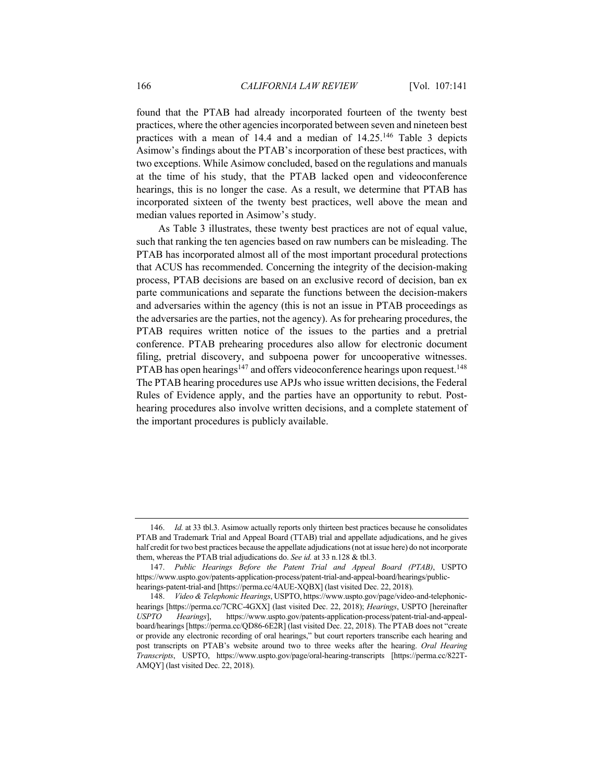found that the PTAB had already incorporated fourteen of the twenty best practices, where the other agencies incorporated between seven and nineteen best practices with a mean of 14.4 and a median of 14.25.146 Table 3 depicts Asimow's findings about the PTAB's incorporation of these best practices, with two exceptions. While Asimow concluded, based on the regulations and manuals at the time of his study, that the PTAB lacked open and videoconference hearings, this is no longer the case. As a result, we determine that PTAB has incorporated sixteen of the twenty best practices, well above the mean and median values reported in Asimow's study.

As Table 3 illustrates, these twenty best practices are not of equal value, such that ranking the ten agencies based on raw numbers can be misleading. The PTAB has incorporated almost all of the most important procedural protections that ACUS has recommended. Concerning the integrity of the decision-making process, PTAB decisions are based on an exclusive record of decision, ban ex parte communications and separate the functions between the decision-makers and adversaries within the agency (this is not an issue in PTAB proceedings as the adversaries are the parties, not the agency). As for prehearing procedures, the PTAB requires written notice of the issues to the parties and a pretrial conference. PTAB prehearing procedures also allow for electronic document filing, pretrial discovery, and subpoena power for uncooperative witnesses. PTAB has open hearings<sup>147</sup> and offers videoconference hearings upon request.<sup>148</sup> The PTAB hearing procedures use APJs who issue written decisions, the Federal Rules of Evidence apply, and the parties have an opportunity to rebut. Posthearing procedures also involve written decisions, and a complete statement of the important procedures is publicly available.

<sup>146.</sup> *Id.* at 33 tbl.3. Asimow actually reports only thirteen best practices because he consolidates PTAB and Trademark Trial and Appeal Board (TTAB) trial and appellate adjudications, and he gives half credit for two best practices because the appellate adjudications (not at issue here) do not incorporate them, whereas the PTAB trial adjudications do. *See id.* at 33 n.128 & tbl.3.

<sup>147.</sup> *Public Hearings Before the Patent Trial and Appeal Board (PTAB)*, USPTO https://www.uspto.gov/patents-application-process/patent-trial-and-appeal-board/hearings/publichearings-patent-trial-and [https://perma.cc/4AUE-XQBX] (last visited Dec. 22, 2018).

<sup>148.</sup> *Video & Telephonic Hearings*, USPTO, https://www.uspto.gov/page/video-and-telephonichearings [https://perma.cc/7CRC-4GXX] (last visited Dec. 22, 2018); *Hearings*, USPTO [hereinafter *USPTO Hearings*], https://www.uspto.gov/patents-application-process/patent-trial-and-appealboard/hearings [https://perma.cc/QD86-6E2R] (last visited Dec. 22, 2018). The PTAB does not "create or provide any electronic recording of oral hearings," but court reporters transcribe each hearing and post transcripts on PTAB's website around two to three weeks after the hearing. *Oral Hearing Transcripts*, USPTO, https://www.uspto.gov/page/oral-hearing-transcripts [https://perma.cc/822T-AMQY] (last visited Dec. 22, 2018).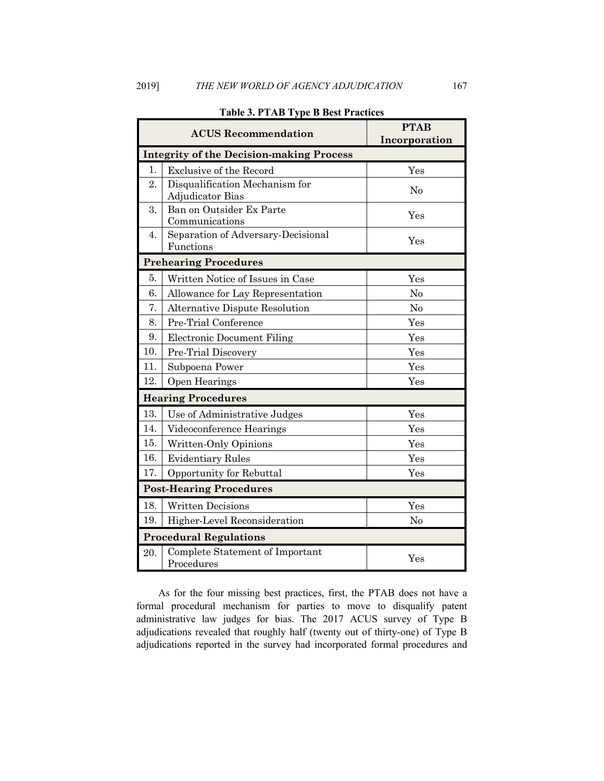|                                                 | <b>ACUS Recommendation</b>                         | <b>PTAB</b><br>Incorporation |  |  |
|-------------------------------------------------|----------------------------------------------------|------------------------------|--|--|
| <b>Integrity of the Decision-making Process</b> |                                                    |                              |  |  |
| 1.                                              | <b>Exclusive of the Record</b>                     | $_{\rm Yes}$                 |  |  |
| 2.                                              | Disqualification Mechanism for<br>Adjudicator Bias | No                           |  |  |
| 3.                                              | Ban on Outsider Ex Parte<br>Communications         | Yes                          |  |  |
| 4.                                              | Separation of Adversary-Decisional<br>Functions    | Yes                          |  |  |
| <b>Prehearing Procedures</b>                    |                                                    |                              |  |  |
| 5.                                              | Written Notice of Issues in Case                   | Yes                          |  |  |
| 6.                                              | Allowance for Lay Representation                   | No                           |  |  |
| 7.                                              | Alternative Dispute Resolution                     | No                           |  |  |
| 8.                                              | Pre-Trial Conference                               | Yes                          |  |  |
| 9.                                              | <b>Electronic Document Filing</b>                  | Yes                          |  |  |
| 10.                                             | Pre-Trial Discovery                                | Yes                          |  |  |
| 11.                                             | Subpoena Power                                     | Yes                          |  |  |
| 12.                                             | Open Hearings                                      | Yes                          |  |  |
|                                                 | <b>Hearing Procedures</b>                          |                              |  |  |
| 13.                                             | Use of Administrative Judges                       | Yes                          |  |  |
| 14.                                             | Videoconference Hearings                           | Yes                          |  |  |
| 15.                                             | Written-Only Opinions                              | Yes                          |  |  |
| 16.                                             | <b>Evidentiary Rules</b>                           | Yes                          |  |  |
| 17.                                             | Opportunity for Rebuttal                           | Yes                          |  |  |
|                                                 | <b>Post-Hearing Procedures</b>                     |                              |  |  |
| 18.                                             | <b>Written Decisions</b>                           | Yes                          |  |  |
| 19.                                             | Higher-Level Reconsideration                       | No                           |  |  |
|                                                 | <b>Procedural Regulations</b>                      |                              |  |  |
| 20.                                             | Complete Statement of Important<br>Procedures      | Yes                          |  |  |

## **Table 3. PTAB Type B Best Practices**

As for the four missing best practices, first, the PTAB does not have a formal procedural mechanism for parties to move to disqualify patent administrative law judges for bias. The 2017 ACUS survey of Type B adjudications revealed that roughly half (twenty out of thirty-one) of Type B adjudications reported in the survey had incorporated formal procedures and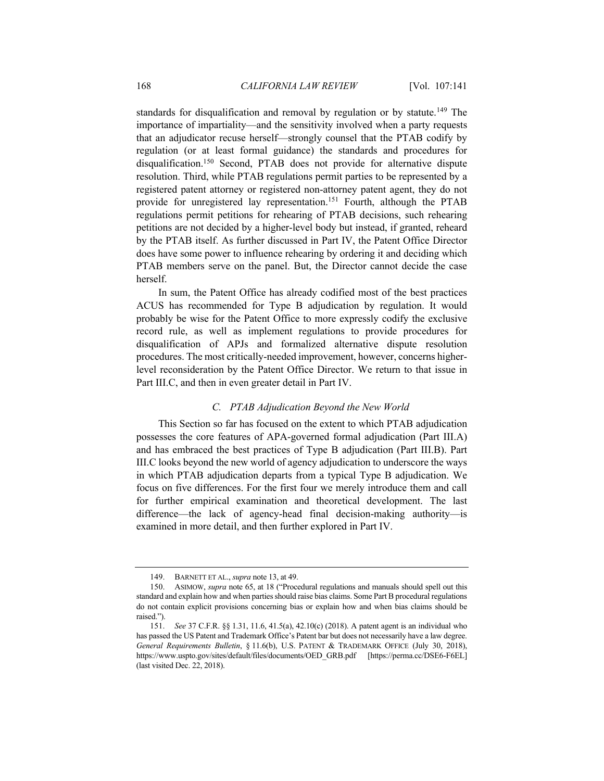standards for disqualification and removal by regulation or by statute.<sup>149</sup> The importance of impartiality—and the sensitivity involved when a party requests that an adjudicator recuse herself—strongly counsel that the PTAB codify by regulation (or at least formal guidance) the standards and procedures for disqualification.<sup>150</sup> Second, PTAB does not provide for alternative dispute resolution. Third, while PTAB regulations permit parties to be represented by a registered patent attorney or registered non-attorney patent agent, they do not provide for unregistered lay representation.<sup>151</sup> Fourth, although the PTAB regulations permit petitions for rehearing of PTAB decisions, such rehearing petitions are not decided by a higher-level body but instead, if granted, reheard by the PTAB itself. As further discussed in Part IV, the Patent Office Director does have some power to influence rehearing by ordering it and deciding which PTAB members serve on the panel. But, the Director cannot decide the case herself.

In sum, the Patent Office has already codified most of the best practices ACUS has recommended for Type B adjudication by regulation. It would probably be wise for the Patent Office to more expressly codify the exclusive record rule, as well as implement regulations to provide procedures for disqualification of APJs and formalized alternative dispute resolution procedures. The most critically-needed improvement, however, concerns higherlevel reconsideration by the Patent Office Director. We return to that issue in Part III.C, and then in even greater detail in Part IV.

# *C. PTAB Adjudication Beyond the New World*

This Section so far has focused on the extent to which PTAB adjudication possesses the core features of APA-governed formal adjudication (Part III.A) and has embraced the best practices of Type B adjudication (Part III.B). Part III.C looks beyond the new world of agency adjudication to underscore the ways in which PTAB adjudication departs from a typical Type B adjudication. We focus on five differences. For the first four we merely introduce them and call for further empirical examination and theoretical development. The last difference—the lack of agency-head final decision-making authority—is examined in more detail, and then further explored in Part IV.

<sup>149.</sup> BARNETT ET AL., *supra* note 13, at 49.

<sup>150.</sup> ASIMOW, *supra* note 65, at 18 ("Procedural regulations and manuals should spell out this standard and explain how and when parties should raise bias claims. Some Part B procedural regulations do not contain explicit provisions concerning bias or explain how and when bias claims should be raised.").

<sup>151.</sup> *See* 37 C.F.R. §§ 1.31, 11.6, 41.5(a), 42.10(c) (2018). A patent agent is an individual who has passed the US Patent and Trademark Office's Patent bar but does not necessarily have a law degree. *General Requirements Bulletin*, § 11.6(b), U.S. PATENT & TRADEMARK OFFICE (July 30, 2018), https://www.uspto.gov/sites/default/files/documents/OED\_GRB.pdf [https://perma.cc/DSE6-F6EL] (last visited Dec. 22, 2018).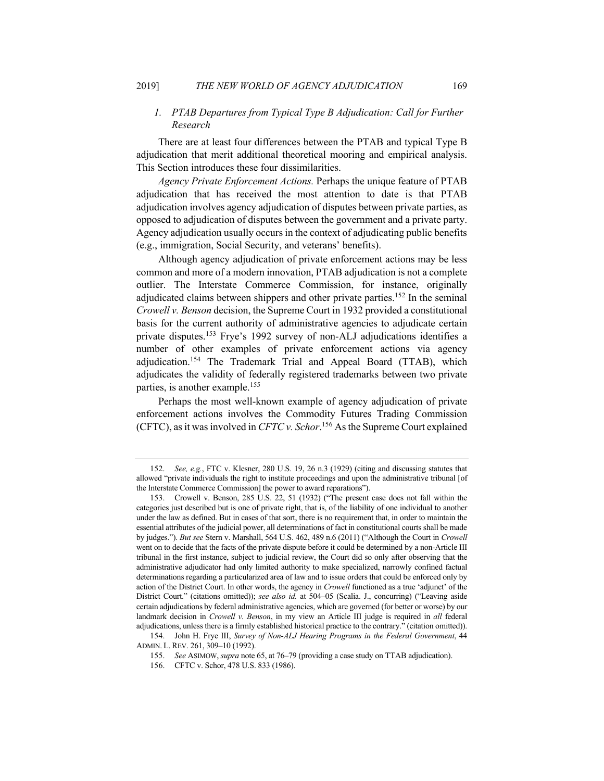# *1. PTAB Departures from Typical Type B Adjudication: Call for Further Research*

There are at least four differences between the PTAB and typical Type B adjudication that merit additional theoretical mooring and empirical analysis. This Section introduces these four dissimilarities.

*Agency Private Enforcement Actions.* Perhaps the unique feature of PTAB adjudication that has received the most attention to date is that PTAB adjudication involves agency adjudication of disputes between private parties, as opposed to adjudication of disputes between the government and a private party. Agency adjudication usually occurs in the context of adjudicating public benefits (e.g., immigration, Social Security, and veterans' benefits).

Although agency adjudication of private enforcement actions may be less common and more of a modern innovation, PTAB adjudication is not a complete outlier. The Interstate Commerce Commission, for instance, originally adjudicated claims between shippers and other private parties.<sup>152</sup> In the seminal *Crowell v. Benson* decision, the Supreme Court in 1932 provided a constitutional basis for the current authority of administrative agencies to adjudicate certain private disputes.153 Frye's 1992 survey of non-ALJ adjudications identifies a number of other examples of private enforcement actions via agency adjudication.154 The Trademark Trial and Appeal Board (TTAB), which adjudicates the validity of federally registered trademarks between two private parties, is another example.155

Perhaps the most well-known example of agency adjudication of private enforcement actions involves the Commodity Futures Trading Commission (CFTC), as it was involved in *CFTC v. Schor*. <sup>156</sup> As the Supreme Court explained

<sup>152.</sup> *See, e.g.*, FTC v. Klesner, 280 U.S. 19, 26 n.3 (1929) (citing and discussing statutes that allowed "private individuals the right to institute proceedings and upon the administrative tribunal [of the Interstate Commerce Commission] the power to award reparations").

<sup>153.</sup> Crowell v. Benson, 285 U.S. 22, 51 (1932) ("The present case does not fall within the categories just described but is one of private right, that is, of the liability of one individual to another under the law as defined. But in cases of that sort, there is no requirement that, in order to maintain the essential attributes of the judicial power, all determinations of fact in constitutional courts shall be made by judges."). *But see* Stern v. Marshall, 564 U.S. 462, 489 n.6 (2011) ("Although the Court in *Crowell* went on to decide that the facts of the private dispute before it could be determined by a non-Article III tribunal in the first instance, subject to judicial review, the Court did so only after observing that the administrative adjudicator had only limited authority to make specialized, narrowly confined factual determinations regarding a particularized area of law and to issue orders that could be enforced only by action of the District Court. In other words, the agency in *Crowell* functioned as a true 'adjunct' of the District Court." (citations omitted)); *see also id.* at 504–05 (Scalia. J., concurring) ("Leaving aside certain adjudications by federal administrative agencies, which are governed (for better or worse) by our landmark decision in *Crowell v. Benson*, in my view an Article III judge is required in *all* federal adjudications, unless there is a firmly established historical practice to the contrary." (citation omitted)).

<sup>154.</sup> John H. Frye III, *Survey of Non-ALJ Hearing Programs in the Federal Government*, 44 ADMIN. L. REV. 261, 309–10 (1992).

<sup>155.</sup> *See* ASIMOW, *supra* note 65, at 76–79 (providing a case study on TTAB adjudication).

<sup>156.</sup> CFTC v. Schor, 478 U.S. 833 (1986).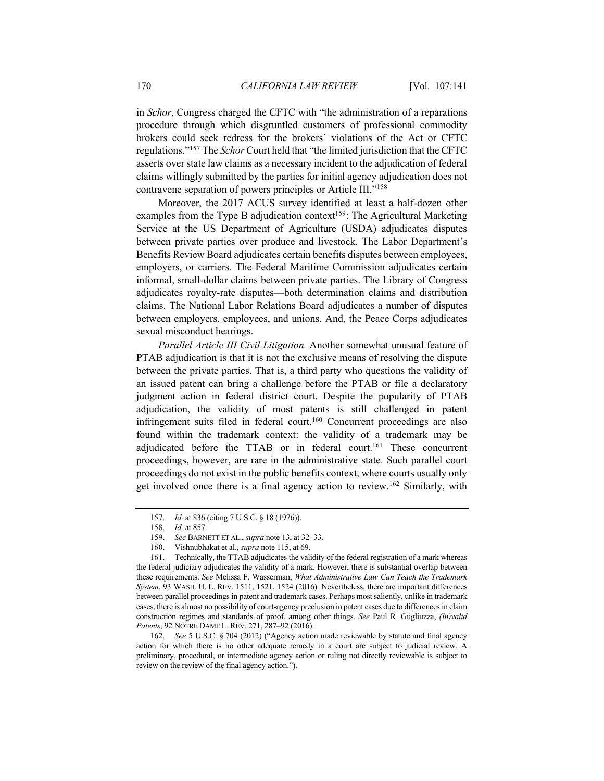in *Schor*, Congress charged the CFTC with "the administration of a reparations procedure through which disgruntled customers of professional commodity brokers could seek redress for the brokers' violations of the Act or CFTC regulations."157 The *Schor* Court held that "the limited jurisdiction that the CFTC asserts over state law claims as a necessary incident to the adjudication of federal claims willingly submitted by the parties for initial agency adjudication does not contravene separation of powers principles or Article III."158

Moreover, the 2017 ACUS survey identified at least a half-dozen other examples from the Type B adjudication context<sup>159</sup>: The Agricultural Marketing Service at the US Department of Agriculture (USDA) adjudicates disputes between private parties over produce and livestock. The Labor Department's Benefits Review Board adjudicates certain benefits disputes between employees, employers, or carriers. The Federal Maritime Commission adjudicates certain informal, small-dollar claims between private parties. The Library of Congress adjudicates royalty-rate disputes—both determination claims and distribution claims. The National Labor Relations Board adjudicates a number of disputes between employers, employees, and unions. And, the Peace Corps adjudicates sexual misconduct hearings.

*Parallel Article III Civil Litigation.* Another somewhat unusual feature of PTAB adjudication is that it is not the exclusive means of resolving the dispute between the private parties. That is, a third party who questions the validity of an issued patent can bring a challenge before the PTAB or file a declaratory judgment action in federal district court. Despite the popularity of PTAB adjudication, the validity of most patents is still challenged in patent infringement suits filed in federal court.<sup>160</sup> Concurrent proceedings are also found within the trademark context: the validity of a trademark may be adjudicated before the TTAB or in federal court.<sup>161</sup> These concurrent proceedings, however, are rare in the administrative state. Such parallel court proceedings do not exist in the public benefits context, where courts usually only get involved once there is a final agency action to review.162 Similarly, with

160. Vishnubhakat et al., *supra* note 115, at 69.

<sup>157.</sup> *Id.* at 836 (citing 7 U.S.C. § 18 (1976)).

<sup>158.</sup> *Id.* at 857.

<sup>159.</sup> *See* BARNETT ET AL., *supra* note 13, at 32–33.

<sup>161.</sup> Technically, the TTAB adjudicates the validity of the federal registration of a mark whereas the federal judiciary adjudicates the validity of a mark. However, there is substantial overlap between these requirements. *See* Melissa F. Wasserman, *What Administrative Law Can Teach the Trademark System*, 93 WASH. U. L. REV. 1511, 1521, 1524 (2016). Nevertheless, there are important differences between parallel proceedings in patent and trademark cases. Perhaps most saliently, unlike in trademark cases, there is almost no possibility of court-agency preclusion in patent cases due to differences in claim construction regimes and standards of proof, among other things. *See* Paul R. Gugliuzza, *(In)valid Patents*, 92 NOTRE DAME L. REV. 271, 287–92 (2016).

<sup>162.</sup> *See* 5 U.S.C. § 704 (2012) ("Agency action made reviewable by statute and final agency action for which there is no other adequate remedy in a court are subject to judicial review. A preliminary, procedural, or intermediate agency action or ruling not directly reviewable is subject to review on the review of the final agency action.").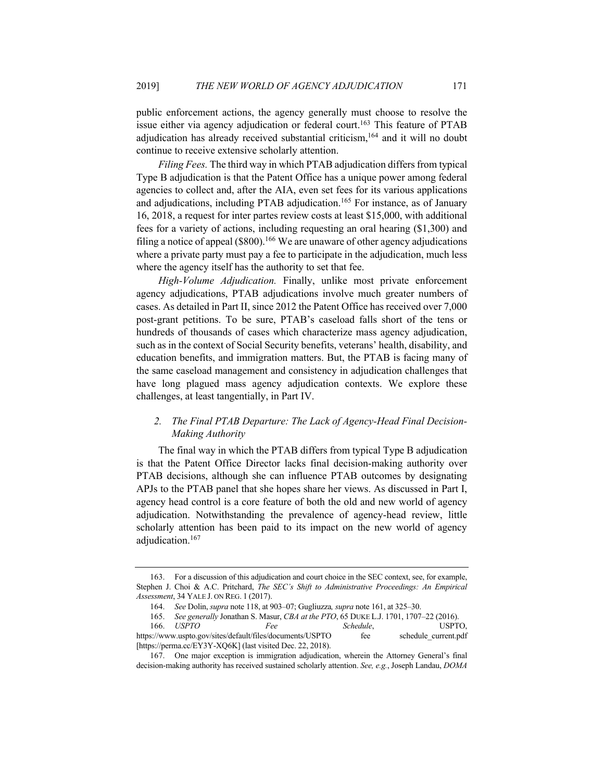public enforcement actions, the agency generally must choose to resolve the issue either via agency adjudication or federal court.<sup>163</sup> This feature of PTAB adjudication has already received substantial criticism,164 and it will no doubt continue to receive extensive scholarly attention.

*Filing Fees.* The third way in which PTAB adjudication differs from typical Type B adjudication is that the Patent Office has a unique power among federal agencies to collect and, after the AIA, even set fees for its various applications and adjudications, including PTAB adjudication.<sup>165</sup> For instance, as of January 16, 2018, a request for inter partes review costs at least \$15,000, with additional fees for a variety of actions, including requesting an oral hearing (\$1,300) and filing a notice of appeal  $(\$800)$ .<sup>166</sup> We are unaware of other agency adjudications where a private party must pay a fee to participate in the adjudication, much less where the agency itself has the authority to set that fee.

*High-Volume Adjudication.* Finally, unlike most private enforcement agency adjudications, PTAB adjudications involve much greater numbers of cases. As detailed in Part II, since 2012 the Patent Office has received over 7,000 post-grant petitions. To be sure, PTAB's caseload falls short of the tens or hundreds of thousands of cases which characterize mass agency adjudication, such as in the context of Social Security benefits, veterans' health, disability, and education benefits, and immigration matters. But, the PTAB is facing many of the same caseload management and consistency in adjudication challenges that have long plagued mass agency adjudication contexts. We explore these challenges, at least tangentially, in Part IV.

# *2. The Final PTAB Departure: The Lack of Agency-Head Final Decision-Making Authority*

The final way in which the PTAB differs from typical Type B adjudication is that the Patent Office Director lacks final decision-making authority over PTAB decisions, although she can influence PTAB outcomes by designating APJs to the PTAB panel that she hopes share her views. As discussed in Part I, agency head control is a core feature of both the old and new world of agency adjudication. Notwithstanding the prevalence of agency-head review, little scholarly attention has been paid to its impact on the new world of agency adjudication.<sup>167</sup>

<sup>163.</sup> For a discussion of this adjudication and court choice in the SEC context, see, for example, Stephen J. Choi & A.C. Pritchard, *The SEC's Shift to Administrative Proceedings: An Empirical Assessment*, 34 YALE J. ON REG. 1 (2017).

<sup>164.</sup> *See* Dolin, *supra* note 118, at 903–07; Gugliuzza*, supra* note 161, at 325–30.

<sup>165.</sup> *See generally* Jonathan S. Masur, *CBA at the PTO*, 65 DUKE L.J. 1701, 1707–22 (2016). 166. *USPTO Fee Schedule*, USPTO, https://www.uspto.gov/sites/default/files/documents/USPTO fee schedule\_current.pdf [https://perma.cc/EY3Y-XQ6K] (last visited Dec. 22, 2018).

<sup>167.</sup> One major exception is immigration adjudication, wherein the Attorney General's final decision-making authority has received sustained scholarly attention. *See, e.g.*, Joseph Landau, *DOMA*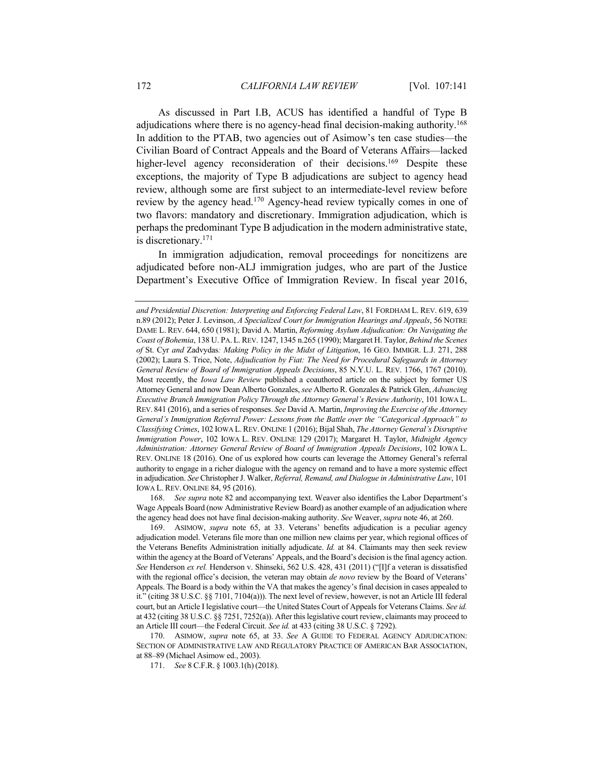As discussed in Part I.B, ACUS has identified a handful of Type B adjudications where there is no agency-head final decision-making authority.<sup>168</sup> In addition to the PTAB, two agencies out of Asimow's ten case studies—the Civilian Board of Contract Appeals and the Board of Veterans Affairs—lacked higher-level agency reconsideration of their decisions.<sup>169</sup> Despite these exceptions, the majority of Type B adjudications are subject to agency head review, although some are first subject to an intermediate-level review before review by the agency head.170 Agency-head review typically comes in one of two flavors: mandatory and discretionary. Immigration adjudication, which is perhaps the predominant Type B adjudication in the modern administrative state, is discretionary.171

In immigration adjudication, removal proceedings for noncitizens are adjudicated before non-ALJ immigration judges, who are part of the Justice Department's Executive Office of Immigration Review. In fiscal year 2016,

168. *See supra* note 82 and accompanying text. Weaver also identifies the Labor Department's Wage Appeals Board (now Administrative Review Board) as another example of an adjudication where the agency head does not have final decision-making authority. *See* Weaver, *supra* note 46, at 260.

*and Presidential Discretion: Interpreting and Enforcing Federal Law*, 81 FORDHAM L. REV. 619, 639 n.89 (2012); Peter J. Levinson, *A Specialized Court for Immigration Hearings and Appeals*, 56 NOTRE DAME L. REV. 644, 650 (1981); David A. Martin, *Reforming Asylum Adjudication: On Navigating the Coast of Bohemia*, 138 U. PA. L.REV. 1247, 1345 n.265 (1990); Margaret H. Taylor, *Behind the Scenes of* St. Cyr *and* Zadvydas*: Making Policy in the Midst of Litigation*, 16 GEO. IMMIGR. L.J. 271, 288 (2002); Laura S. Trice, Note, *Adjudication by Fiat: The Need for Procedural Safeguards in Attorney General Review of Board of Immigration Appeals Decisions*, 85 N.Y.U. L. REV. 1766, 1767 (2010). Most recently, the *Iowa Law Review* published a coauthored article on the subject by former US Attorney General and now Dean Alberto Gonzales, *see* Alberto R. Gonzales & Patrick Glen, *Advancing Executive Branch Immigration Policy Through the Attorney General's Review Authority*, 101 IOWA L. REV. 841 (2016), and a series of responses. *See* David A. Martin, *Improving the Exercise of the Attorney General's Immigration Referral Power: Lessons from the Battle over the "Categorical Approach" to Classifying Crimes*, 102 IOWA L.REV. ONLINE 1 (2016); Bijal Shah, *The Attorney General's Disruptive Immigration Power*, 102 IOWA L. REV. ONLINE 129 (2017); Margaret H. Taylor, *Midnight Agency Administration: Attorney General Review of Board of Immigration Appeals Decisions*, 102 IOWA L. REV. ONLINE 18 (2016). One of us explored how courts can leverage the Attorney General's referral authority to engage in a richer dialogue with the agency on remand and to have a more systemic effect in adjudication. *See* Christopher J. Walker, *Referral, Remand, and Dialogue in Administrative Law*, 101 IOWA L. REV. ONLINE 84, 95 (2016).

<sup>169.</sup> ASIMOW, *supra* note 65, at 33. Veterans' benefits adjudication is a peculiar agency adjudication model. Veterans file more than one million new claims per year, which regional offices of the Veterans Benefits Administration initially adjudicate. *Id.* at 84. Claimants may then seek review within the agency at the Board of Veterans' Appeals, and the Board's decision is the final agency action. *See* Henderson *ex rel.* Henderson v. Shinseki, 562 U.S. 428, 431 (2011) ("[I]f a veteran is dissatisfied with the regional office's decision, the veteran may obtain *de novo* review by the Board of Veterans' Appeals. The Board is a body within the VA that makes the agency's final decision in cases appealed to it." (citing 38 U.S.C. §§ 7101, 7104(a))). The next level of review, however, is not an Article III federal court, but an Article I legislative court—the United States Court of Appeals for Veterans Claims. *See id.* at 432 (citing 38 U.S.C. §§ 7251, 7252(a)). After this legislative court review, claimants may proceed to an Article III court—the Federal Circuit. *See id.* at 433 (citing 38 U.S.C. § 7292).

<sup>170.</sup> ASIMOW, *supra* note 65, at 33. *See* A GUIDE TO FEDERAL AGENCY ADJUDICATION: SECTION OF ADMINISTRATIVE LAW AND REGULATORY PRACTICE OF AMERICAN BAR ASSOCIATION, at 88–89 (Michael Asimow ed., 2003).

<sup>171.</sup> *See* 8 C.F.R. § 1003.1(h) (2018).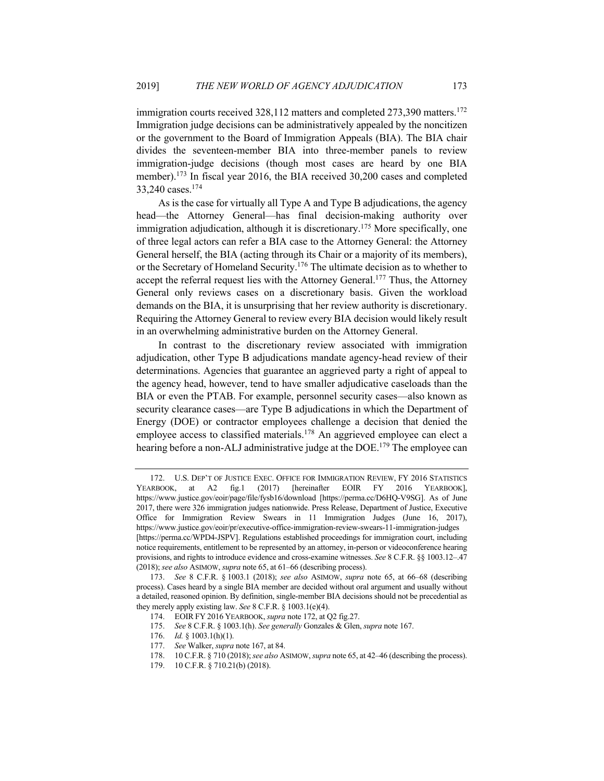immigration courts received  $328,112$  matters and completed  $273,390$  matters.<sup>172</sup> Immigration judge decisions can be administratively appealed by the noncitizen or the government to the Board of Immigration Appeals (BIA). The BIA chair divides the seventeen-member BIA into three-member panels to review immigration-judge decisions (though most cases are heard by one BIA member).173 In fiscal year 2016, the BIA received 30,200 cases and completed 33,240 cases.174

As is the case for virtually all Type A and Type B adjudications, the agency head—the Attorney General—has final decision-making authority over immigration adjudication, although it is discretionary.<sup>175</sup> More specifically, one of three legal actors can refer a BIA case to the Attorney General: the Attorney General herself, the BIA (acting through its Chair or a majority of its members), or the Secretary of Homeland Security.<sup>176</sup> The ultimate decision as to whether to accept the referral request lies with the Attorney General.<sup>177</sup> Thus, the Attorney General only reviews cases on a discretionary basis. Given the workload demands on the BIA, it is unsurprising that her review authority is discretionary. Requiring the Attorney General to review every BIA decision would likely result in an overwhelming administrative burden on the Attorney General.

In contrast to the discretionary review associated with immigration adjudication, other Type B adjudications mandate agency-head review of their determinations. Agencies that guarantee an aggrieved party a right of appeal to the agency head, however, tend to have smaller adjudicative caseloads than the BIA or even the PTAB. For example, personnel security cases—also known as security clearance cases—are Type B adjudications in which the Department of Energy (DOE) or contractor employees challenge a decision that denied the employee access to classified materials.<sup>178</sup> An aggrieved employee can elect a hearing before a non-ALJ administrative judge at the DOE.<sup>179</sup> The employee can

178. 10 C.F.R. § 710 (2018); *see also* ASIMOW, *supra* note 65, at 42–46 (describing the process).

<sup>172.</sup> U.S. DEP'T OF JUSTICE EXEC. OFFICE FOR IMMIGRATION REVIEW, FY 2016 STATISTICS YEARBOOK, at A2 fig.1 (2017) [hereinafter EOIR FY 2016 YEARBOOK], https://www.justice.gov/eoir/page/file/fysb16/download [https://perma.cc/D6HQ-V9SG]. As of June 2017, there were 326 immigration judges nationwide. Press Release, Department of Justice, Executive Office for Immigration Review Swears in 11 Immigration Judges (June 16, 2017), https://www.justice.gov/eoir/pr/executive-office-immigration-review-swears-11-immigration-judges [https://perma.cc/WPD4-JSPV]. Regulations established proceedings for immigration court, including notice requirements, entitlement to be represented by an attorney, in-person or videoconference hearing provisions, and rights to introduce evidence and cross-examine witnesses. *See* 8 C.F.R. §§ 1003.12–.47 (2018); *see also* ASIMOW, *supra* note 65, at 61–66 (describing process).

<sup>173.</sup> *See* 8 C.F.R. § 1003.1 (2018); *see also* ASIMOW, *supra* note 65, at 66–68 (describing process). Cases heard by a single BIA member are decided without oral argument and usually without a detailed, reasoned opinion. By definition, single-member BIA decisions should not be precedential as they merely apply existing law. *See* 8 C.F.R. § 1003.1(e)(4).

<sup>174.</sup> EOIR FY 2016 YEARBOOK, *supra* note 172, at Q2 fig.27.

<sup>175.</sup> *See* 8 C.F.R. § 1003.1(h). *See generally* Gonzales & Glen, *supra* note 167.

<sup>176.</sup> *Id.* § 1003.1(h)(1).

<sup>177.</sup> *See* Walker, *supra* note 167, at 84.

<sup>179.</sup> 10 C.F.R. § 710.21(b) (2018).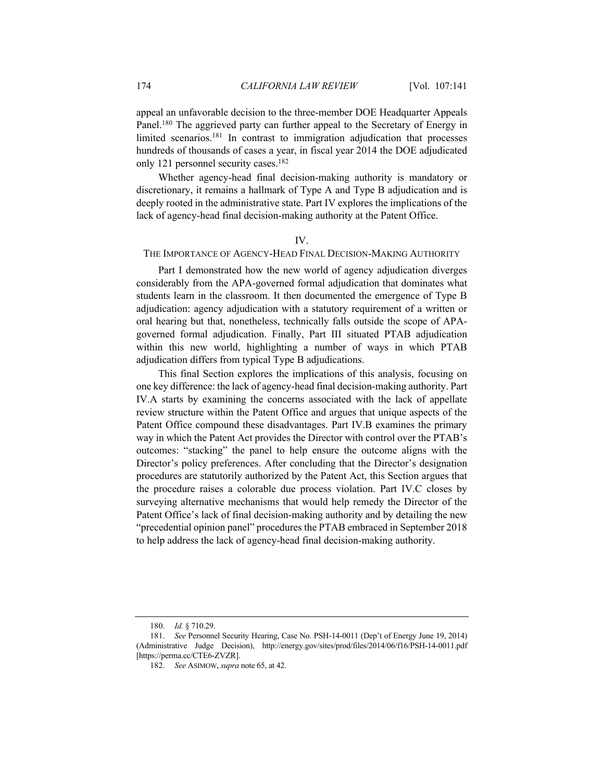appeal an unfavorable decision to the three-member DOE Headquarter Appeals Panel.<sup>180</sup> The aggrieved party can further appeal to the Secretary of Energy in limited scenarios.<sup>181</sup> In contrast to immigration adjudication that processes hundreds of thousands of cases a year, in fiscal year 2014 the DOE adjudicated only 121 personnel security cases.<sup>182</sup>

Whether agency-head final decision-making authority is mandatory or discretionary, it remains a hallmark of Type A and Type B adjudication and is deeply rooted in the administrative state. Part IV explores the implications of the lack of agency-head final decision-making authority at the Patent Office.

## IV.

## THE IMPORTANCE OF AGENCY-HEAD FINAL DECISION-MAKING AUTHORITY

Part I demonstrated how the new world of agency adjudication diverges considerably from the APA-governed formal adjudication that dominates what students learn in the classroom. It then documented the emergence of Type B adjudication: agency adjudication with a statutory requirement of a written or oral hearing but that, nonetheless, technically falls outside the scope of APAgoverned formal adjudication. Finally, Part III situated PTAB adjudication within this new world, highlighting a number of ways in which PTAB adjudication differs from typical Type B adjudications.

This final Section explores the implications of this analysis, focusing on one key difference: the lack of agency-head final decision-making authority. Part IV.A starts by examining the concerns associated with the lack of appellate review structure within the Patent Office and argues that unique aspects of the Patent Office compound these disadvantages. Part IV.B examines the primary way in which the Patent Act provides the Director with control over the PTAB's outcomes: "stacking" the panel to help ensure the outcome aligns with the Director's policy preferences. After concluding that the Director's designation procedures are statutorily authorized by the Patent Act, this Section argues that the procedure raises a colorable due process violation. Part IV.C closes by surveying alternative mechanisms that would help remedy the Director of the Patent Office's lack of final decision-making authority and by detailing the new "precedential opinion panel" procedures the PTAB embraced in September 2018 to help address the lack of agency-head final decision-making authority.

<sup>180.</sup> *Id.* § 710.29.

<sup>181.</sup> *See* Personnel Security Hearing, Case No. PSH-14-0011 (Dep't of Energy June 19, 2014) (Administrative Judge Decision), http://energy.gov/sites/prod/files/2014/06/f16/PSH-14-0011.pdf [https://perma.cc/CTE6-ZVZR].

<sup>182.</sup> *See* ASIMOW, *supra* note 65, at 42.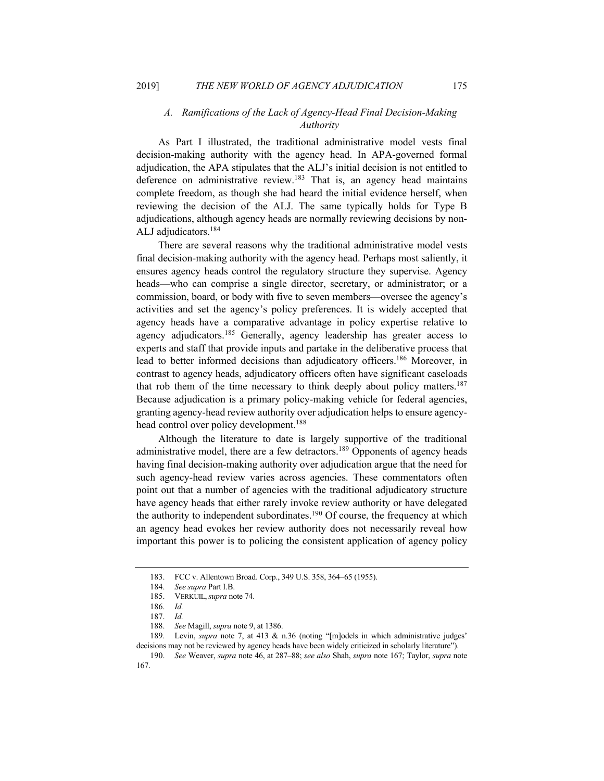# *A. Ramifications of the Lack of Agency-Head Final Decision-Making Authority*

As Part I illustrated, the traditional administrative model vests final decision-making authority with the agency head. In APA-governed formal adjudication, the APA stipulates that the ALJ's initial decision is not entitled to deference on administrative review.<sup>183</sup> That is, an agency head maintains complete freedom, as though she had heard the initial evidence herself, when reviewing the decision of the ALJ. The same typically holds for Type B adjudications, although agency heads are normally reviewing decisions by non-ALJ adjudicators.184

There are several reasons why the traditional administrative model vests final decision-making authority with the agency head. Perhaps most saliently, it ensures agency heads control the regulatory structure they supervise. Agency heads—who can comprise a single director, secretary, or administrator; or a commission, board, or body with five to seven members—oversee the agency's activities and set the agency's policy preferences. It is widely accepted that agency heads have a comparative advantage in policy expertise relative to agency adjudicators.<sup>185</sup> Generally, agency leadership has greater access to experts and staff that provide inputs and partake in the deliberative process that lead to better informed decisions than adjudicatory officers.<sup>186</sup> Moreover, in contrast to agency heads, adjudicatory officers often have significant caseloads that rob them of the time necessary to think deeply about policy matters.<sup>187</sup> Because adjudication is a primary policy-making vehicle for federal agencies, granting agency-head review authority over adjudication helps to ensure agencyhead control over policy development.<sup>188</sup>

Although the literature to date is largely supportive of the traditional administrative model, there are a few detractors.<sup>189</sup> Opponents of agency heads having final decision-making authority over adjudication argue that the need for such agency-head review varies across agencies. These commentators often point out that a number of agencies with the traditional adjudicatory structure have agency heads that either rarely invoke review authority or have delegated the authority to independent subordinates.<sup>190</sup> Of course, the frequency at which an agency head evokes her review authority does not necessarily reveal how important this power is to policing the consistent application of agency policy

<sup>183.</sup> FCC v. Allentown Broad. Corp., 349 U.S. 358, 364–65 (1955).

<sup>184.</sup> *See supra* Part I.B.

<sup>185.</sup> VERKUIL,*supra* note 74.

<sup>186.</sup> *Id.*

<sup>187.</sup> *Id.*

<sup>188.</sup> *See* Magill, *supra* note 9, at 1386.

<sup>189.</sup> Levin, *supra* note 7, at 413 & n.36 (noting "[m]odels in which administrative judges' decisions may not be reviewed by agency heads have been widely criticized in scholarly literature").

<sup>190.</sup> *See* Weaver, *supra* note 46, at 287–88; *see also* Shah, *supra* note 167; Taylor, *supra* note 167.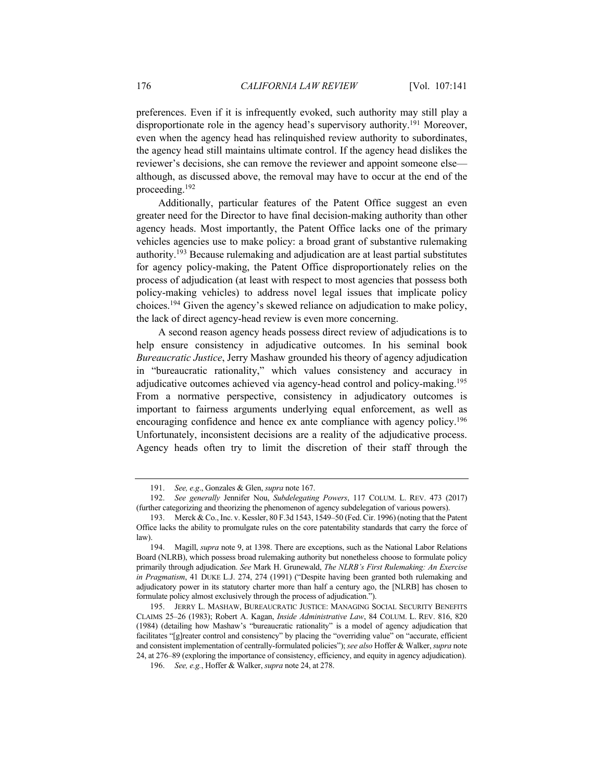preferences. Even if it is infrequently evoked, such authority may still play a disproportionate role in the agency head's supervisory authority.<sup>191</sup> Moreover, even when the agency head has relinquished review authority to subordinates, the agency head still maintains ultimate control. If the agency head dislikes the reviewer's decisions, she can remove the reviewer and appoint someone else although, as discussed above, the removal may have to occur at the end of the proceeding.192

Additionally, particular features of the Patent Office suggest an even greater need for the Director to have final decision-making authority than other agency heads. Most importantly, the Patent Office lacks one of the primary vehicles agencies use to make policy: a broad grant of substantive rulemaking authority.193 Because rulemaking and adjudication are at least partial substitutes for agency policy-making, the Patent Office disproportionately relies on the process of adjudication (at least with respect to most agencies that possess both policy-making vehicles) to address novel legal issues that implicate policy choices.194 Given the agency's skewed reliance on adjudication to make policy, the lack of direct agency-head review is even more concerning.

A second reason agency heads possess direct review of adjudications is to help ensure consistency in adjudicative outcomes. In his seminal book *Bureaucratic Justice*, Jerry Mashaw grounded his theory of agency adjudication in "bureaucratic rationality," which values consistency and accuracy in adjudicative outcomes achieved via agency-head control and policy-making.<sup>195</sup> From a normative perspective, consistency in adjudicatory outcomes is important to fairness arguments underlying equal enforcement, as well as encouraging confidence and hence ex ante compliance with agency policy.<sup>196</sup> Unfortunately, inconsistent decisions are a reality of the adjudicative process. Agency heads often try to limit the discretion of their staff through the

<sup>191.</sup> *See, e.g*., Gonzales & Glen, *supra* note 167.

<sup>192.</sup> *See generally* Jennifer Nou, *Subdelegating Powers*, 117 COLUM. L. REV. 473 (2017) (further categorizing and theorizing the phenomenon of agency subdelegation of various powers).

<sup>193.</sup> Merck & Co., Inc. v. Kessler, 80 F.3d 1543, 1549–50 (Fed. Cir. 1996) (noting that the Patent Office lacks the ability to promulgate rules on the core patentability standards that carry the force of law).

<sup>194.</sup> Magill, *supra* note 9, at 1398. There are exceptions, such as the National Labor Relations Board (NLRB), which possess broad rulemaking authority but nonetheless choose to formulate policy primarily through adjudication. *See* Mark H. Grunewald, *The NLRB's First Rulemaking: An Exercise in Pragmatism*, 41 DUKE L.J. 274, 274 (1991) ("Despite having been granted both rulemaking and adjudicatory power in its statutory charter more than half a century ago, the [NLRB] has chosen to formulate policy almost exclusively through the process of adjudication.").

<sup>195.</sup> JERRY L. MASHAW, BUREAUCRATIC JUSTICE: MANAGING SOCIAL SECURITY BENEFITS CLAIMS 25–26 (1983); Robert A. Kagan, *Inside Administrative Law*, 84 COLUM. L. REV. 816, 820 (1984) (detailing how Mashaw's "bureaucratic rationality" is a model of agency adjudication that facilitates "[g]reater control and consistency" by placing the "overriding value" on "accurate, efficient and consistent implementation of centrally-formulated policies"); *see also* Hoffer & Walker, *supra* note 24, at 276–89 (exploring the importance of consistency, efficiency, and equity in agency adjudication).

<sup>196.</sup> *See, e.g.*, Hoffer & Walker, *supra* note 24, at 278.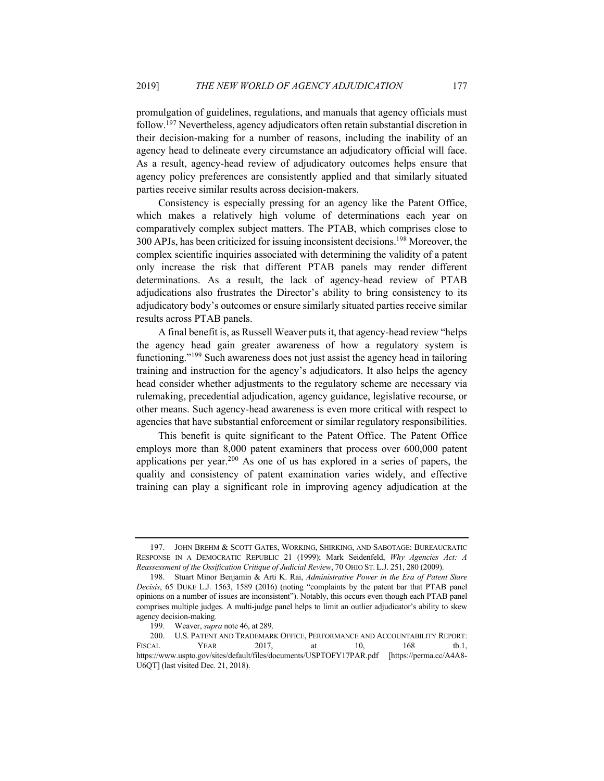promulgation of guidelines, regulations, and manuals that agency officials must follow.197 Nevertheless, agency adjudicators often retain substantial discretion in their decision-making for a number of reasons, including the inability of an agency head to delineate every circumstance an adjudicatory official will face. As a result, agency-head review of adjudicatory outcomes helps ensure that agency policy preferences are consistently applied and that similarly situated parties receive similar results across decision-makers.

Consistency is especially pressing for an agency like the Patent Office, which makes a relatively high volume of determinations each year on comparatively complex subject matters. The PTAB, which comprises close to 300 APJs, has been criticized for issuing inconsistent decisions.198 Moreover, the complex scientific inquiries associated with determining the validity of a patent only increase the risk that different PTAB panels may render different determinations. As a result, the lack of agency-head review of PTAB adjudications also frustrates the Director's ability to bring consistency to its adjudicatory body's outcomes or ensure similarly situated parties receive similar results across PTAB panels.

A final benefit is, as Russell Weaver puts it, that agency-head review "helps the agency head gain greater awareness of how a regulatory system is functioning."199 Such awareness does not just assist the agency head in tailoring training and instruction for the agency's adjudicators. It also helps the agency head consider whether adjustments to the regulatory scheme are necessary via rulemaking, precedential adjudication, agency guidance, legislative recourse, or other means. Such agency-head awareness is even more critical with respect to agencies that have substantial enforcement or similar regulatory responsibilities.

This benefit is quite significant to the Patent Office. The Patent Office employs more than 8,000 patent examiners that process over 600,000 patent applications per year.<sup>200</sup> As one of us has explored in a series of papers, the quality and consistency of patent examination varies widely, and effective training can play a significant role in improving agency adjudication at the

<sup>197.</sup> JOHN BREHM & SCOTT GATES, WORKING, SHIRKING, AND SABOTAGE: BUREAUCRATIC RESPONSE IN A DEMOCRATIC REPUBLIC 21 (1999); Mark Seidenfeld, *Why Agencies Act: A Reassessment of the Ossification Critique of Judicial Review*, 70 OHIO ST. L.J. 251, 280 (2009).

<sup>198.</sup> Stuart Minor Benjamin & Arti K. Rai, *Administrative Power in the Era of Patent Stare Decisis*, 65 DUKE L.J. 1563, 1589 (2016) (noting "complaints by the patent bar that PTAB panel opinions on a number of issues are inconsistent"). Notably, this occurs even though each PTAB panel comprises multiple judges. A multi-judge panel helps to limit an outlier adjudicator's ability to skew agency decision-making.

<sup>199.</sup> Weaver, *supra* note 46, at 289.

<sup>200.</sup> U.S. PATENT AND TRADEMARK OFFICE, PERFORMANCE AND ACCOUNTABILITY REPORT: FISCAL YEAR 2017, at 10, 168 tb.1, https://www.uspto.gov/sites/default/files/documents/USPTOFY17PAR.pdf [https://perma.cc/A4A8- U6QT] (last visited Dec. 21, 2018).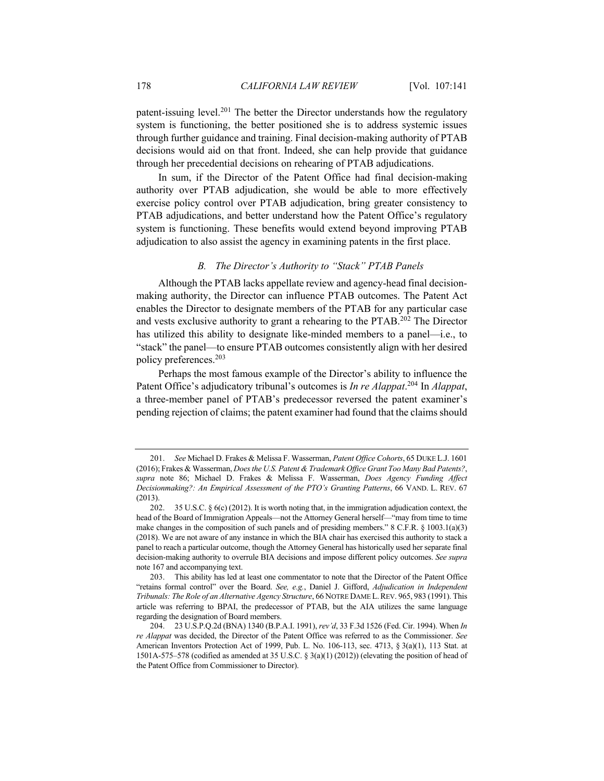patent-issuing level.<sup>201</sup> The better the Director understands how the regulatory system is functioning, the better positioned she is to address systemic issues through further guidance and training. Final decision-making authority of PTAB decisions would aid on that front. Indeed, she can help provide that guidance through her precedential decisions on rehearing of PTAB adjudications.

In sum, if the Director of the Patent Office had final decision-making authority over PTAB adjudication, she would be able to more effectively exercise policy control over PTAB adjudication, bring greater consistency to PTAB adjudications, and better understand how the Patent Office's regulatory system is functioning. These benefits would extend beyond improving PTAB adjudication to also assist the agency in examining patents in the first place.

## *B. The Director's Authority to "Stack" PTAB Panels*

Although the PTAB lacks appellate review and agency-head final decisionmaking authority, the Director can influence PTAB outcomes. The Patent Act enables the Director to designate members of the PTAB for any particular case and vests exclusive authority to grant a rehearing to the PTAB.202 The Director has utilized this ability to designate like-minded members to a panel—i.e., to "stack" the panel—to ensure PTAB outcomes consistently align with her desired policy preferences.203

Perhaps the most famous example of the Director's ability to influence the Patent Office's adjudicatory tribunal's outcomes is *In re Alappat*. <sup>204</sup> In *Alappat*, a three-member panel of PTAB's predecessor reversed the patent examiner's pending rejection of claims; the patent examiner had found that the claims should

<sup>201.</sup> *See* Michael D. Frakes & Melissa F. Wasserman, *Patent Office Cohorts*, 65 DUKE L.J. 1601 (2016); Frakes & Wasserman, *Does the U.S. Patent & Trademark Office Grant Too Many Bad Patents?*, *supra* note 86; Michael D. Frakes & Melissa F. Wasserman, *Does Agency Funding Affect Decisionmaking?: An Empirical Assessment of the PTO's Granting Patterns*, 66 VAND. L. REV. 67 (2013).

<sup>202.</sup> 35 U.S.C. § 6(c) (2012). It is worth noting that, in the immigration adjudication context, the head of the Board of Immigration Appeals—not the Attorney General herself—"may from time to time make changes in the composition of such panels and of presiding members."  $8 \text{ C.F.R.} \& 1003.1(a)(3)$ (2018). We are not aware of any instance in which the BIA chair has exercised this authority to stack a panel to reach a particular outcome, though the Attorney General has historically used her separate final decision-making authority to overrule BIA decisions and impose different policy outcomes. *See supra* note 167 and accompanying text.

<sup>203.</sup> This ability has led at least one commentator to note that the Director of the Patent Office "retains formal control" over the Board. *See, e.g.*, Daniel J. Gifford, *Adjudication in Independent Tribunals: The Role of an Alternative Agency Structure*, 66 NOTRE DAME L.REV. 965, 983 (1991). This article was referring to BPAI, the predecessor of PTAB, but the AIA utilizes the same language regarding the designation of Board members.

<sup>204.</sup> 23 U.S.P.Q.2d (BNA) 1340 (B.P.A.I. 1991), *rev'd*, 33 F.3d 1526 (Fed. Cir. 1994). When *In re Alappat* was decided, the Director of the Patent Office was referred to as the Commissioner. *See* American Inventors Protection Act of 1999, Pub. L. No. 106-113, sec. 4713, § 3(a)(1), 113 Stat. at 1501A-575–578 (codified as amended at 35 U.S.C. § 3(a)(1) (2012)) (elevating the position of head of the Patent Office from Commissioner to Director).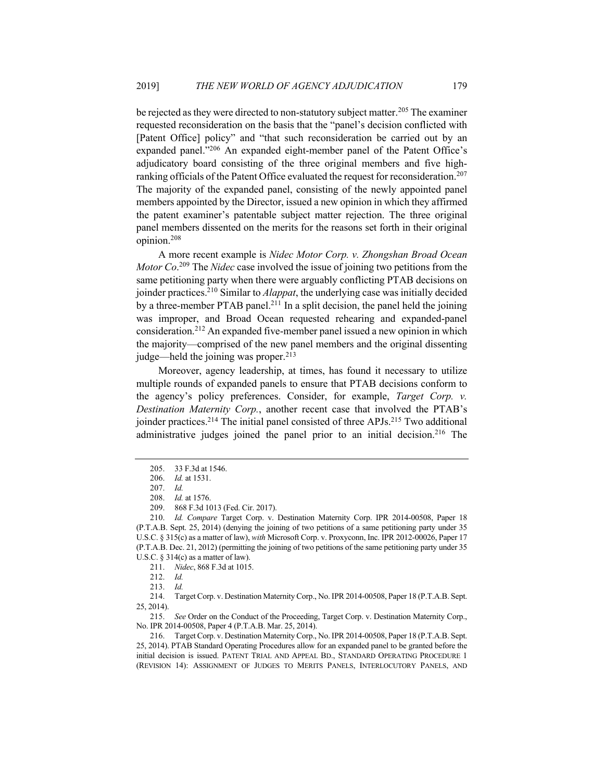be rejected as they were directed to non-statutory subject matter.<sup>205</sup> The examiner requested reconsideration on the basis that the "panel's decision conflicted with [Patent Office] policy" and "that such reconsideration be carried out by an expanded panel."206 An expanded eight-member panel of the Patent Office's adjudicatory board consisting of the three original members and five highranking officials of the Patent Office evaluated the request for reconsideration.<sup>207</sup> The majority of the expanded panel, consisting of the newly appointed panel members appointed by the Director, issued a new opinion in which they affirmed the patent examiner's patentable subject matter rejection. The three original panel members dissented on the merits for the reasons set forth in their original opinion.208

A more recent example is *Nidec Motor Corp. v. Zhongshan Broad Ocean Motor Co*. <sup>209</sup> The *Nidec* case involved the issue of joining two petitions from the same petitioning party when there were arguably conflicting PTAB decisions on joinder practices.210 Similar to *Alappat*, the underlying case was initially decided by a three-member PTAB panel.211 In a split decision, the panel held the joining was improper, and Broad Ocean requested rehearing and expanded-panel consideration.212 An expanded five-member panel issued a new opinion in which the majority—comprised of the new panel members and the original dissenting judge—held the joining was proper. $213$ 

Moreover, agency leadership, at times, has found it necessary to utilize multiple rounds of expanded panels to ensure that PTAB decisions conform to the agency's policy preferences. Consider, for example, *Target Corp. v. Destination Maternity Corp.*, another recent case that involved the PTAB's joinder practices.<sup>214</sup> The initial panel consisted of three APJs.<sup>215</sup> Two additional administrative judges joined the panel prior to an initial decision.<sup>216</sup> The

<sup>205.</sup> 33 F.3d at 1546.

<sup>206.</sup> *Id.* at 1531.

<sup>207.</sup> *Id.*

<sup>208.</sup> *Id.* at 1576.

<sup>209.</sup> 868 F.3d 1013 (Fed. Cir. 2017).

<sup>210.</sup> *Id. Compare* Target Corp. v. Destination Maternity Corp. IPR 2014-00508, Paper 18 (P.T.A.B. Sept. 25, 2014) (denying the joining of two petitions of a same petitioning party under 35 U.S.C. § 315(c) as a matter of law), *with* Microsoft Corp. v. Proxyconn, Inc. IPR 2012-00026, Paper 17 (P.T.A.B. Dec. 21, 2012) (permitting the joining of two petitions of the same petitioning party under 35 U.S.C.  $\S 314(c)$  as a matter of law).

<sup>211.</sup> *Nidec*, 868 F.3d at 1015.

<sup>212.</sup> *Id.*

<sup>213.</sup> *Id.*

<sup>214.</sup> Target Corp. v. Destination Maternity Corp., No. IPR 2014-00508, Paper 18 (P.T.A.B. Sept. 25, 2014).

<sup>215.</sup> *See* Order on the Conduct of the Proceeding, Target Corp. v. Destination Maternity Corp., No. IPR 2014-00508, Paper 4 (P.T.A.B. Mar. 25, 2014).

<sup>216.</sup> Target Corp. v. Destination Maternity Corp., No. IPR 2014-00508, Paper 18 (P.T.A.B. Sept. 25, 2014). PTAB Standard Operating Procedures allow for an expanded panel to be granted before the initial decision is issued. PATENT TRIAL AND APPEAL BD., STANDARD OPERATING PROCEDURE 1 (REVISION 14): ASSIGNMENT OF JUDGES TO MERITS PANELS, INTERLOCUTORY PANELS, AND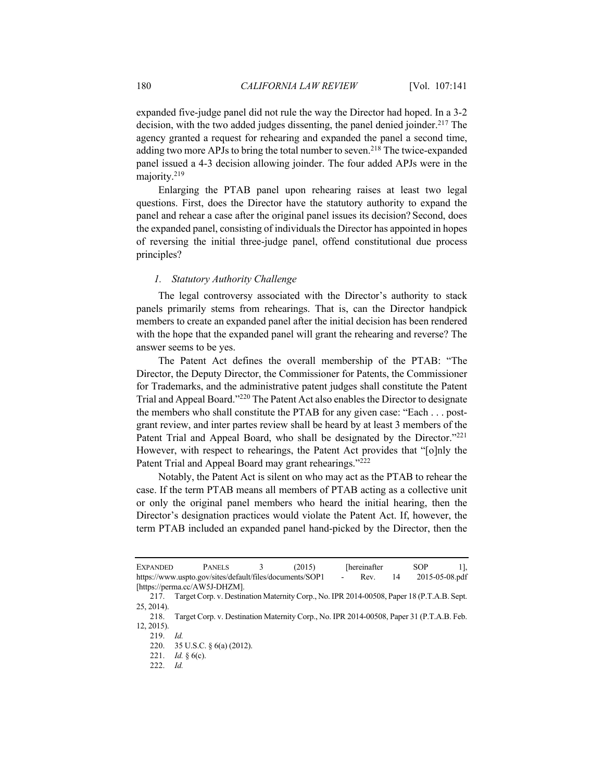expanded five-judge panel did not rule the way the Director had hoped. In a 3-2 decision, with the two added judges dissenting, the panel denied joinder.<sup>217</sup> The agency granted a request for rehearing and expanded the panel a second time, adding two more APJs to bring the total number to seven.<sup>218</sup> The twice-expanded panel issued a 4-3 decision allowing joinder. The four added APJs were in the majority.219

Enlarging the PTAB panel upon rehearing raises at least two legal questions. First, does the Director have the statutory authority to expand the panel and rehear a case after the original panel issues its decision? Second, does the expanded panel, consisting of individuals the Director has appointed in hopes of reversing the initial three-judge panel, offend constitutional due process principles?

## *1. Statutory Authority Challenge*

The legal controversy associated with the Director's authority to stack panels primarily stems from rehearings. That is, can the Director handpick members to create an expanded panel after the initial decision has been rendered with the hope that the expanded panel will grant the rehearing and reverse? The answer seems to be yes.

The Patent Act defines the overall membership of the PTAB: "The Director, the Deputy Director, the Commissioner for Patents, the Commissioner for Trademarks, and the administrative patent judges shall constitute the Patent Trial and Appeal Board."220 The Patent Act also enables the Director to designate the members who shall constitute the PTAB for any given case: "Each . . . postgrant review, and inter partes review shall be heard by at least 3 members of the Patent Trial and Appeal Board, who shall be designated by the Director."<sup>221</sup> However, with respect to rehearings, the Patent Act provides that "[o]nly the Patent Trial and Appeal Board may grant rehearings."<sup>222</sup>

Notably, the Patent Act is silent on who may act as the PTAB to rehear the case. If the term PTAB means all members of PTAB acting as a collective unit or only the original panel members who heard the initial hearing, then the Director's designation practices would violate the Patent Act. If, however, the term PTAB included an expanded panel hand-picked by the Director, then the

| <b>EXPANDED</b> | <b>PANELS</b>                                            | (2015) | <b>Thereinafter</b> |    | SOP            |  |
|-----------------|----------------------------------------------------------|--------|---------------------|----|----------------|--|
|                 | https://www.uspto.gov/sites/default/files/documents/SOP1 |        | Rev.                | 14 | 2015-05-08.pdf |  |
|                 | [https://perma.cc/AW5J-DHZM].                            |        |                     |    |                |  |

<sup>217.</sup> Target Corp. v. Destination Maternity Corp., No. IPR 2014-00508, Paper 18 (P.T.A.B. Sept. 25, 2014).

<sup>218.</sup> Target Corp. v. Destination Maternity Corp., No. IPR 2014-00508, Paper 31 (P.T.A.B. Feb. 12, 2015).

<sup>219.</sup> *Id.*

<sup>220.</sup> 35 U.S.C. § 6(a) (2012).

<sup>221.</sup> *Id.* § 6(c).

<sup>222.</sup> *Id.*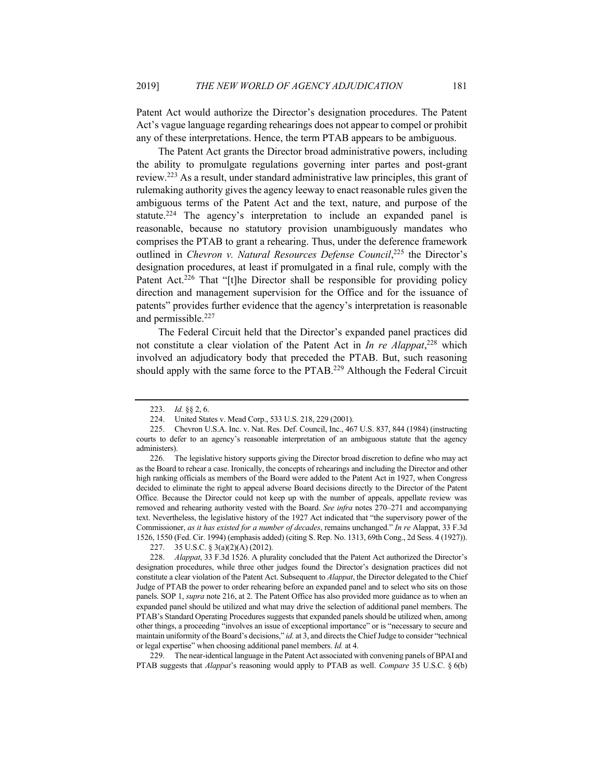Patent Act would authorize the Director's designation procedures. The Patent Act's vague language regarding rehearings does not appear to compel or prohibit any of these interpretations. Hence, the term PTAB appears to be ambiguous.

The Patent Act grants the Director broad administrative powers, including the ability to promulgate regulations governing inter partes and post-grant review.223 As a result, under standard administrative law principles, this grant of rulemaking authority gives the agency leeway to enact reasonable rules given the ambiguous terms of the Patent Act and the text, nature, and purpose of the statute.<sup>224</sup> The agency's interpretation to include an expanded panel is reasonable, because no statutory provision unambiguously mandates who comprises the PTAB to grant a rehearing. Thus, under the deference framework outlined in *Chevron v. Natural Resources Defense Council*,<sup>225</sup> the Director's designation procedures, at least if promulgated in a final rule, comply with the Patent Act.<sup>226</sup> That "[t]he Director shall be responsible for providing policy direction and management supervision for the Office and for the issuance of patents" provides further evidence that the agency's interpretation is reasonable and permissible.227

The Federal Circuit held that the Director's expanded panel practices did not constitute a clear violation of the Patent Act in *In re Alappat*, <sup>228</sup> which involved an adjudicatory body that preceded the PTAB. But, such reasoning should apply with the same force to the PTAB.<sup>229</sup> Although the Federal Circuit

229. The near-identical language in the Patent Act associated with convening panels of BPAI and PTAB suggests that *Alappat*'s reasoning would apply to PTAB as well. *Compare* 35 U.S.C. § 6(b)

<sup>223.</sup> *Id.* §§ 2, 6.

<sup>224.</sup> United States v. Mead Corp., 533 U.S. 218, 229 (2001).

<sup>225.</sup> Chevron U.S.A. Inc. v. Nat. Res. Def. Council, Inc., 467 U.S. 837, 844 (1984) (instructing courts to defer to an agency's reasonable interpretation of an ambiguous statute that the agency administers).

<sup>226.</sup> The legislative history supports giving the Director broad discretion to define who may act as the Board to rehear a case. Ironically, the concepts of rehearings and including the Director and other high ranking officials as members of the Board were added to the Patent Act in 1927, when Congress decided to eliminate the right to appeal adverse Board decisions directly to the Director of the Patent Office. Because the Director could not keep up with the number of appeals, appellate review was removed and rehearing authority vested with the Board. *See infra* notes 270–271 and accompanying text. Nevertheless, the legislative history of the 1927 Act indicated that "the supervisory power of the Commissioner, *as it has existed for a number of decades*, remains unchanged." *In re* Alappat, 33 F.3d 1526, 1550 (Fed. Cir. 1994) (emphasis added) (citing S. Rep. No. 1313, 69th Cong., 2d Sess. 4 (1927)).

<sup>227.</sup> 35 U.S.C. § 3(a)(2)(A) (2012).

<sup>228.</sup> *Alappat*, 33 F.3d 1526. A plurality concluded that the Patent Act authorized the Director's designation procedures, while three other judges found the Director's designation practices did not constitute a clear violation of the Patent Act. Subsequent to *Alappat*, the Director delegated to the Chief Judge of PTAB the power to order rehearing before an expanded panel and to select who sits on those panels. SOP 1, *supra* note 216, at 2. The Patent Office has also provided more guidance as to when an expanded panel should be utilized and what may drive the selection of additional panel members. The PTAB's Standard Operating Procedures suggests that expanded panels should be utilized when, among other things, a proceeding "involves an issue of exceptional importance" or is "necessary to secure and maintain uniformity of the Board's decisions," *id.* at 3, and directs the Chief Judge to consider "technical or legal expertise" when choosing additional panel members. *Id.* at 4.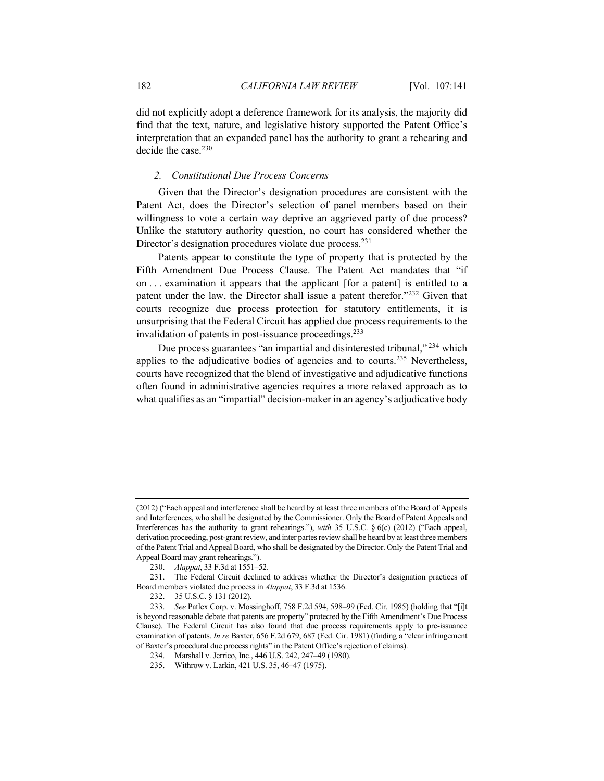did not explicitly adopt a deference framework for its analysis, the majority did find that the text, nature, and legislative history supported the Patent Office's interpretation that an expanded panel has the authority to grant a rehearing and decide the case.<sup>230</sup>

# *2. Constitutional Due Process Concerns*

Given that the Director's designation procedures are consistent with the Patent Act, does the Director's selection of panel members based on their willingness to vote a certain way deprive an aggrieved party of due process? Unlike the statutory authority question, no court has considered whether the Director's designation procedures violate due process.231

Patents appear to constitute the type of property that is protected by the Fifth Amendment Due Process Clause. The Patent Act mandates that "if on . . . examination it appears that the applicant [for a patent] is entitled to a patent under the law, the Director shall issue a patent therefor."232 Given that courts recognize due process protection for statutory entitlements, it is unsurprising that the Federal Circuit has applied due process requirements to the invalidation of patents in post-issuance proceedings.<sup>233</sup>

Due process guarantees "an impartial and disinterested tribunal,"<sup>234</sup> which applies to the adjudicative bodies of agencies and to courts.<sup>235</sup> Nevertheless, courts have recognized that the blend of investigative and adjudicative functions often found in administrative agencies requires a more relaxed approach as to what qualifies as an "impartial" decision-maker in an agency's adjudicative body

<sup>(2012) (&</sup>quot;Each appeal and interference shall be heard by at least three members of the Board of Appeals and Interferences, who shall be designated by the Commissioner. Only the Board of Patent Appeals and Interferences has the authority to grant rehearings."), *with* 35 U.S.C. § 6(c) (2012) ("Each appeal, derivation proceeding, post-grant review, and inter partes review shall be heard by at least three members of the Patent Trial and Appeal Board, who shall be designated by the Director. Only the Patent Trial and Appeal Board may grant rehearings.").

<sup>230.</sup> *Alappat*, 33 F.3d at 1551–52.

<sup>231.</sup> The Federal Circuit declined to address whether the Director's designation practices of Board members violated due process in *Alappat*, 33 F.3d at 1536.

<sup>232.</sup> 35 U.S.C. § 131 (2012).

<sup>233.</sup> *See* Patlex Corp. v. Mossinghoff, 758 F.2d 594, 598–99 (Fed. Cir. 1985) (holding that "[i]t is beyond reasonable debate that patents are property" protected by the Fifth Amendment's Due Process Clause). The Federal Circuit has also found that due process requirements apply to pre-issuance examination of patents. *In re* Baxter, 656 F.2d 679, 687 (Fed. Cir. 1981) (finding a "clear infringement of Baxter's procedural due process rights" in the Patent Office's rejection of claims).

<sup>234.</sup> Marshall v. Jerrico, Inc., 446 U.S. 242, 247–49 (1980).

<sup>235.</sup> Withrow v. Larkin, 421 U.S. 35, 46–47 (1975).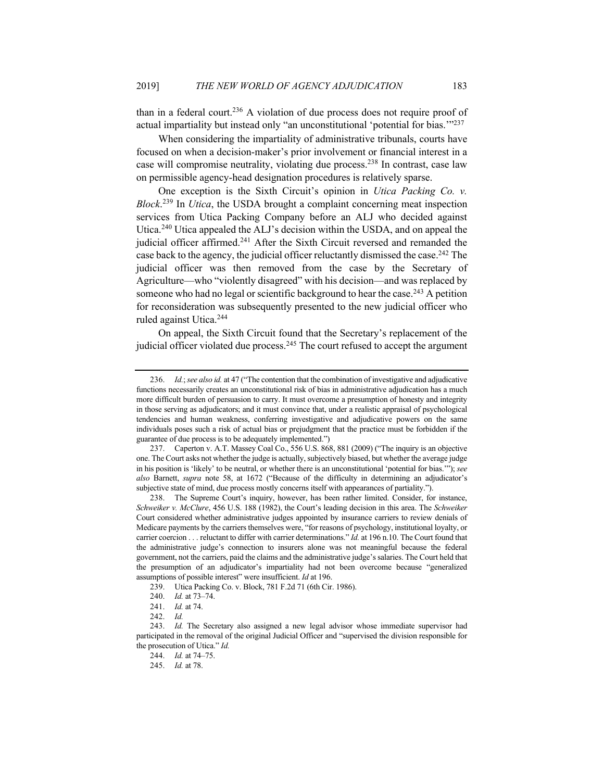than in a federal court.<sup>236</sup> A violation of due process does not require proof of actual impartiality but instead only "an unconstitutional 'potential for bias.'"237

When considering the impartiality of administrative tribunals, courts have focused on when a decision-maker's prior involvement or financial interest in a case will compromise neutrality, violating due process.238 In contrast, case law on permissible agency-head designation procedures is relatively sparse.

One exception is the Sixth Circuit's opinion in *Utica Packing Co. v. Block*. <sup>239</sup> In *Utica*, the USDA brought a complaint concerning meat inspection services from Utica Packing Company before an ALJ who decided against Utica.240 Utica appealed the ALJ's decision within the USDA, and on appeal the judicial officer affirmed.<sup>241</sup> After the Sixth Circuit reversed and remanded the case back to the agency, the judicial officer reluctantly dismissed the case.242 The judicial officer was then removed from the case by the Secretary of Agriculture—who "violently disagreed" with his decision—and was replaced by someone who had no legal or scientific background to hear the case.<sup>243</sup> A petition for reconsideration was subsequently presented to the new judicial officer who ruled against Utica.244

On appeal, the Sixth Circuit found that the Secretary's replacement of the judicial officer violated due process.<sup>245</sup> The court refused to accept the argument

<sup>236.</sup> *Id.*; *see also id.* at 47 ("The contention that the combination of investigative and adjudicative functions necessarily creates an unconstitutional risk of bias in administrative adjudication has a much more difficult burden of persuasion to carry. It must overcome a presumption of honesty and integrity in those serving as adjudicators; and it must convince that, under a realistic appraisal of psychological tendencies and human weakness, conferring investigative and adjudicative powers on the same individuals poses such a risk of actual bias or prejudgment that the practice must be forbidden if the guarantee of due process is to be adequately implemented.")

<sup>237.</sup> Caperton v. A.T. Massey Coal Co., 556 U.S. 868, 881 (2009) ("The inquiry is an objective one. The Court asks not whether the judge is actually, subjectively biased, but whether the average judge in his position is 'likely' to be neutral, or whether there is an unconstitutional 'potential for bias.'"); *see also* Barnett, *supra* note 58, at 1672 ("Because of the difficulty in determining an adjudicator's subjective state of mind, due process mostly concerns itself with appearances of partiality.").

<sup>238.</sup> The Supreme Court's inquiry, however, has been rather limited. Consider, for instance, *Schweiker v. McClure*, 456 U.S. 188 (1982), the Court's leading decision in this area. The *Schweiker* Court considered whether administrative judges appointed by insurance carriers to review denials of Medicare payments by the carriers themselves were, "for reasons of psychology, institutional loyalty, or carrier coercion . . . reluctant to differ with carrier determinations." *Id.* at 196 n.10. The Court found that the administrative judge's connection to insurers alone was not meaningful because the federal government, not the carriers, paid the claims and the administrative judge's salaries. The Court held that the presumption of an adjudicator's impartiality had not been overcome because "generalized assumptions of possible interest" were insufficient. *Id* at 196.

<sup>239.</sup> Utica Packing Co. v. Block, 781 F.2d 71 (6th Cir. 1986).

<sup>240.</sup> *Id.* at 73–74.

<sup>241.</sup> *Id.* at 74.

<sup>242.</sup> *Id.*

<sup>243.</sup> *Id.* The Secretary also assigned a new legal advisor whose immediate supervisor had participated in the removal of the original Judicial Officer and "supervised the division responsible for the prosecution of Utica." *Id.*

<sup>244.</sup> *Id.* at 74–75.

<sup>245.</sup> *Id.* at 78.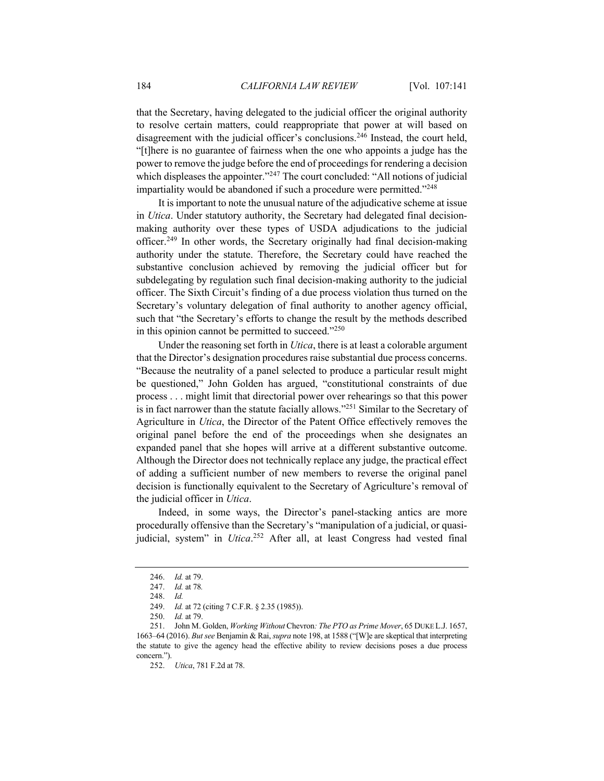that the Secretary, having delegated to the judicial officer the original authority to resolve certain matters, could reappropriate that power at will based on disagreement with the judicial officer's conclusions.<sup>246</sup> Instead, the court held, "[t]here is no guarantee of fairness when the one who appoints a judge has the power to remove the judge before the end of proceedings for rendering a decision which displeases the appointer."<sup>247</sup> The court concluded: "All notions of judicial impartiality would be abandoned if such a procedure were permitted."248

It is important to note the unusual nature of the adjudicative scheme at issue in *Utica*. Under statutory authority, the Secretary had delegated final decisionmaking authority over these types of USDA adjudications to the judicial officer.249 In other words, the Secretary originally had final decision-making authority under the statute. Therefore, the Secretary could have reached the substantive conclusion achieved by removing the judicial officer but for subdelegating by regulation such final decision-making authority to the judicial officer. The Sixth Circuit's finding of a due process violation thus turned on the Secretary's voluntary delegation of final authority to another agency official, such that "the Secretary's efforts to change the result by the methods described in this opinion cannot be permitted to succeed."<sup>250</sup>

Under the reasoning set forth in *Utica*, there is at least a colorable argument that the Director's designation procedures raise substantial due process concerns. "Because the neutrality of a panel selected to produce a particular result might be questioned," John Golden has argued, "constitutional constraints of due process . . . might limit that directorial power over rehearings so that this power is in fact narrower than the statute facially allows."251 Similar to the Secretary of Agriculture in *Utica*, the Director of the Patent Office effectively removes the original panel before the end of the proceedings when she designates an expanded panel that she hopes will arrive at a different substantive outcome. Although the Director does not technically replace any judge, the practical effect of adding a sufficient number of new members to reverse the original panel decision is functionally equivalent to the Secretary of Agriculture's removal of the judicial officer in *Utica*.

Indeed, in some ways, the Director's panel-stacking antics are more procedurally offensive than the Secretary's "manipulation of a judicial, or quasijudicial, system" in *Utica*. <sup>252</sup> After all, at least Congress had vested final

<sup>246.</sup> *Id.* at 79.

<sup>247.</sup> *Id.* at 78*.*

<sup>248.</sup> *Id.*

<sup>249.</sup> *Id.* at 72 (citing 7 C.F.R. § 2.35 (1985)).

<sup>250.</sup> *Id.* at 79.

<sup>251.</sup> John M. Golden, *Working Without* Chevron*: The PTO as Prime Mover*, 65 DUKE L.J. 1657, 1663–64 (2016). *But see* Benjamin & Rai, *supra* note 198, at 1588 ("[W]e are skeptical that interpreting the statute to give the agency head the effective ability to review decisions poses a due process concern.").

<sup>252.</sup> *Utica*, 781 F.2d at 78.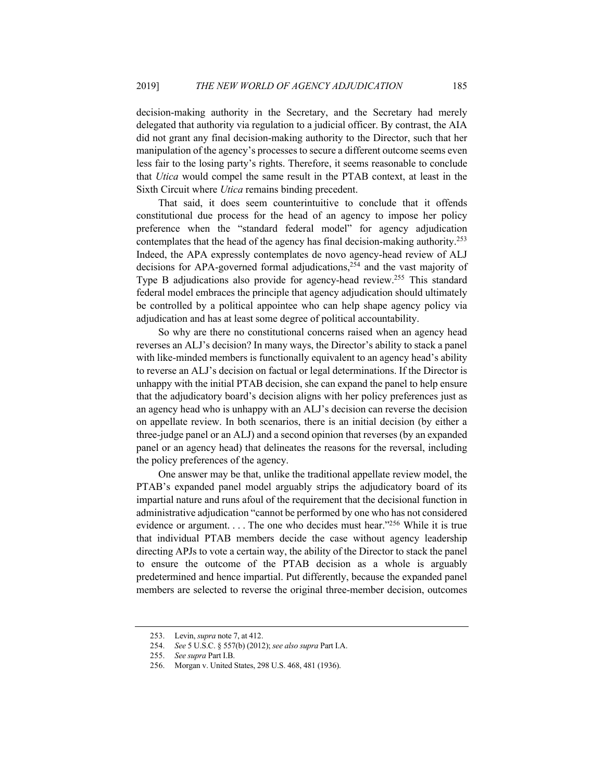decision-making authority in the Secretary, and the Secretary had merely delegated that authority via regulation to a judicial officer. By contrast, the AIA did not grant any final decision-making authority to the Director, such that her manipulation of the agency's processes to secure a different outcome seems even less fair to the losing party's rights. Therefore, it seems reasonable to conclude that *Utica* would compel the same result in the PTAB context, at least in the Sixth Circuit where *Utica* remains binding precedent.

That said, it does seem counterintuitive to conclude that it offends constitutional due process for the head of an agency to impose her policy preference when the "standard federal model" for agency adjudication contemplates that the head of the agency has final decision-making authority.253 Indeed, the APA expressly contemplates de novo agency-head review of ALJ decisions for APA-governed formal adjudications,<sup>254</sup> and the vast majority of Type B adjudications also provide for agency-head review.<sup>255</sup> This standard federal model embraces the principle that agency adjudication should ultimately be controlled by a political appointee who can help shape agency policy via adjudication and has at least some degree of political accountability.

So why are there no constitutional concerns raised when an agency head reverses an ALJ's decision? In many ways, the Director's ability to stack a panel with like-minded members is functionally equivalent to an agency head's ability to reverse an ALJ's decision on factual or legal determinations. If the Director is unhappy with the initial PTAB decision, she can expand the panel to help ensure that the adjudicatory board's decision aligns with her policy preferences just as an agency head who is unhappy with an ALJ's decision can reverse the decision on appellate review. In both scenarios, there is an initial decision (by either a three-judge panel or an ALJ) and a second opinion that reverses (by an expanded panel or an agency head) that delineates the reasons for the reversal, including the policy preferences of the agency.

One answer may be that, unlike the traditional appellate review model, the PTAB's expanded panel model arguably strips the adjudicatory board of its impartial nature and runs afoul of the requirement that the decisional function in administrative adjudication "cannot be performed by one who has not considered evidence or argument. . . . The one who decides must hear."256 While it is true that individual PTAB members decide the case without agency leadership directing APJs to vote a certain way, the ability of the Director to stack the panel to ensure the outcome of the PTAB decision as a whole is arguably predetermined and hence impartial. Put differently, because the expanded panel members are selected to reverse the original three-member decision, outcomes

<sup>253.</sup> Levin, *supra* note 7, at 412.

<sup>254.</sup> *See* 5 U.S.C. § 557(b) (2012); *see also supra* Part I.A.

<sup>255.</sup> *See supra* Part I.B.

<sup>256.</sup> Morgan v. United States, 298 U.S. 468, 481 (1936).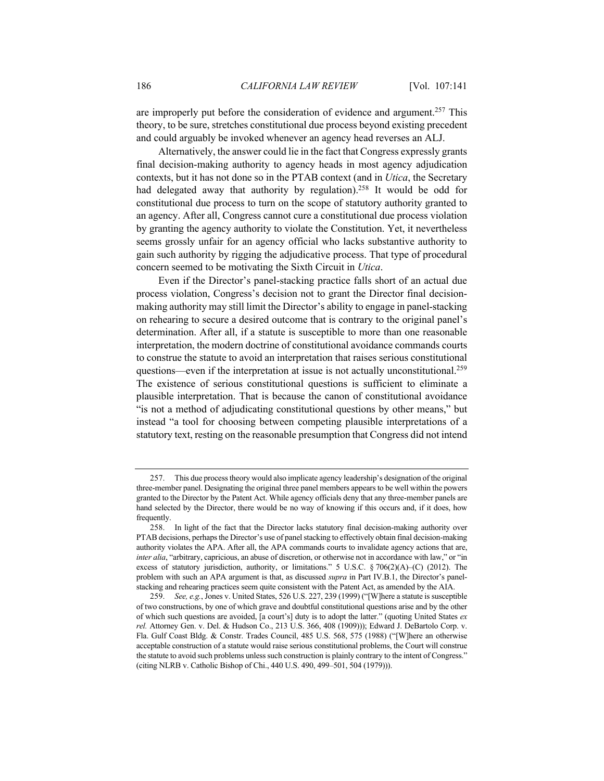are improperly put before the consideration of evidence and argument.<sup>257</sup> This theory, to be sure, stretches constitutional due process beyond existing precedent and could arguably be invoked whenever an agency head reverses an ALJ.

Alternatively, the answer could lie in the fact that Congress expressly grants final decision-making authority to agency heads in most agency adjudication contexts, but it has not done so in the PTAB context (and in *Utica*, the Secretary had delegated away that authority by regulation).<sup>258</sup> It would be odd for constitutional due process to turn on the scope of statutory authority granted to an agency. After all, Congress cannot cure a constitutional due process violation by granting the agency authority to violate the Constitution. Yet, it nevertheless seems grossly unfair for an agency official who lacks substantive authority to gain such authority by rigging the adjudicative process. That type of procedural concern seemed to be motivating the Sixth Circuit in *Utica*.

Even if the Director's panel-stacking practice falls short of an actual due process violation, Congress's decision not to grant the Director final decisionmaking authority may still limit the Director's ability to engage in panel-stacking on rehearing to secure a desired outcome that is contrary to the original panel's determination. After all, if a statute is susceptible to more than one reasonable interpretation, the modern doctrine of constitutional avoidance commands courts to construe the statute to avoid an interpretation that raises serious constitutional questions—even if the interpretation at issue is not actually unconstitutional.<sup>259</sup> The existence of serious constitutional questions is sufficient to eliminate a plausible interpretation. That is because the canon of constitutional avoidance "is not a method of adjudicating constitutional questions by other means," but instead "a tool for choosing between competing plausible interpretations of a statutory text, resting on the reasonable presumption that Congress did not intend

<sup>257.</sup> This due process theory would also implicate agency leadership's designation of the original three-member panel. Designating the original three panel members appears to be well within the powers granted to the Director by the Patent Act. While agency officials deny that any three-member panels are hand selected by the Director, there would be no way of knowing if this occurs and, if it does, how frequently.

<sup>258.</sup> In light of the fact that the Director lacks statutory final decision-making authority over PTAB decisions, perhaps the Director's use of panel stacking to effectively obtain final decision-making authority violates the APA. After all, the APA commands courts to invalidate agency actions that are, *inter alia*, "arbitrary, capricious, an abuse of discretion, or otherwise not in accordance with law," or "in excess of statutory jurisdiction, authority, or limitations." 5 U.S.C. § 706(2)(A)–(C) (2012). The problem with such an APA argument is that, as discussed *supra* in Part IV.B.1, the Director's panelstacking and rehearing practices seem quite consistent with the Patent Act, as amended by the AIA.

<sup>259.</sup> *See, e.g.*, Jones v. United States, 526 U.S. 227, 239 (1999) ("[W]here a statute is susceptible of two constructions, by one of which grave and doubtful constitutional questions arise and by the other of which such questions are avoided, [a court's] duty is to adopt the latter." (quoting United States *ex rel.* Attorney Gen. v. Del. & Hudson Co., 213 U.S. 366, 408 (1909))); Edward J. DeBartolo Corp. v. Fla. Gulf Coast Bldg. & Constr. Trades Council, 485 U.S. 568, 575 (1988) ("[W]here an otherwise acceptable construction of a statute would raise serious constitutional problems, the Court will construe the statute to avoid such problems unless such construction is plainly contrary to the intent of Congress." (citing NLRB v. Catholic Bishop of Chi., 440 U.S. 490, 499–501, 504 (1979))).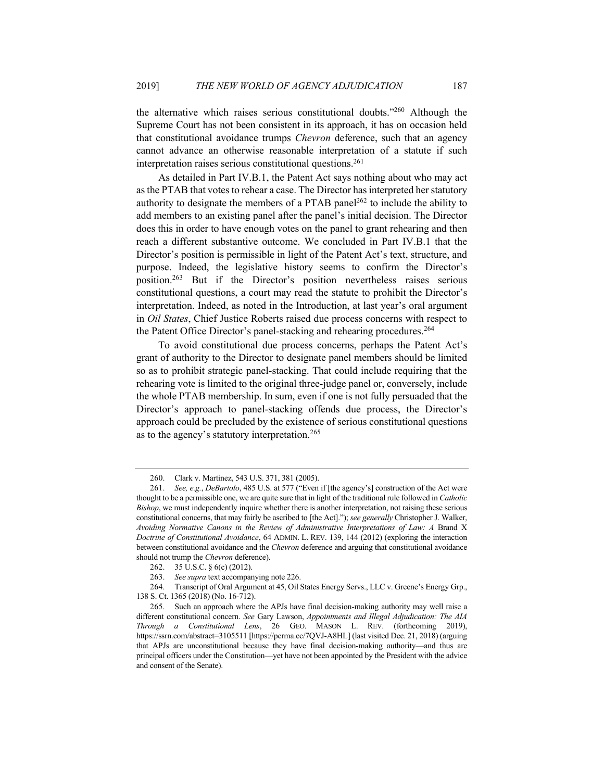the alternative which raises serious constitutional doubts."260 Although the Supreme Court has not been consistent in its approach, it has on occasion held that constitutional avoidance trumps *Chevron* deference, such that an agency cannot advance an otherwise reasonable interpretation of a statute if such interpretation raises serious constitutional questions.<sup>261</sup>

As detailed in Part IV.B.1, the Patent Act says nothing about who may act as the PTAB that votes to rehear a case. The Director has interpreted her statutory authority to designate the members of a PTAB panel<sup>262</sup> to include the ability to add members to an existing panel after the panel's initial decision. The Director does this in order to have enough votes on the panel to grant rehearing and then reach a different substantive outcome. We concluded in Part IV.B.1 that the Director's position is permissible in light of the Patent Act's text, structure, and purpose. Indeed, the legislative history seems to confirm the Director's position.263 But if the Director's position nevertheless raises serious constitutional questions, a court may read the statute to prohibit the Director's interpretation. Indeed, as noted in the Introduction, at last year's oral argument in *Oil States*, Chief Justice Roberts raised due process concerns with respect to the Patent Office Director's panel-stacking and rehearing procedures.<sup>264</sup>

To avoid constitutional due process concerns, perhaps the Patent Act's grant of authority to the Director to designate panel members should be limited so as to prohibit strategic panel-stacking. That could include requiring that the rehearing vote is limited to the original three-judge panel or, conversely, include the whole PTAB membership. In sum, even if one is not fully persuaded that the Director's approach to panel-stacking offends due process, the Director's approach could be precluded by the existence of serious constitutional questions as to the agency's statutory interpretation.<sup>265</sup>

<sup>260.</sup> Clark v. Martinez, 543 U.S. 371, 381 (2005).

<sup>261.</sup> *See, e.g.*, *DeBartolo*, 485 U.S. at 577 ("Even if [the agency's] construction of the Act were thought to be a permissible one, we are quite sure that in light of the traditional rule followed in *Catholic Bishop*, we must independently inquire whether there is another interpretation, not raising these serious constitutional concerns, that may fairly be ascribed to [the Act]."); *see generally* Christopher J. Walker, *Avoiding Normative Canons in the Review of Administrative Interpretations of Law: A* Brand X *Doctrine of Constitutional Avoidance*, 64 ADMIN. L. REV. 139, 144 (2012) (exploring the interaction between constitutional avoidance and the *Chevron* deference and arguing that constitutional avoidance should not trump the *Chevron* deference).

<sup>262.</sup> 35 U.S.C. § 6(c) (2012).

<sup>263.</sup> *See supra* text accompanying note 226.

<sup>264.</sup> Transcript of Oral Argument at 45, Oil States Energy Servs., LLC v. Greene's Energy Grp., 138 S. Ct. 1365 (2018) (No. 16-712).

<sup>265.</sup> Such an approach where the APJs have final decision-making authority may well raise a different constitutional concern. *See* Gary Lawson, *Appointments and Illegal Adjudication: The AIA Through a Constitutional Lens*, 26 GEO. MASON L. REV. (forthcoming 2019), https://ssrn.com/abstract=3105511 [https://perma.cc/7QVJ-A8HL] (last visited Dec. 21, 2018) (arguing that APJs are unconstitutional because they have final decision-making authority—and thus are principal officers under the Constitution—yet have not been appointed by the President with the advice and consent of the Senate).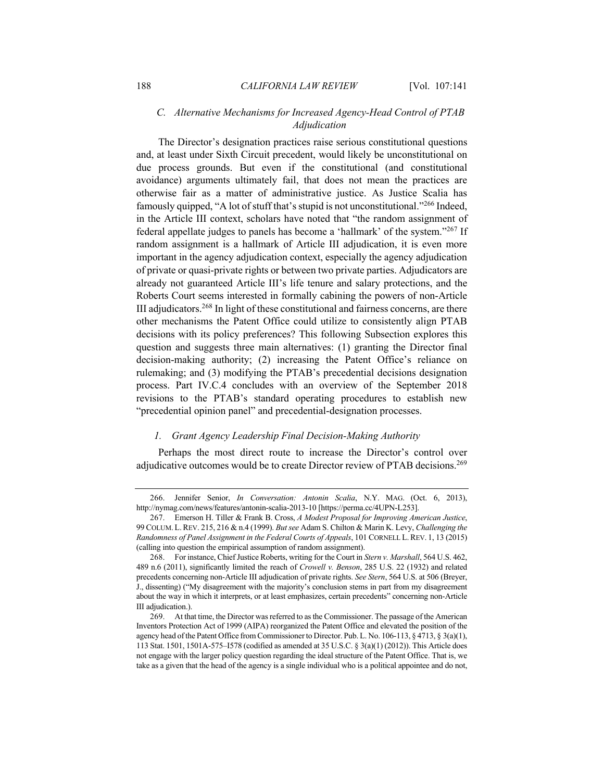# *C. Alternative Mechanisms for Increased Agency-Head Control of PTAB Adjudication*

The Director's designation practices raise serious constitutional questions and, at least under Sixth Circuit precedent, would likely be unconstitutional on due process grounds. But even if the constitutional (and constitutional avoidance) arguments ultimately fail, that does not mean the practices are otherwise fair as a matter of administrative justice. As Justice Scalia has famously quipped, "A lot of stuff that's stupid is not unconstitutional."266 Indeed, in the Article III context, scholars have noted that "the random assignment of federal appellate judges to panels has become a 'hallmark' of the system."267 If random assignment is a hallmark of Article III adjudication, it is even more important in the agency adjudication context, especially the agency adjudication of private or quasi-private rights or between two private parties. Adjudicators are already not guaranteed Article III's life tenure and salary protections, and the Roberts Court seems interested in formally cabining the powers of non-Article III adjudicators.<sup>268</sup> In light of these constitutional and fairness concerns, are there other mechanisms the Patent Office could utilize to consistently align PTAB decisions with its policy preferences? This following Subsection explores this question and suggests three main alternatives: (1) granting the Director final decision-making authority; (2) increasing the Patent Office's reliance on rulemaking; and (3) modifying the PTAB's precedential decisions designation process. Part IV.C.4 concludes with an overview of the September 2018 revisions to the PTAB's standard operating procedures to establish new "precedential opinion panel" and precedential-designation processes.

# *1. Grant Agency Leadership Final Decision-Making Authority*

Perhaps the most direct route to increase the Director's control over adjudicative outcomes would be to create Director review of PTAB decisions.<sup>269</sup>

<sup>266.</sup> Jennifer Senior, *In Conversation: Antonin Scalia*, N.Y. MAG. (Oct. 6, 2013), http://nymag.com/news/features/antonin-scalia-2013-10 [https://perma.cc/4UPN-L253].

<sup>267.</sup> Emerson H. Tiller & Frank B. Cross, *A Modest Proposal for Improving American Justice*, 99 COLUM. L.REV. 215, 216 & n.4 (1999). *But see* Adam S. Chilton & Marin K. Levy, *Challenging the Randomness of Panel Assignment in the Federal Courts of Appeals*, 101 CORNELL L.REV. 1, 13 (2015) (calling into question the empirical assumption of random assignment).

<sup>268.</sup> For instance, Chief Justice Roberts, writing for the Court in *Stern v. Marshall*, 564 U.S. 462, 489 n.6 (2011), significantly limited the reach of *Crowell v. Benson*, 285 U.S. 22 (1932) and related precedents concerning non-Article III adjudication of private rights. *See Stern*, 564 U.S. at 506 (Breyer, J., dissenting) ("My disagreement with the majority's conclusion stems in part from my disagreement about the way in which it interprets, or at least emphasizes, certain precedents" concerning non-Article III adjudication.).

<sup>269.</sup> At that time, the Director was referred to as the Commissioner. The passage of the American Inventors Protection Act of 1999 (AIPA) reorganized the Patent Office and elevated the position of the agency head of the Patent Office from Commissioner to Director. Pub. L. No. 106-113, § 4713, § 3(a)(1), 113 Stat. 1501, 1501A-575–I578 (codified as amended at 35 U.S.C. § 3(a)(1) (2012)). This Article does not engage with the larger policy question regarding the ideal structure of the Patent Office. That is, we take as a given that the head of the agency is a single individual who is a political appointee and do not,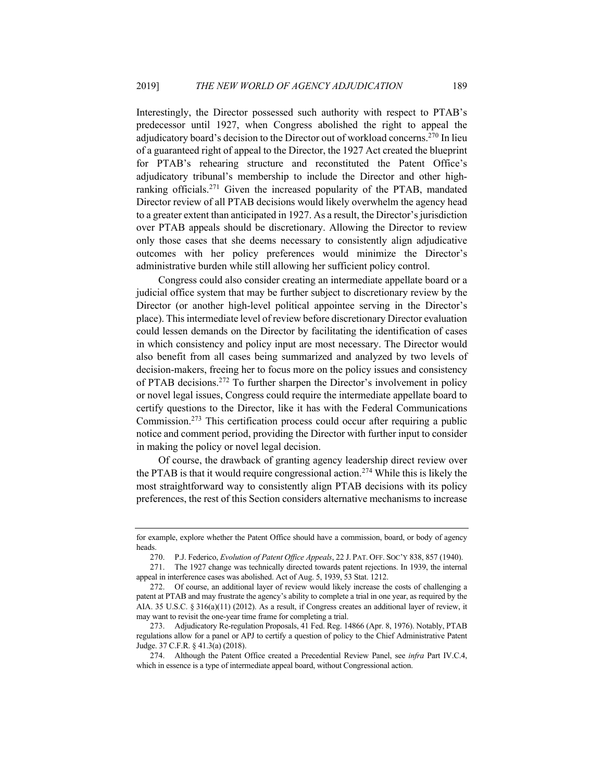Interestingly, the Director possessed such authority with respect to PTAB's predecessor until 1927, when Congress abolished the right to appeal the adjudicatory board's decision to the Director out of workload concerns.<sup>270</sup> In lieu of a guaranteed right of appeal to the Director, the 1927 Act created the blueprint for PTAB's rehearing structure and reconstituted the Patent Office's adjudicatory tribunal's membership to include the Director and other highranking officials.271 Given the increased popularity of the PTAB, mandated Director review of all PTAB decisions would likely overwhelm the agency head to a greater extent than anticipated in 1927. As a result, the Director's jurisdiction over PTAB appeals should be discretionary. Allowing the Director to review only those cases that she deems necessary to consistently align adjudicative outcomes with her policy preferences would minimize the Director's administrative burden while still allowing her sufficient policy control.

Congress could also consider creating an intermediate appellate board or a judicial office system that may be further subject to discretionary review by the Director (or another high-level political appointee serving in the Director's place). This intermediate level of review before discretionary Director evaluation could lessen demands on the Director by facilitating the identification of cases in which consistency and policy input are most necessary. The Director would also benefit from all cases being summarized and analyzed by two levels of decision-makers, freeing her to focus more on the policy issues and consistency of PTAB decisions.272 To further sharpen the Director's involvement in policy or novel legal issues, Congress could require the intermediate appellate board to certify questions to the Director, like it has with the Federal Communications Commission.273 This certification process could occur after requiring a public notice and comment period, providing the Director with further input to consider in making the policy or novel legal decision.

Of course, the drawback of granting agency leadership direct review over the PTAB is that it would require congressional action.<sup>274</sup> While this is likely the most straightforward way to consistently align PTAB decisions with its policy preferences, the rest of this Section considers alternative mechanisms to increase

for example, explore whether the Patent Office should have a commission, board, or body of agency heads.

<sup>270.</sup> P.J. Federico, *Evolution of Patent Office Appeals*, 22 J. PAT. OFF. SOC'Y 838, 857 (1940).

<sup>271.</sup> The 1927 change was technically directed towards patent rejections. In 1939, the internal appeal in interference cases was abolished. Act of Aug. 5, 1939, 53 Stat. 1212.

<sup>272.</sup> Of course, an additional layer of review would likely increase the costs of challenging a patent at PTAB and may frustrate the agency's ability to complete a trial in one year, as required by the AIA. 35 U.S.C. § 316(a)(11) (2012). As a result, if Congress creates an additional layer of review, it may want to revisit the one-year time frame for completing a trial.

<sup>273.</sup> Adjudicatory Re-regulation Proposals, 41 Fed. Reg. 14866 (Apr. 8, 1976). Notably, PTAB regulations allow for a panel or APJ to certify a question of policy to the Chief Administrative Patent Judge. 37 C.F.R. § 41.3(a) (2018).

<sup>274.</sup> Although the Patent Office created a Precedential Review Panel, see *infra* Part IV.C.4, which in essence is a type of intermediate appeal board, without Congressional action.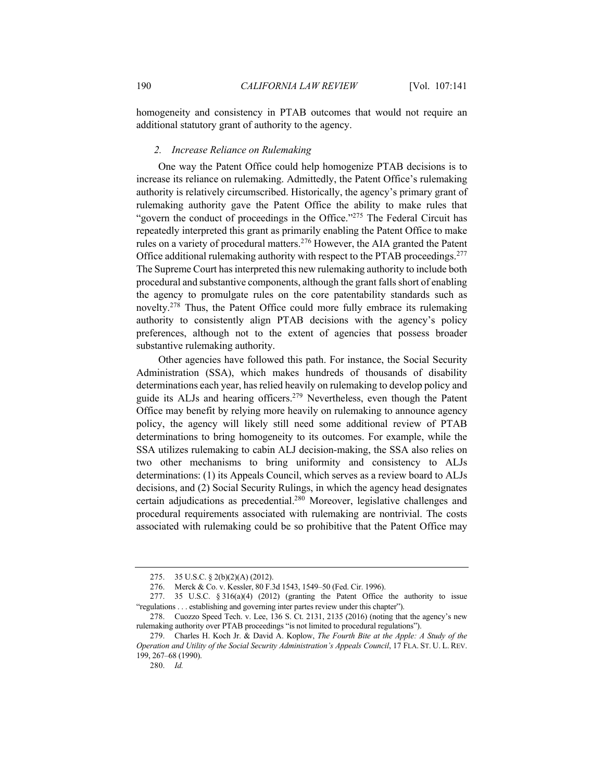homogeneity and consistency in PTAB outcomes that would not require an additional statutory grant of authority to the agency.

#### *2. Increase Reliance on Rulemaking*

One way the Patent Office could help homogenize PTAB decisions is to increase its reliance on rulemaking. Admittedly, the Patent Office's rulemaking authority is relatively circumscribed. Historically, the agency's primary grant of rulemaking authority gave the Patent Office the ability to make rules that "govern the conduct of proceedings in the Office."<sup>275</sup> The Federal Circuit has repeatedly interpreted this grant as primarily enabling the Patent Office to make rules on a variety of procedural matters.276 However, the AIA granted the Patent Office additional rulemaking authority with respect to the PTAB proceedings.<sup>277</sup> The Supreme Court has interpreted this new rulemaking authority to include both procedural and substantive components, although the grant falls short of enabling the agency to promulgate rules on the core patentability standards such as novelty.278 Thus, the Patent Office could more fully embrace its rulemaking authority to consistently align PTAB decisions with the agency's policy preferences, although not to the extent of agencies that possess broader substantive rulemaking authority.

Other agencies have followed this path. For instance, the Social Security Administration (SSA), which makes hundreds of thousands of disability determinations each year, has relied heavily on rulemaking to develop policy and guide its ALJs and hearing officers.279 Nevertheless, even though the Patent Office may benefit by relying more heavily on rulemaking to announce agency policy, the agency will likely still need some additional review of PTAB determinations to bring homogeneity to its outcomes. For example, while the SSA utilizes rulemaking to cabin ALJ decision-making, the SSA also relies on two other mechanisms to bring uniformity and consistency to ALJs determinations: (1) its Appeals Council, which serves as a review board to ALJs decisions, and (2) Social Security Rulings, in which the agency head designates certain adjudications as precedential.280 Moreover, legislative challenges and procedural requirements associated with rulemaking are nontrivial. The costs associated with rulemaking could be so prohibitive that the Patent Office may

<sup>275.</sup> 35 U.S.C. § 2(b)(2)(A) (2012).

<sup>276.</sup> Merck & Co. v. Kessler, 80 F.3d 1543, 1549–50 (Fed. Cir. 1996).

<sup>277. 35</sup> U.S.C.  $\S 316(a)(4)$  (2012) (granting the Patent Office the authority to issue "regulations . . . establishing and governing inter partes review under this chapter").

<sup>278.</sup> Cuozzo Speed Tech. v. Lee, 136 S. Ct. 2131, 2135 (2016) (noting that the agency's new rulemaking authority over PTAB proceedings "is not limited to procedural regulations").

<sup>279.</sup> Charles H. Koch Jr. & David A. Koplow, *The Fourth Bite at the Apple: A Study of the Operation and Utility of the Social Security Administration's Appeals Council*, 17 FLA. ST. U. L. REV. 199, 267–68 (1990).

<sup>280.</sup> *Id.*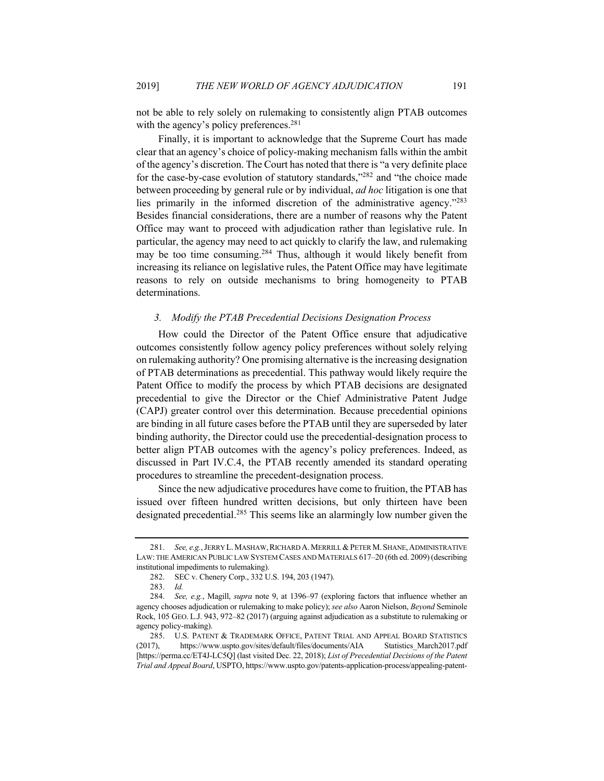not be able to rely solely on rulemaking to consistently align PTAB outcomes with the agency's policy preferences.<sup>281</sup>

Finally, it is important to acknowledge that the Supreme Court has made clear that an agency's choice of policy-making mechanism falls within the ambit of the agency's discretion. The Court has noted that there is "a very definite place for the case-by-case evolution of statutory standards,"282 and "the choice made between proceeding by general rule or by individual, *ad hoc* litigation is one that lies primarily in the informed discretion of the administrative agency."283 Besides financial considerations, there are a number of reasons why the Patent Office may want to proceed with adjudication rather than legislative rule. In particular, the agency may need to act quickly to clarify the law, and rulemaking may be too time consuming.<sup>284</sup> Thus, although it would likely benefit from increasing its reliance on legislative rules, the Patent Office may have legitimate reasons to rely on outside mechanisms to bring homogeneity to PTAB determinations.

#### *3. Modify the PTAB Precedential Decisions Designation Process*

How could the Director of the Patent Office ensure that adjudicative outcomes consistently follow agency policy preferences without solely relying on rulemaking authority? One promising alternative is the increasing designation of PTAB determinations as precedential. This pathway would likely require the Patent Office to modify the process by which PTAB decisions are designated precedential to give the Director or the Chief Administrative Patent Judge (CAPJ) greater control over this determination. Because precedential opinions are binding in all future cases before the PTAB until they are superseded by later binding authority, the Director could use the precedential-designation process to better align PTAB outcomes with the agency's policy preferences. Indeed, as discussed in Part IV.C.4, the PTAB recently amended its standard operating procedures to streamline the precedent-designation process.

Since the new adjudicative procedures have come to fruition, the PTAB has issued over fifteen hundred written decisions, but only thirteen have been designated precedential.285 This seems like an alarmingly low number given the

<sup>281.</sup> *See, e.g.*, JERRY L. MASHAW, RICHARD A. MERRILL & PETER M. SHANE, ADMINISTRATIVE LAW: THE AMERICAN PUBLIC LAW SYSTEM CASES AND MATERIALS 617–20 (6th ed. 2009) (describing institutional impediments to rulemaking).

<sup>282.</sup> SEC v. Chenery Corp., 332 U.S. 194, 203 (1947).

<sup>283.</sup> *Id.*

<sup>284.</sup> *See, e.g.*, Magill, *supra* note 9, at 1396–97 (exploring factors that influence whether an agency chooses adjudication or rulemaking to make policy); *see also* Aaron Nielson, *Beyond* Seminole Rock, 105 GEO. L.J. 943, 972–82 (2017) (arguing against adjudication as a substitute to rulemaking or agency policy-making).

<sup>285.</sup> U.S. PATENT & TRADEMARK OFFICE, PATENT TRIAL AND APPEAL BOARD STATISTICS (2017), https://www.uspto.gov/sites/default/files/documents/AIA Statistics\_March2017.pdf [https://perma.cc/ET4J-LC5Q] (last visited Dec. 22, 2018); *List of Precedential Decisions of the Patent Trial and Appeal Board*, USPTO, https://www.uspto.gov/patents-application-process/appealing-patent-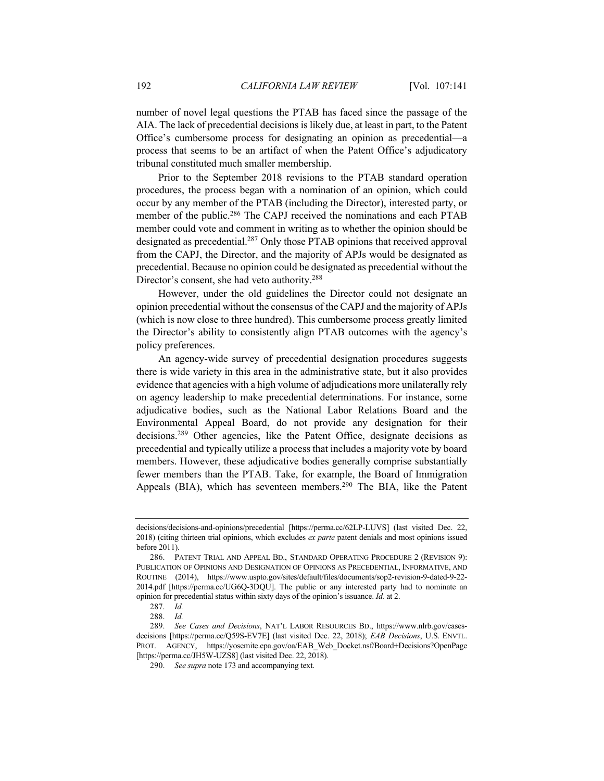number of novel legal questions the PTAB has faced since the passage of the AIA. The lack of precedential decisions is likely due, at least in part, to the Patent Office's cumbersome process for designating an opinion as precedential—a process that seems to be an artifact of when the Patent Office's adjudicatory tribunal constituted much smaller membership.

Prior to the September 2018 revisions to the PTAB standard operation procedures, the process began with a nomination of an opinion, which could occur by any member of the PTAB (including the Director), interested party, or member of the public.<sup>286</sup> The CAPJ received the nominations and each PTAB member could vote and comment in writing as to whether the opinion should be designated as precedential.<sup>287</sup> Only those PTAB opinions that received approval from the CAPJ, the Director, and the majority of APJs would be designated as precedential. Because no opinion could be designated as precedential without the Director's consent, she had veto authority.288

However, under the old guidelines the Director could not designate an opinion precedential without the consensus of the CAPJ and the majority of APJs (which is now close to three hundred). This cumbersome process greatly limited the Director's ability to consistently align PTAB outcomes with the agency's policy preferences.

An agency-wide survey of precedential designation procedures suggests there is wide variety in this area in the administrative state, but it also provides evidence that agencies with a high volume of adjudications more unilaterally rely on agency leadership to make precedential determinations. For instance, some adjudicative bodies, such as the National Labor Relations Board and the Environmental Appeal Board, do not provide any designation for their decisions.289 Other agencies, like the Patent Office, designate decisions as precedential and typically utilize a process that includes a majority vote by board members. However, these adjudicative bodies generally comprise substantially fewer members than the PTAB. Take, for example, the Board of Immigration Appeals (BIA), which has seventeen members.<sup>290</sup> The BIA, like the Patent

decisions/decisions-and-opinions/precedential [https://perma.cc/62LP-LUVS] (last visited Dec. 22, 2018) (citing thirteen trial opinions, which excludes *ex parte* patent denials and most opinions issued before 2011).

<sup>286.</sup> PATENT TRIAL AND APPEAL BD., STANDARD OPERATING PROCEDURE 2 (REVISION 9): PUBLICATION OF OPINIONS AND DESIGNATION OF OPINIONS AS PRECEDENTIAL, INFORMATIVE, AND ROUTINE (2014), https://www.uspto.gov/sites/default/files/documents/sop2-revision-9-dated-9-22- 2014.pdf [https://perma.cc/UG6Q-3DQU]. The public or any interested party had to nominate an opinion for precedential status within sixty days of the opinion's issuance. *Id.* at 2.

<sup>287.</sup> *Id.*

<sup>288.</sup> *Id.*

<sup>289.</sup> *See Cases and Decisions*, NAT'L LABOR RESOURCES BD., https://www.nlrb.gov/casesdecisions [https://perma.cc/Q59S-EV7E] (last visited Dec. 22, 2018); *EAB Decisions*, U.S. ENVTL. PROT. AGENCY, https://yosemite.epa.gov/oa/EAB\_Web\_Docket.nsf/Board+Decisions?OpenPage [https://perma.cc/JH5W-UZS8] (last visited Dec. 22, 2018).

<sup>290.</sup> *See supra* note 173 and accompanying text.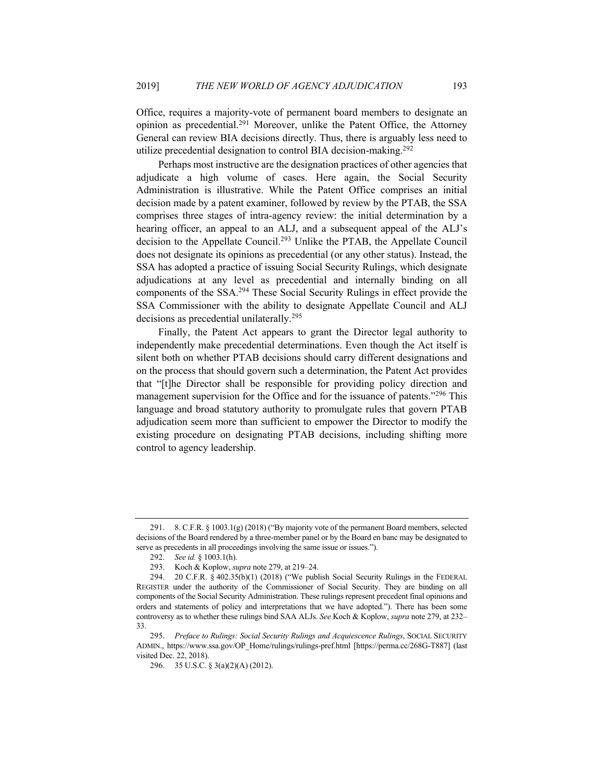Office, requires a majority-vote of permanent board members to designate an opinion as precedential.291 Moreover, unlike the Patent Office, the Attorney General can review BIA decisions directly. Thus, there is arguably less need to utilize precedential designation to control BIA decision-making.<sup>292</sup>

Perhaps most instructive are the designation practices of other agencies that adjudicate a high volume of cases. Here again, the Social Security Administration is illustrative. While the Patent Office comprises an initial decision made by a patent examiner, followed by review by the PTAB, the SSA comprises three stages of intra-agency review: the initial determination by a hearing officer, an appeal to an ALJ, and a subsequent appeal of the ALJ's decision to the Appellate Council.293 Unlike the PTAB, the Appellate Council does not designate its opinions as precedential (or any other status). Instead, the SSA has adopted a practice of issuing Social Security Rulings, which designate adjudications at any level as precedential and internally binding on all components of the SSA.294 These Social Security Rulings in effect provide the SSA Commissioner with the ability to designate Appellate Council and ALJ decisions as precedential unilaterally.295

Finally, the Patent Act appears to grant the Director legal authority to independently make precedential determinations. Even though the Act itself is silent both on whether PTAB decisions should carry different designations and on the process that should govern such a determination, the Patent Act provides that "[t]he Director shall be responsible for providing policy direction and management supervision for the Office and for the issuance of patents."<sup>296</sup> This language and broad statutory authority to promulgate rules that govern PTAB adjudication seem more than sufficient to empower the Director to modify the existing procedure on designating PTAB decisions, including shifting more control to agency leadership.

<sup>291.</sup> 8. C.F.R. § 1003.1(g) (2018) ("By majority vote of the permanent Board members, selected decisions of the Board rendered by a three-member panel or by the Board en banc may be designated to serve as precedents in all proceedings involving the same issue or issues.").

<sup>292.</sup> *See id.* § 1003.1(h). Koch & Koplow, *supra* note 279, at 219–24.

<sup>294.</sup> 20 C.F.R. § 402.35(b)(1) (2018) ("We publish Social Security Rulings in the FEDERAL REGISTER under the authority of the Commissioner of Social Security. They are binding on all components of the Social Security Administration. These rulings represent precedent final opinions and orders and statements of policy and interpretations that we have adopted."). There has been some controversy as to whether these rulings bind SAA ALJs. *See* Koch & Koplow, *supra* note 279, at 232– 33.

<sup>295.</sup> *Preface to Rulings: Social Security Rulings and Acquiescence Rulings*, SOCIAL SECURITY ADMIN., https://www.ssa.gov/OP\_Home/rulings/rulings-pref.html [https://perma.cc/268G-T887] (last visited Dec. 22, 2018).

<sup>296.</sup> 35 U.S.C. § 3(a)(2)(A) (2012).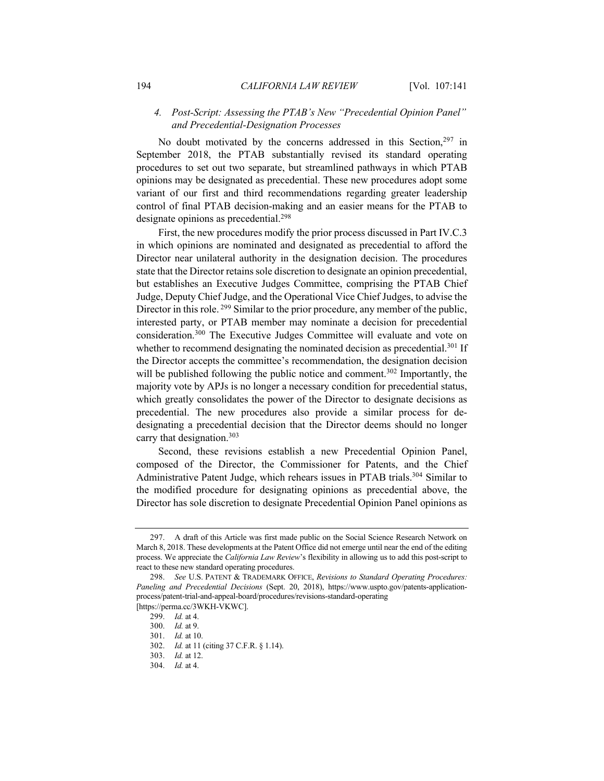# *4. Post-Script: Assessing the PTAB's New "Precedential Opinion Panel" and Precedential-Designation Processes*

No doubt motivated by the concerns addressed in this Section,<sup>297</sup> in September 2018, the PTAB substantially revised its standard operating procedures to set out two separate, but streamlined pathways in which PTAB opinions may be designated as precedential. These new procedures adopt some variant of our first and third recommendations regarding greater leadership control of final PTAB decision-making and an easier means for the PTAB to designate opinions as precedential.<sup>298</sup>

First, the new procedures modify the prior process discussed in Part IV.C.3 in which opinions are nominated and designated as precedential to afford the Director near unilateral authority in the designation decision. The procedures state that the Director retains sole discretion to designate an opinion precedential, but establishes an Executive Judges Committee, comprising the PTAB Chief Judge, Deputy Chief Judge, and the Operational Vice Chief Judges, to advise the Director in this role. <sup>299</sup> Similar to the prior procedure, any member of the public, interested party, or PTAB member may nominate a decision for precedential consideration.300 The Executive Judges Committee will evaluate and vote on whether to recommend designating the nominated decision as precedential.<sup>301</sup> If the Director accepts the committee's recommendation, the designation decision will be published following the public notice and comment.<sup>302</sup> Importantly, the majority vote by APJs is no longer a necessary condition for precedential status, which greatly consolidates the power of the Director to designate decisions as precedential. The new procedures also provide a similar process for dedesignating a precedential decision that the Director deems should no longer carry that designation.<sup>303</sup>

Second, these revisions establish a new Precedential Opinion Panel, composed of the Director, the Commissioner for Patents, and the Chief Administrative Patent Judge, which rehears issues in PTAB trials.<sup>304</sup> Similar to the modified procedure for designating opinions as precedential above, the Director has sole discretion to designate Precedential Opinion Panel opinions as

<sup>297.</sup> A draft of this Article was first made public on the Social Science Research Network on March 8, 2018. These developments at the Patent Office did not emerge until near the end of the editing process. We appreciate the *California Law Review*'s flexibility in allowing us to add this post-script to react to these new standard operating procedures.

<sup>298.</sup> *See* U.S. PATENT & TRADEMARK OFFICE, *Revisions to Standard Operating Procedures: Paneling and Precedential Decisions* (Sept. 20, 2018), https://www.uspto.gov/patents-applicationprocess/patent-trial-and-appeal-board/procedures/revisions-standard-operating [https://perma.cc/3WKH-VKWC].

<sup>299.</sup> *Id.* at 4.

<sup>300.</sup> *Id.* at 9.

<sup>301.</sup> *Id.* at 10.

<sup>302.</sup> *Id.* at 11 (citing 37 C.F.R. § 1.14).

<sup>303.</sup> *Id.* at 12.

<sup>304.</sup> *Id.* at 4.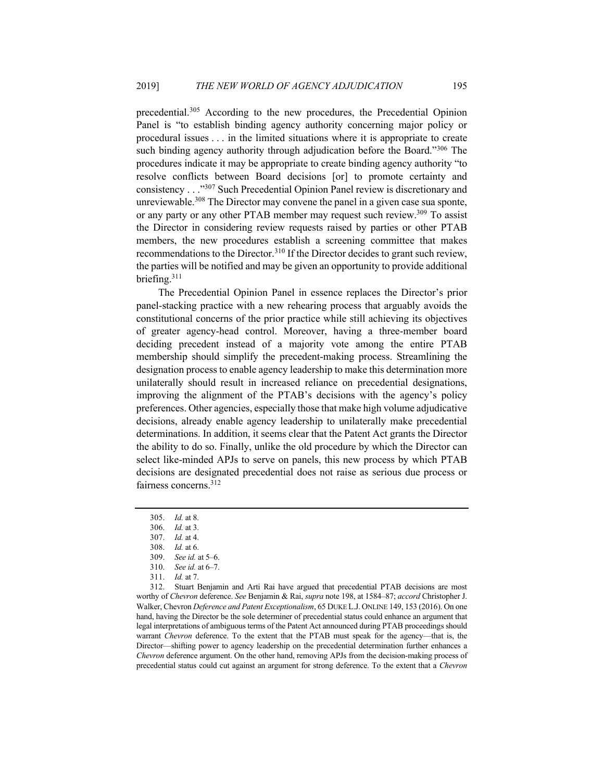precedential.305 According to the new procedures, the Precedential Opinion Panel is "to establish binding agency authority concerning major policy or procedural issues . . . in the limited situations where it is appropriate to create such binding agency authority through adjudication before the Board."<sup>306</sup> The procedures indicate it may be appropriate to create binding agency authority "to resolve conflicts between Board decisions [or] to promote certainty and consistency . . ."307 Such Precedential Opinion Panel review is discretionary and unreviewable.<sup>308</sup> The Director may convene the panel in a given case sua sponte, or any party or any other PTAB member may request such review.<sup>309</sup> To assist the Director in considering review requests raised by parties or other PTAB members, the new procedures establish a screening committee that makes recommendations to the Director.<sup>310</sup> If the Director decides to grant such review, the parties will be notified and may be given an opportunity to provide additional briefing.311

The Precedential Opinion Panel in essence replaces the Director's prior panel-stacking practice with a new rehearing process that arguably avoids the constitutional concerns of the prior practice while still achieving its objectives of greater agency-head control. Moreover, having a three-member board deciding precedent instead of a majority vote among the entire PTAB membership should simplify the precedent-making process. Streamlining the designation process to enable agency leadership to make this determination more unilaterally should result in increased reliance on precedential designations, improving the alignment of the PTAB's decisions with the agency's policy preferences. Other agencies, especially those that make high volume adjudicative decisions, already enable agency leadership to unilaterally make precedential determinations. In addition, it seems clear that the Patent Act grants the Director the ability to do so. Finally, unlike the old procedure by which the Director can select like-minded APJs to serve on panels, this new process by which PTAB decisions are designated precedential does not raise as serious due process or fairness concerns.312

312. Stuart Benjamin and Arti Rai have argued that precedential PTAB decisions are most worthy of *Chevron* deference. *See* Benjamin & Rai, *supra* note 198, at 1584–87; *accord* Christopher J. Walker, Chevron *Deference and Patent Exceptionalism*, 65 DUKE L.J. ONLINE 149, 153 (2016). On one hand, having the Director be the sole determiner of precedential status could enhance an argument that legal interpretations of ambiguous terms of the Patent Act announced during PTAB proceedings should warrant *Chevron* deference. To the extent that the PTAB must speak for the agency—that is, the Director—shifting power to agency leadership on the precedential determination further enhances a *Chevron* deference argument. On the other hand, removing APJs from the decision-making process of precedential status could cut against an argument for strong deference. To the extent that a *Chevron*

<sup>305.</sup> *Id.* at 8.

<sup>306.</sup> *Id.* at 3.

<sup>307.</sup> *Id.* at 4.

<sup>308.</sup> *Id.* at 6.

<sup>309.</sup> *See id.* at 5–6.

<sup>310.</sup> *See id.* at 6–7.

<sup>311.</sup> *Id.* at 7.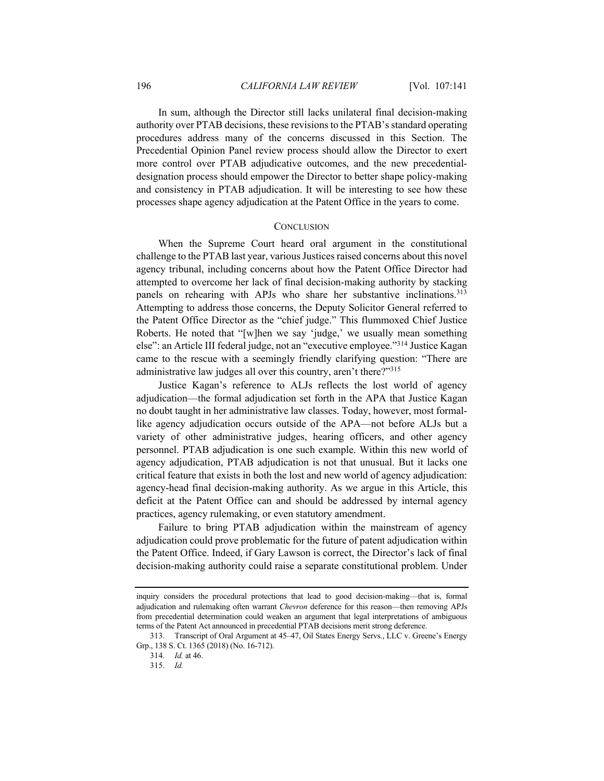In sum, although the Director still lacks unilateral final decision-making authority over PTAB decisions, these revisions to the PTAB's standard operating procedures address many of the concerns discussed in this Section. The Precedential Opinion Panel review process should allow the Director to exert more control over PTAB adjudicative outcomes, and the new precedentialdesignation process should empower the Director to better shape policy-making and consistency in PTAB adjudication. It will be interesting to see how these processes shape agency adjudication at the Patent Office in the years to come.

## **CONCLUSION**

When the Supreme Court heard oral argument in the constitutional challenge to the PTAB last year, various Justices raised concerns about this novel agency tribunal, including concerns about how the Patent Office Director had attempted to overcome her lack of final decision-making authority by stacking panels on rehearing with APJs who share her substantive inclinations.<sup>313</sup> Attempting to address those concerns, the Deputy Solicitor General referred to the Patent Office Director as the "chief judge." This flummoxed Chief Justice Roberts. He noted that "[w]hen we say 'judge,' we usually mean something else": an Article III federal judge, not an "executive employee."314 Justice Kagan came to the rescue with a seemingly friendly clarifying question: "There are administrative law judges all over this country, aren't there?"315

Justice Kagan's reference to ALJs reflects the lost world of agency adjudication—the formal adjudication set forth in the APA that Justice Kagan no doubt taught in her administrative law classes. Today, however, most formallike agency adjudication occurs outside of the APA—not before ALJs but a variety of other administrative judges, hearing officers, and other agency personnel. PTAB adjudication is one such example. Within this new world of agency adjudication, PTAB adjudication is not that unusual. But it lacks one critical feature that exists in both the lost and new world of agency adjudication: agency-head final decision-making authority. As we argue in this Article, this deficit at the Patent Office can and should be addressed by internal agency practices, agency rulemaking, or even statutory amendment.

Failure to bring PTAB adjudication within the mainstream of agency adjudication could prove problematic for the future of patent adjudication within the Patent Office. Indeed, if Gary Lawson is correct, the Director's lack of final decision-making authority could raise a separate constitutional problem. Under

inquiry considers the procedural protections that lead to good decision-making—that is, formal adjudication and rulemaking often warrant *Chevron* deference for this reason—then removing APJs from precedential determination could weaken an argument that legal interpretations of ambiguous terms of the Patent Act announced in precedential PTAB decisions merit strong deference.

<sup>313.</sup> Transcript of Oral Argument at 45–47, Oil States Energy Servs., LLC v. Greene's Energy Grp., 138 S. Ct. 1365 (2018) (No. 16-712).

<sup>314.</sup> *Id.* at 46.

<sup>315.</sup> *Id.*